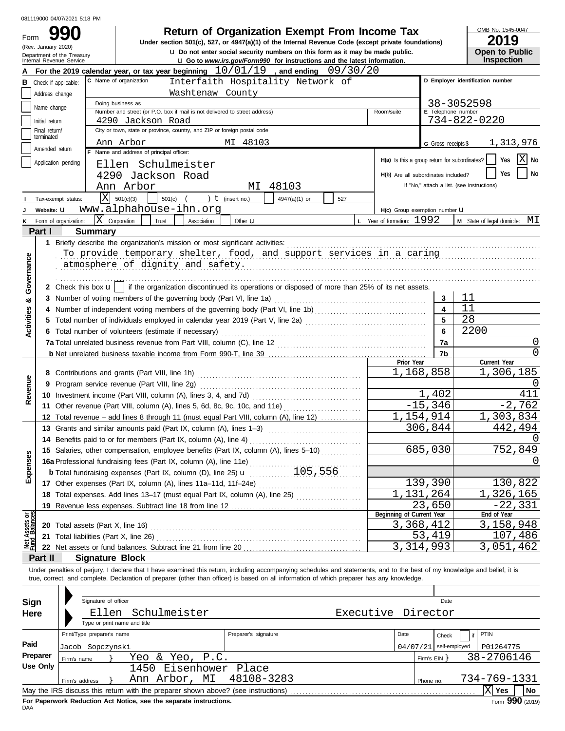Form 990

**990 2000 2019 2019 2019 Depend From Income Tax 1945-0 2019 Depend From Income Tax 2019 2019** 

OMB No. 1545-0047

|                    | $\alpha$ . The mean of the mean is the couple private remove that $\alpha$<br>(Rev. January 2020)<br><b>u</b> Do not enter social security numbers on this form as it may be made public. |                                        |                                                                                   |                                                                                                                                                                                                                                                                                                                          |                           | <b>Open to Public</b>                         |                                        |
|--------------------|-------------------------------------------------------------------------------------------------------------------------------------------------------------------------------------------|----------------------------------------|-----------------------------------------------------------------------------------|--------------------------------------------------------------------------------------------------------------------------------------------------------------------------------------------------------------------------------------------------------------------------------------------------------------------------|---------------------------|-----------------------------------------------|----------------------------------------|
|                    | Department of the Treasury<br><b>u</b> Go to www.irs.gov/Form990 for instructions and the latest information.<br>Internal Revenue Service                                                 |                                        |                                                                                   |                                                                                                                                                                                                                                                                                                                          |                           | <b>Inspection</b>                             |                                        |
|                    |                                                                                                                                                                                           |                                        |                                                                                   | For the 2019 calendar year, or tax year beginning $10/01/19$ , and ending $09/30/20$                                                                                                                                                                                                                                     |                           |                                               |                                        |
|                    | <b>B</b> Check if applicable:                                                                                                                                                             |                                        | C Name of organization                                                            | Interfaith Hospitality Network of                                                                                                                                                                                                                                                                                        |                           |                                               | D Employer identification number       |
|                    | Address change                                                                                                                                                                            |                                        | Washtenaw County                                                                  |                                                                                                                                                                                                                                                                                                                          |                           |                                               |                                        |
| Doing business as  |                                                                                                                                                                                           |                                        |                                                                                   |                                                                                                                                                                                                                                                                                                                          |                           |                                               | 38-3052598                             |
|                    | Name change                                                                                                                                                                               |                                        | Number and street (or P.O. box if mail is not delivered to street address)        |                                                                                                                                                                                                                                                                                                                          | Room/suite                | E Telephone number                            |                                        |
|                    | Initial return                                                                                                                                                                            |                                        | 4290 Jackson Road                                                                 |                                                                                                                                                                                                                                                                                                                          |                           |                                               | 734-822-0220                           |
|                    | Final return/                                                                                                                                                                             |                                        | City or town, state or province, country, and ZIP or foreign postal code          |                                                                                                                                                                                                                                                                                                                          |                           |                                               |                                        |
|                    | terminated                                                                                                                                                                                |                                        | Ann Arbor                                                                         | MI 48103                                                                                                                                                                                                                                                                                                                 |                           | G Gross receipts \$                           | 1,313,976                              |
|                    | Amended return                                                                                                                                                                            |                                        | F Name and address of principal officer:                                          |                                                                                                                                                                                                                                                                                                                          |                           |                                               |                                        |
|                    | Application pending                                                                                                                                                                       |                                        | Ellen Schulmeister                                                                |                                                                                                                                                                                                                                                                                                                          |                           | H(a) Is this a group return for subordinates? | X <br>Yes<br><b>No</b>                 |
|                    |                                                                                                                                                                                           |                                        | 4290 Jackson Road                                                                 |                                                                                                                                                                                                                                                                                                                          |                           | H(b) Are all subordinates included?           | <b>No</b><br>Yes                       |
|                    |                                                                                                                                                                                           |                                        |                                                                                   |                                                                                                                                                                                                                                                                                                                          |                           | If "No," attach a list. (see instructions)    |                                        |
|                    |                                                                                                                                                                                           |                                        | Ann Arbor                                                                         | 48103<br>МI                                                                                                                                                                                                                                                                                                              |                           |                                               |                                        |
|                    | Tax-exempt status:                                                                                                                                                                        |                                        | $X \ 501(c)(3)$<br>501(c)                                                         | ) $t$ (insert no.)<br>4947(a)(1) or<br>527                                                                                                                                                                                                                                                                               |                           |                                               |                                        |
|                    | Website: U                                                                                                                                                                                |                                        | www.alphahouse-ihn.org                                                            |                                                                                                                                                                                                                                                                                                                          |                           | H(c) Group exemption number LI                |                                        |
| κ                  | Form of organization:                                                                                                                                                                     | X                                      | Corporation<br>Trust<br>Association                                               | Other <b>u</b>                                                                                                                                                                                                                                                                                                           | L Year of formation: 1992 |                                               | <b>M</b> State of legal domicile: $MI$ |
|                    | Part I                                                                                                                                                                                    | <b>Summary</b>                         |                                                                                   |                                                                                                                                                                                                                                                                                                                          |                           |                                               |                                        |
|                    |                                                                                                                                                                                           |                                        |                                                                                   |                                                                                                                                                                                                                                                                                                                          |                           |                                               |                                        |
|                    |                                                                                                                                                                                           |                                        |                                                                                   | To provide temporary shelter, food, and support services in a caring                                                                                                                                                                                                                                                     |                           |                                               |                                        |
|                    |                                                                                                                                                                                           |                                        | atmosphere of dignity and safety.                                                 |                                                                                                                                                                                                                                                                                                                          |                           |                                               |                                        |
| Governance         |                                                                                                                                                                                           |                                        |                                                                                   |                                                                                                                                                                                                                                                                                                                          |                           |                                               |                                        |
|                    |                                                                                                                                                                                           |                                        |                                                                                   | 2 Check this box $\mathbf{u}$ if the organization discontinued its operations or disposed of more than 25% of its net assets.                                                                                                                                                                                            |                           |                                               |                                        |
|                    |                                                                                                                                                                                           |                                        | 3 Number of voting members of the governing body (Part VI, line 1a)               |                                                                                                                                                                                                                                                                                                                          |                           | 3                                             | 11                                     |
| ఱ                  |                                                                                                                                                                                           |                                        |                                                                                   |                                                                                                                                                                                                                                                                                                                          |                           | $\overline{\mathbf{4}}$                       | 11                                     |
| <b>Activities</b>  |                                                                                                                                                                                           |                                        |                                                                                   | 4 Number of independent voting members of the governing body (Part VI, line 1b)<br>1. Number of independent voting members of the governing body (Part VI, line 1b)                                                                                                                                                      |                           | 5                                             | 28                                     |
|                    |                                                                                                                                                                                           |                                        |                                                                                   | 5 Total number of individuals employed in calendar year 2019 (Part V, line 2a) [[[[[[[[[[[[[[[[[[[[[[[[[[[[[[[                                                                                                                                                                                                           |                           |                                               |                                        |
|                    |                                                                                                                                                                                           |                                        | 6 Total number of volunteers (estimate if necessary)                              |                                                                                                                                                                                                                                                                                                                          |                           | 6                                             | 2200                                   |
|                    |                                                                                                                                                                                           |                                        |                                                                                   |                                                                                                                                                                                                                                                                                                                          |                           | 7a                                            | 0                                      |
|                    |                                                                                                                                                                                           |                                        |                                                                                   |                                                                                                                                                                                                                                                                                                                          |                           | 7b                                            | $\Omega$                               |
|                    |                                                                                                                                                                                           |                                        |                                                                                   |                                                                                                                                                                                                                                                                                                                          | Prior Year                |                                               | Current Year                           |
|                    |                                                                                                                                                                                           |                                        |                                                                                   |                                                                                                                                                                                                                                                                                                                          |                           | 1,168,858                                     | 1,306,185                              |
| Revenue            |                                                                                                                                                                                           |                                        | 9 Program service revenue (Part VIII, line 2g)                                    |                                                                                                                                                                                                                                                                                                                          |                           |                                               |                                        |
|                    |                                                                                                                                                                                           |                                        |                                                                                   |                                                                                                                                                                                                                                                                                                                          |                           | 1,402                                         | 411                                    |
|                    |                                                                                                                                                                                           |                                        |                                                                                   | 11 Other revenue (Part VIII, column (A), lines 5, 6d, 8c, 9c, 10c, and 11e)                                                                                                                                                                                                                                              |                           | $-15, 346$                                    | $-2,762$                               |
|                    |                                                                                                                                                                                           |                                        |                                                                                   | 12 Total revenue - add lines 8 through 11 (must equal Part VIII, column (A), line 12)                                                                                                                                                                                                                                    |                           | 1,154,914                                     | 1,303,834                              |
|                    |                                                                                                                                                                                           |                                        |                                                                                   | 13 Grants and similar amounts paid (Part IX, column (A), lines 1-3)                                                                                                                                                                                                                                                      |                           | 306,844                                       | 442,494                                |
|                    |                                                                                                                                                                                           |                                        | 14 Benefits paid to or for members (Part IX, column (A), line 4)                  |                                                                                                                                                                                                                                                                                                                          |                           |                                               |                                        |
|                    |                                                                                                                                                                                           |                                        |                                                                                   | 15 Salaries, other compensation, employee benefits (Part IX, column (A), lines 5-10)                                                                                                                                                                                                                                     |                           | 685,030                                       | 752,849                                |
| 8                  |                                                                                                                                                                                           |                                        |                                                                                   |                                                                                                                                                                                                                                                                                                                          |                           |                                               | 0                                      |
| Expense            |                                                                                                                                                                                           |                                        |                                                                                   |                                                                                                                                                                                                                                                                                                                          |                           |                                               |                                        |
|                    |                                                                                                                                                                                           |                                        |                                                                                   |                                                                                                                                                                                                                                                                                                                          |                           | 139,390                                       | 130,822                                |
|                    |                                                                                                                                                                                           |                                        |                                                                                   |                                                                                                                                                                                                                                                                                                                          |                           | 1,131,264                                     | 1,326,165                              |
|                    |                                                                                                                                                                                           |                                        |                                                                                   | 18 Total expenses. Add lines 13-17 (must equal Part IX, column (A), line 25)                                                                                                                                                                                                                                             |                           | 23,650                                        |                                        |
| ăç                 |                                                                                                                                                                                           |                                        |                                                                                   |                                                                                                                                                                                                                                                                                                                          | Beginning of Current Year |                                               | $-22,331$<br>End of Year               |
|                    |                                                                                                                                                                                           | 20 Total assets (Part X, line 16)      |                                                                                   |                                                                                                                                                                                                                                                                                                                          |                           | 3,368,412                                     | 3,158,948                              |
| Assets<br>1 Balanc |                                                                                                                                                                                           | 21 Total liabilities (Part X, line 26) |                                                                                   |                                                                                                                                                                                                                                                                                                                          |                           | 53,419                                        | 107,486                                |
|                    |                                                                                                                                                                                           |                                        | 22 Net assets or fund balances. Subtract line 21 from line 20                     |                                                                                                                                                                                                                                                                                                                          |                           | 3, 314, 993                                   | 3,051,462                              |
|                    |                                                                                                                                                                                           |                                        |                                                                                   |                                                                                                                                                                                                                                                                                                                          |                           |                                               |                                        |
|                    | Part II                                                                                                                                                                                   | <b>Signature Block</b>                 |                                                                                   |                                                                                                                                                                                                                                                                                                                          |                           |                                               |                                        |
|                    |                                                                                                                                                                                           |                                        |                                                                                   | Under penalties of perjury, I declare that I have examined this return, including accompanying schedules and statements, and to the best of my knowledge and belief, it is<br>true, correct, and complete. Declaration of preparer (other than officer) is based on all information of which preparer has any knowledge. |                           |                                               |                                        |
|                    |                                                                                                                                                                                           |                                        |                                                                                   |                                                                                                                                                                                                                                                                                                                          |                           |                                               |                                        |
|                    |                                                                                                                                                                                           |                                        |                                                                                   |                                                                                                                                                                                                                                                                                                                          |                           |                                               |                                        |
| Sign               |                                                                                                                                                                                           | Signature of officer                   |                                                                                   |                                                                                                                                                                                                                                                                                                                          |                           | Date                                          |                                        |
| Here               |                                                                                                                                                                                           | Ellen                                  | Schulmeister                                                                      |                                                                                                                                                                                                                                                                                                                          | Executive Director        |                                               |                                        |
|                    |                                                                                                                                                                                           |                                        | Type or print name and title                                                      |                                                                                                                                                                                                                                                                                                                          |                           |                                               |                                        |
|                    |                                                                                                                                                                                           | Print/Type preparer's name             |                                                                                   | Preparer's signature                                                                                                                                                                                                                                                                                                     | Date                      | Check                                         | PTIN                                   |
| Paid               |                                                                                                                                                                                           | Jacob Sopczynski                       |                                                                                   |                                                                                                                                                                                                                                                                                                                          |                           | 04/07/21<br>self-employed                     | P01264775                              |
|                    | Preparer                                                                                                                                                                                  | Firm's name                            | Yeo & Yeo, P.C.                                                                   |                                                                                                                                                                                                                                                                                                                          |                           | Firm's $EIN$ }                                | 38-2706146                             |
|                    | <b>Use Only</b>                                                                                                                                                                           |                                        | 1450 Eisenhower Place                                                             |                                                                                                                                                                                                                                                                                                                          |                           |                                               |                                        |
|                    |                                                                                                                                                                                           | Firm's address                         | Ann Arbor, MI                                                                     | 48108-3283                                                                                                                                                                                                                                                                                                               |                           | Phone no.                                     | 734-769-1331                           |
|                    |                                                                                                                                                                                           |                                        | May the IRS discuss this return with the preparer shown above? (see instructions) |                                                                                                                                                                                                                                                                                                                          |                           |                                               | $\overline{X}$ Yes<br>No               |
|                    |                                                                                                                                                                                           |                                        |                                                                                   |                                                                                                                                                                                                                                                                                                                          |                           |                                               |                                        |

| Sign                     |                            | Signature of officer |                                                                                   |                      |                    |      | Date                     |              |      |
|--------------------------|----------------------------|----------------------|-----------------------------------------------------------------------------------|----------------------|--------------------|------|--------------------------|--------------|------|
| Here                     |                            |                      | Ellen Schulmeister                                                                |                      | Executive Director |      |                          |              |      |
|                          |                            |                      | Type or print name and title                                                      |                      |                    |      |                          |              |      |
|                          | Print/Type preparer's name |                      |                                                                                   | Preparer's signature |                    | Date | <b>Check</b>             | PTIN         |      |
| Paid<br>Jacob Sopczynski |                            |                      |                                                                                   |                      |                    |      | $04/07/21$ self-employed | P01264775    |      |
| Preparer                 | Firm's name                |                      | & Yeo, P.C.<br>Yeo                                                                |                      |                    |      | Firm's EIN Y             | 38-2706146   |      |
| Use Only                 |                            |                      | Eisenhower Place<br>1450                                                          |                      |                    |      |                          |              |      |
|                          | Firm's address             |                      | Ann Arbor, MI                                                                     | 48108-3283           |                    |      | Phone no.                | 734-769-1331 |      |
|                          |                            |                      | May the IRS discuss this return with the preparer shown above? (see instructions) |                      |                    |      |                          | Yes          | l No |
|                          | $\sim$                     |                      |                                                                                   |                      |                    |      |                          |              |      |

**For Paperwork Reduction Act Notice, see the separate instructions.**<br>DAA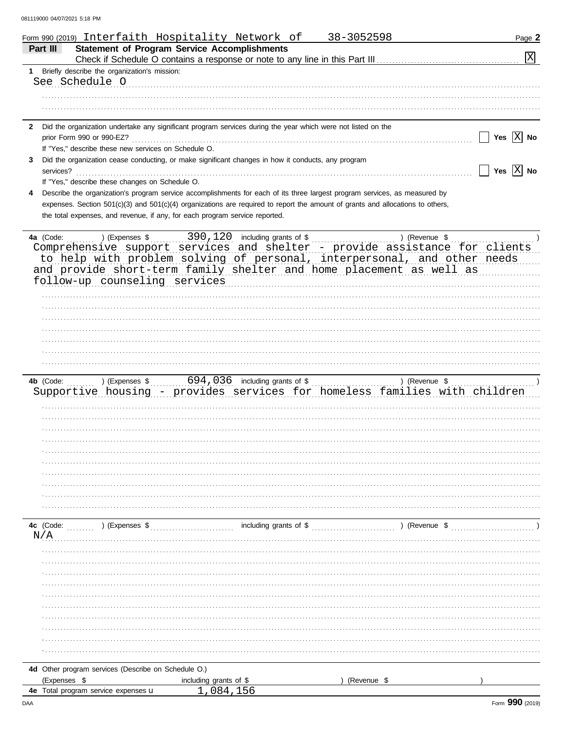|    | Form 990 (2019) Interfaith Hospitality Network of<br>38-3052598                                                                                                                                                                                              | Page 2       |
|----|--------------------------------------------------------------------------------------------------------------------------------------------------------------------------------------------------------------------------------------------------------------|--------------|
|    | <b>Statement of Program Service Accomplishments</b><br>Part III                                                                                                                                                                                              |              |
|    | Check if Schedule O contains a response or note to any line in this Part III                                                                                                                                                                                 | X            |
| 1. | Briefly describe the organization's mission:<br>See Schedule O                                                                                                                                                                                               |              |
|    |                                                                                                                                                                                                                                                              |              |
|    |                                                                                                                                                                                                                                                              |              |
|    |                                                                                                                                                                                                                                                              |              |
| 2  | Did the organization undertake any significant program services during the year which were not listed on the                                                                                                                                                 |              |
|    | prior Form 990 or 990-EZ?                                                                                                                                                                                                                                    | Yes $X$ No   |
|    | If "Yes," describe these new services on Schedule O.                                                                                                                                                                                                         |              |
| 3  | Did the organization cease conducting, or make significant changes in how it conducts, any program                                                                                                                                                           |              |
|    | services?                                                                                                                                                                                                                                                    | Yes $ X $ No |
|    | If "Yes," describe these changes on Schedule O.                                                                                                                                                                                                              |              |
| 4  | Describe the organization's program service accomplishments for each of its three largest program services, as measured by<br>expenses. Section 501(c)(3) and 501(c)(4) organizations are required to report the amount of grants and allocations to others, |              |
|    | the total expenses, and revenue, if any, for each program service reported.                                                                                                                                                                                  |              |
|    |                                                                                                                                                                                                                                                              |              |
|    | ) (Revenue \$                                                                                                                                                                                                                                                |              |
|    | Comprehensive support services and shelter - provide assistance for clients                                                                                                                                                                                  |              |
|    | to help with problem solving of personal, interpersonal, and other needs                                                                                                                                                                                     |              |
|    | and provide short-term family shelter and home placement as well as                                                                                                                                                                                          |              |
|    | follow-up counseling services                                                                                                                                                                                                                                |              |
|    |                                                                                                                                                                                                                                                              |              |
|    |                                                                                                                                                                                                                                                              |              |
|    |                                                                                                                                                                                                                                                              |              |
|    |                                                                                                                                                                                                                                                              |              |
|    |                                                                                                                                                                                                                                                              |              |
|    |                                                                                                                                                                                                                                                              |              |
|    |                                                                                                                                                                                                                                                              |              |
|    | ) (Revenue \$                                                                                                                                                                                                                                                |              |
|    | Supportive housing - provides services for homeless families with children                                                                                                                                                                                   |              |
|    |                                                                                                                                                                                                                                                              |              |
|    |                                                                                                                                                                                                                                                              |              |
|    |                                                                                                                                                                                                                                                              |              |
|    |                                                                                                                                                                                                                                                              |              |
|    |                                                                                                                                                                                                                                                              |              |
|    |                                                                                                                                                                                                                                                              |              |
|    |                                                                                                                                                                                                                                                              |              |
|    |                                                                                                                                                                                                                                                              |              |
|    |                                                                                                                                                                                                                                                              |              |
|    |                                                                                                                                                                                                                                                              |              |
|    | 4c (Code: ) (Expenses \$<br>) (Revenue \$                                                                                                                                                                                                                    |              |
|    | N/A                                                                                                                                                                                                                                                          |              |
|    |                                                                                                                                                                                                                                                              |              |
|    |                                                                                                                                                                                                                                                              |              |
|    |                                                                                                                                                                                                                                                              |              |
|    |                                                                                                                                                                                                                                                              |              |
|    |                                                                                                                                                                                                                                                              |              |
|    |                                                                                                                                                                                                                                                              |              |
|    |                                                                                                                                                                                                                                                              |              |
|    |                                                                                                                                                                                                                                                              |              |
|    |                                                                                                                                                                                                                                                              |              |
|    |                                                                                                                                                                                                                                                              |              |
|    | 4d Other program services (Describe on Schedule O.)                                                                                                                                                                                                          |              |
|    | (Expenses \$<br>including grants of \$<br>(Revenue \$                                                                                                                                                                                                        |              |
|    | 1,084,156<br>4e Total program service expenses u                                                                                                                                                                                                             |              |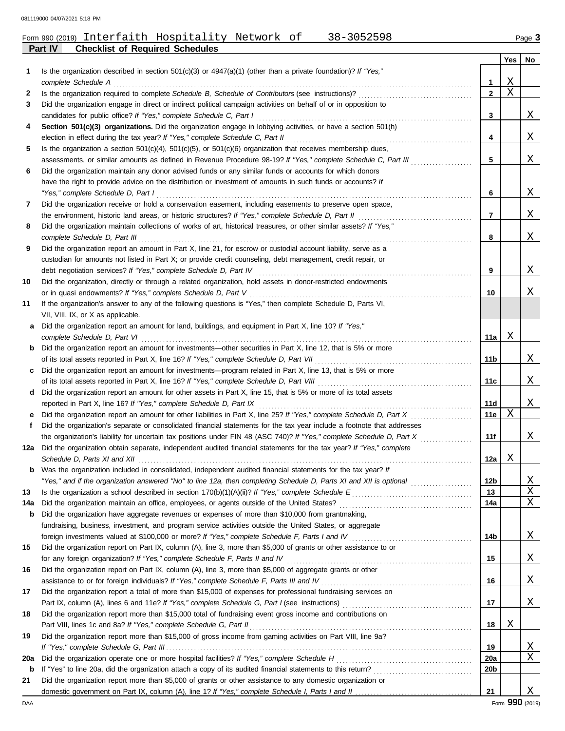**Part IV Checklist of Required Schedules**

|  | Form 990 (2019) | Interfaith | Hospitality | Network | оf | 52598<br>38-<br>305 | Page 3 |
|--|-----------------|------------|-------------|---------|----|---------------------|--------|
|--|-----------------|------------|-------------|---------|----|---------------------|--------|

|     | 21100111101 01 110011100 0011000                                                                                        |                 |     |        |
|-----|-------------------------------------------------------------------------------------------------------------------------|-----------------|-----|--------|
|     |                                                                                                                         |                 | Yes | No     |
| 1   | Is the organization described in section $501(c)(3)$ or $4947(a)(1)$ (other than a private foundation)? If "Yes,"       |                 |     |        |
|     | complete Schedule A                                                                                                     | 1               | Χ   |        |
| 2   | Is the organization required to complete Schedule B, Schedule of Contributors (see instructions)?                       | $\mathbf{2}$    | Χ   |        |
| 3   | Did the organization engage in direct or indirect political campaign activities on behalf of or in opposition to        |                 |     |        |
|     | candidates for public office? If "Yes," complete Schedule C, Part I                                                     | 3               |     | Χ      |
| 4   | Section 501(c)(3) organizations. Did the organization engage in lobbying activities, or have a section 501(h)           |                 |     |        |
|     | election in effect during the tax year? If "Yes," complete Schedule C, Part II                                          | 4               |     | Χ      |
| 5   | Is the organization a section $501(c)(4)$ , $501(c)(5)$ , or $501(c)(6)$ organization that receives membership dues,    |                 |     |        |
|     | assessments, or similar amounts as defined in Revenue Procedure 98-19? If "Yes," complete Schedule C, Part III          | 5               |     | Χ      |
| 6   | Did the organization maintain any donor advised funds or any similar funds or accounts for which donors                 |                 |     |        |
|     | have the right to provide advice on the distribution or investment of amounts in such funds or accounts? If             |                 |     |        |
|     | "Yes," complete Schedule D, Part I                                                                                      | 6               |     | Χ      |
| 7   | Did the organization receive or hold a conservation easement, including easements to preserve open space,               |                 |     |        |
|     | the environment, historic land areas, or historic structures? If "Yes," complete Schedule D, Part II                    | 7               |     | Χ      |
|     | Did the organization maintain collections of works of art, historical treasures, or other similar assets? If "Yes,"     |                 |     |        |
| 8   |                                                                                                                         |                 |     | Χ      |
|     | complete Schedule D, Part III                                                                                           | 8               |     |        |
| 9   | Did the organization report an amount in Part X, line 21, for escrow or custodial account liability, serve as a         |                 |     |        |
|     | custodian for amounts not listed in Part X; or provide credit counseling, debt management, credit repair, or            |                 |     |        |
|     | debt negotiation services? If "Yes," complete Schedule D, Part IV                                                       | 9               |     | Χ      |
| 10  | Did the organization, directly or through a related organization, hold assets in donor-restricted endowments            |                 |     |        |
|     | or in quasi endowments? If "Yes," complete Schedule D, Part V                                                           | 10              |     | Χ      |
| 11  | If the organization's answer to any of the following questions is "Yes," then complete Schedule D, Parts VI,            |                 |     |        |
|     | VII, VIII, IX, or X as applicable.                                                                                      |                 |     |        |
| a   | Did the organization report an amount for land, buildings, and equipment in Part X, line 10? If "Yes,"                  |                 |     |        |
|     | complete Schedule D, Part VI                                                                                            | 11a             | Χ   |        |
| b   | Did the organization report an amount for investments—other securities in Part X, line 12, that is 5% or more           |                 |     |        |
|     | of its total assets reported in Part X, line 16? If "Yes," complete Schedule D, Part VII                                | 11b             |     | Χ      |
| c   | Did the organization report an amount for investments—program related in Part X, line 13, that is 5% or more            |                 |     |        |
|     |                                                                                                                         | 11c             |     | Χ      |
| d   | Did the organization report an amount for other assets in Part X, line 15, that is 5% or more of its total assets       |                 |     |        |
|     | reported in Part X, line 16? If "Yes," complete Schedule D, Part IX                                                     | 11d             |     | Χ      |
| е   | Did the organization report an amount for other liabilities in Part X, line 25? If "Yes," complete Schedule D, Part X   | 11e             | Χ   |        |
| f   | Did the organization's separate or consolidated financial statements for the tax year include a footnote that addresses |                 |     |        |
|     | the organization's liability for uncertain tax positions under FIN 48 (ASC 740)? If "Yes," complete Schedule D, Part X  | 11f             |     | Χ      |
| 12a | Did the organization obtain separate, independent audited financial statements for the tax year? If "Yes," complete     |                 |     |        |
|     |                                                                                                                         | 12a             | Χ   |        |
| b   | Was the organization included in consolidated, independent audited financial statements for the tax year? If            |                 |     |        |
|     |                                                                                                                         |                 |     |        |
|     |                                                                                                                         | 12b             |     | Χ<br>Χ |
| 13  |                                                                                                                         | 13              |     |        |
| 14a | Did the organization maintain an office, employees, or agents outside of the United States?                             | 14a             |     | Χ      |
| b   | Did the organization have aggregate revenues or expenses of more than \$10,000 from grantmaking,                        |                 |     |        |
|     | fundraising, business, investment, and program service activities outside the United States, or aggregate               |                 |     |        |
|     | foreign investments valued at \$100,000 or more? If "Yes," complete Schedule F, Parts I and IV                          | 14b             |     | Χ      |
| 15  | Did the organization report on Part IX, column (A), line 3, more than \$5,000 of grants or other assistance to or       |                 |     |        |
|     | for any foreign organization? If "Yes," complete Schedule F, Parts II and IV                                            | 15              |     | Χ      |
| 16  | Did the organization report on Part IX, column (A), line 3, more than \$5,000 of aggregate grants or other              |                 |     |        |
|     | assistance to or for foreign individuals? If "Yes," complete Schedule F, Parts III and IV                               | 16              |     | Χ      |
| 17  | Did the organization report a total of more than \$15,000 of expenses for professional fundraising services on          |                 |     |        |
|     |                                                                                                                         | 17              |     | Χ      |
| 18  | Did the organization report more than \$15,000 total of fundraising event gross income and contributions on             |                 |     |        |
|     | Part VIII, lines 1c and 8a? If "Yes," complete Schedule G, Part II                                                      | 18              | Χ   |        |
| 19  | Did the organization report more than \$15,000 of gross income from gaming activities on Part VIII, line 9a?            |                 |     |        |
|     |                                                                                                                         | 19              |     | Χ      |
| 20a |                                                                                                                         | 20a             |     | Χ      |
| b   |                                                                                                                         | 20 <sub>b</sub> |     |        |
| 21  | Did the organization report more than \$5,000 of grants or other assistance to any domestic organization or             |                 |     |        |
|     |                                                                                                                         | 21              |     | Χ      |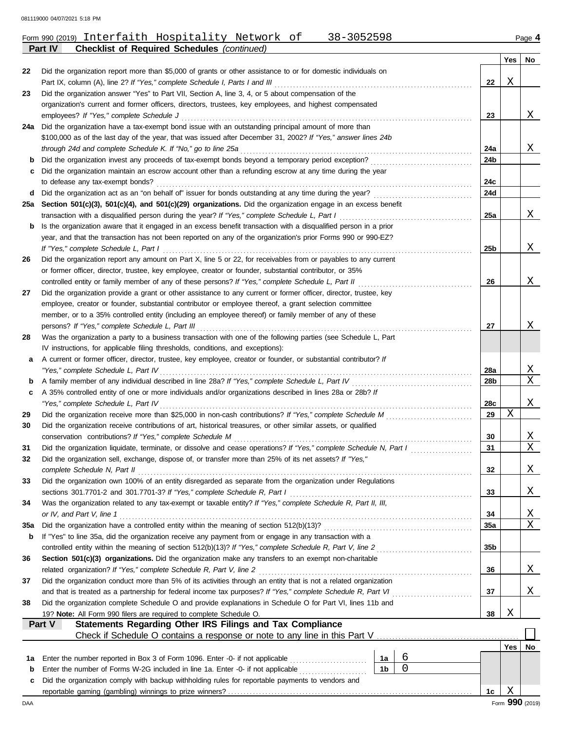|     | Form 990 (2019) Interfaith Hospitality Network of<br>38-3052598<br><b>Checklist of Required Schedules (continued)</b><br>Part IV |     |     | Page 4   |
|-----|----------------------------------------------------------------------------------------------------------------------------------|-----|-----|----------|
|     |                                                                                                                                  |     | Yes | No       |
| 22  | Did the organization report more than \$5,000 of grants or other assistance to or for domestic individuals on                    |     |     |          |
|     | Part IX, column (A), line 2? If "Yes," complete Schedule I, Parts I and III                                                      | 22  | Χ   |          |
| 23  | Did the organization answer "Yes" to Part VII, Section A, line 3, 4, or 5 about compensation of the                              |     |     |          |
|     | organization's current and former officers, directors, trustees, key employees, and highest compensated                          |     |     |          |
|     | employees? If "Yes," complete Schedule J                                                                                         | 23  |     | Χ        |
| 24a | Did the organization have a tax-exempt bond issue with an outstanding principal amount of more than                              |     |     |          |
|     | \$100,000 as of the last day of the year, that was issued after December 31, 2002? If "Yes," answer lines 24b                    |     |     |          |
|     | through 24d and complete Schedule K. If "No," go to line 25a                                                                     | 24a |     | Χ        |
| b   | Did the organization invest any proceeds of tax-exempt bonds beyond a temporary period exception?                                | 24b |     |          |
| c   | Did the organization maintain an escrow account other than a refunding escrow at any time during the year                        |     |     |          |
|     | to defease any tax-exempt bonds?                                                                                                 | 24c |     |          |
| d   |                                                                                                                                  | 24d |     |          |
| 25a | Section 501(c)(3), 501(c)(4), and 501(c)(29) organizations. Did the organization engage in an excess benefit                     |     |     |          |
|     | transaction with a disqualified person during the year? If "Yes," complete Schedule L, Part I                                    | 25a |     | Χ        |
| b   | Is the organization aware that it engaged in an excess benefit transaction with a disqualified person in a prior                 |     |     |          |
|     | year, and that the transaction has not been reported on any of the organization's prior Forms 990 or 990-EZ?                     |     |     |          |
|     | If "Yes," complete Schedule L, Part I                                                                                            | 25b |     | X        |
| 26  | Did the organization report any amount on Part X, line 5 or 22, for receivables from or payables to any current                  |     |     |          |
|     | or former officer, director, trustee, key employee, creator or founder, substantial contributor, or 35%                          |     |     |          |
|     | controlled entity or family member of any of these persons? If "Yes," complete Schedule L, Part II                               | 26  |     | Χ        |
| 27  | Did the organization provide a grant or other assistance to any current or former officer, director, trustee, key                |     |     |          |
|     | employee, creator or founder, substantial contributor or employee thereof, a grant selection committee                           |     |     |          |
|     | member, or to a 35% controlled entity (including an employee thereof) or family member of any of these                           |     |     |          |
|     | persons? If "Yes," complete Schedule L, Part III                                                                                 | 27  |     | X        |
| 28  | Was the organization a party to a business transaction with one of the following parties (see Schedule L, Part                   |     |     |          |
|     | IV instructions, for applicable filing thresholds, conditions, and exceptions):                                                  |     |     |          |
| a   | A current or former officer, director, trustee, key employee, creator or founder, or substantial contributor? If                 |     |     |          |
|     | "Yes," complete Schedule L, Part IV                                                                                              | 28a |     | <u>X</u> |
| b   | A family member of any individual described in line 28a? If "Yes," complete Schedule L, Part IV                                  | 28b |     | Χ        |
| С   | A 35% controlled entity of one or more individuals and/or organizations described in lines 28a or 28b? If                        |     |     |          |
|     | "Yes," complete Schedule L, Part IV                                                                                              | 28c |     | Χ        |
| 29  |                                                                                                                                  | 29  | X   |          |
| 30  | Did the organization receive contributions of art, historical treasures, or other similar assets, or qualified                   |     |     |          |
|     | conservation contributions? If "Yes," complete Schedule M                                                                        | 30  |     | Χ        |
| 31  | Did the organization liquidate, terminate, or dissolve and cease operations? If "Yes," complete Schedule N, Part I               | 31  |     | Χ        |
| 32  | Did the organization sell, exchange, dispose of, or transfer more than 25% of its net assets? If "Yes,"                          |     |     |          |
|     | complete Schedule N, Part II                                                                                                     | 32  |     | Χ        |
| 33  | Did the organization own 100% of an entity disregarded as separate from the organization under Regulations                       |     |     |          |
|     | sections 301.7701-2 and 301.7701-3? If "Yes," complete Schedule R, Part I                                                        | 33  |     | <u>X</u> |
| 34  | Was the organization related to any tax-exempt or taxable entity? If "Yes," complete Schedule R, Part II, III,                   |     |     |          |
|     | or IV, and Part V, line 1                                                                                                        | 34  |     | Χ<br>Χ   |
| 35a |                                                                                                                                  | 35a |     |          |
| b   | If "Yes" to line 35a, did the organization receive any payment from or engage in any transaction with a                          |     |     |          |
|     |                                                                                                                                  | 35b |     |          |
| 36  | Section 501(c)(3) organizations. Did the organization make any transfers to an exempt non-charitable                             |     |     |          |
|     | related organization? If "Yes," complete Schedule R, Part V, line 2                                                              | 36  |     | Χ        |
| 37  | Did the organization conduct more than 5% of its activities through an entity that is not a related organization                 |     |     |          |
|     | and that is treated as a partnership for federal income tax purposes? If "Yes," complete Schedule R, Part VI                     | 37  |     | Χ        |
| 38  | Did the organization complete Schedule O and provide explanations in Schedule O for Part VI, lines 11b and                       |     |     |          |
|     | 19? Note: All Form 990 filers are required to complete Schedule O.                                                               | 38  | Χ   |          |
|     | Part V<br><b>Statements Regarding Other IRS Filings and Tax Compliance</b>                                                       |     |     |          |

| 1a Enter the number reported in Box 3 of Form 1096. Enter -0- if not applicable                    | 1a |  |  |
|----------------------------------------------------------------------------------------------------|----|--|--|
| <b>b</b> Enter the number of Forms W-2G included in line 1a. Enter -0- if not applicable           | 1b |  |  |
| c Did the organization comply with backup withholding rules for reportable payments to vendors and |    |  |  |
|                                                                                                    |    |  |  |

| Y.<br>s | ۷О |
|---------|----|

DAA Form **990** (2019)  $\begin{array}{c|c}\n\mathbf{c} & \mathbf{X} \\
\hline\n\text{Form } \mathbf{990} \text{ (2019)}\n\end{array}$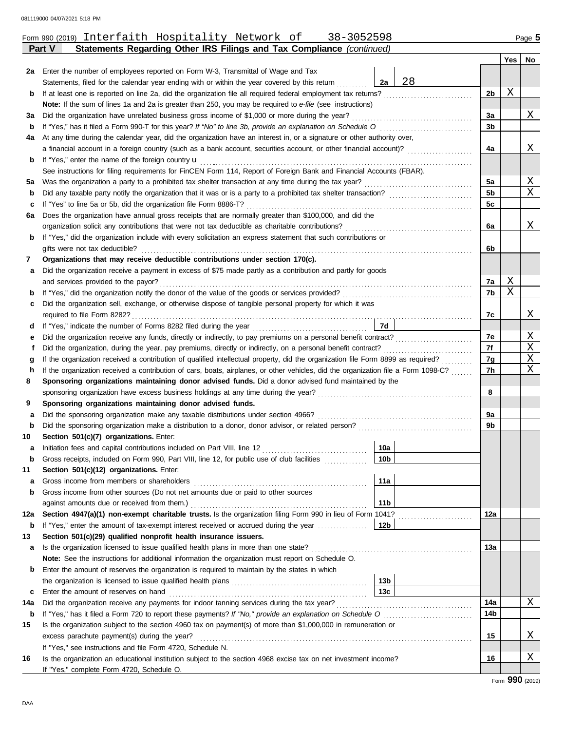|     | 2a Enter the number of employees reported on Form W-3, Transmittal of Wage and Tax                                                 |                 |    |                |   |             |  |
|-----|------------------------------------------------------------------------------------------------------------------------------------|-----------------|----|----------------|---|-------------|--|
|     | Statements, filed for the calendar year ending with or within the year covered by this return                                      | 2a              | 28 |                |   |             |  |
| b   | If at least one is reported on line 2a, did the organization file all required federal employment tax returns?                     |                 |    | 2b             | Χ |             |  |
|     | Note: If the sum of lines 1a and 2a is greater than 250, you may be required to e-file (see instructions)                          |                 |    |                |   |             |  |
| За  | Did the organization have unrelated business gross income of \$1,000 or more during the year?                                      |                 |    | За             |   | Χ           |  |
| b   | If "Yes," has it filed a Form 990-T for this year? If "No" to line 3b, provide an explanation on Schedule O                        |                 |    | 3b             |   |             |  |
| 4а  | At any time during the calendar year, did the organization have an interest in, or a signature or other authority over,            |                 |    |                |   |             |  |
|     | a financial account in a foreign country (such as a bank account, securities account, or other financial account)?                 |                 |    | 4a             |   | Χ           |  |
| b   | If "Yes," enter the name of the foreign country <b>u</b>                                                                           |                 |    |                |   |             |  |
|     | See instructions for filing requirements for FinCEN Form 114, Report of Foreign Bank and Financial Accounts (FBAR).                |                 |    |                |   |             |  |
| 5а  | Was the organization a party to a prohibited tax shelter transaction at any time during the tax year?                              |                 |    | 5a             |   | Χ           |  |
| b   | Did any taxable party notify the organization that it was or is a party to a prohibited tax shelter transaction?                   |                 |    | 5 <sub>b</sub> |   | $\mathbf X$ |  |
| с   | If "Yes" to line 5a or 5b, did the organization file Form 8886-T?                                                                  |                 |    | 5c             |   |             |  |
| 6а  | Does the organization have annual gross receipts that are normally greater than \$100,000, and did the                             |                 |    |                |   |             |  |
|     | organization solicit any contributions that were not tax deductible as charitable contributions?                                   |                 |    | 6a             |   | Χ           |  |
| b   | If "Yes," did the organization include with every solicitation an express statement that such contributions or                     |                 |    |                |   |             |  |
|     | gifts were not tax deductible?                                                                                                     |                 |    | 6b             |   |             |  |
| 7   | Organizations that may receive deductible contributions under section 170(c).                                                      |                 |    |                |   |             |  |
| а   | Did the organization receive a payment in excess of \$75 made partly as a contribution and partly for goods                        |                 |    |                |   |             |  |
|     | and services provided to the payor?                                                                                                |                 |    | 7a             | Χ |             |  |
| b   |                                                                                                                                    |                 |    | 7b             | Χ |             |  |
| с   | Did the organization sell, exchange, or otherwise dispose of tangible personal property for which it was                           |                 |    |                |   |             |  |
|     |                                                                                                                                    |                 |    | 7c             |   | Χ           |  |
| d   |                                                                                                                                    | 7d              |    |                |   |             |  |
| е   |                                                                                                                                    |                 |    | 7e             |   | Χ           |  |
|     | Did the organization, during the year, pay premiums, directly or indirectly, on a personal benefit contract?                       |                 |    | 7f             |   | Χ           |  |
| g   | If the organization received a contribution of qualified intellectual property, did the organization file Form 8899 as required?   |                 |    | 7g             |   | Χ           |  |
| h   | If the organization received a contribution of cars, boats, airplanes, or other vehicles, did the organization file a Form 1098-C? |                 |    | 7h             |   | Χ           |  |
| 8   | Sponsoring organizations maintaining donor advised funds. Did a donor advised fund maintained by the                               |                 |    |                |   |             |  |
|     |                                                                                                                                    |                 |    | 8              |   |             |  |
| 9   | Sponsoring organizations maintaining donor advised funds.                                                                          |                 |    |                |   |             |  |
| a   | Did the sponsoring organization make any taxable distributions under section 4966?                                                 |                 |    | 9а             |   |             |  |
| b   |                                                                                                                                    |                 |    | 9b             |   |             |  |
| 10  | Section 501(c)(7) organizations. Enter:                                                                                            |                 |    |                |   |             |  |
| а   | Initiation fees and capital contributions included on Part VIII, line 12                                                           | 10a             |    |                |   |             |  |
| b   | Gross receipts, included on Form 990, Part VIII, line 12, for public use of club facilities                                        | 10 <sub>b</sub> |    |                |   |             |  |
| 11  | Section 501(c)(12) organizations. Enter:                                                                                           |                 |    |                |   |             |  |
|     | Gross income from members or shareholders                                                                                          | 11a             |    |                |   |             |  |
| b   | Gross income from other sources (Do not net amounts due or paid to other sources                                                   |                 |    |                |   |             |  |
|     | against amounts due or received from them.)                                                                                        | 11 <sub>b</sub> |    |                |   |             |  |
| 12a | Section 4947(a)(1) non-exempt charitable trusts. Is the organization filing Form 990 in lieu of Form 1041?                         |                 |    | 12a            |   |             |  |
| b   | If "Yes," enter the amount of tax-exempt interest received or accrued during the year                                              | 12b             |    |                |   |             |  |
| 13  | Section 501(c)(29) qualified nonprofit health insurance issuers.                                                                   |                 |    |                |   |             |  |
| а   | Is the organization licensed to issue qualified health plans in more than one state?                                               |                 |    | 13a            |   |             |  |
|     | Note: See the instructions for additional information the organization must report on Schedule O.                                  |                 |    |                |   |             |  |
| b   | Enter the amount of reserves the organization is required to maintain by the states in which                                       |                 |    |                |   |             |  |
|     |                                                                                                                                    | 13 <sub>b</sub> |    |                |   |             |  |
| c   | Enter the amount of reserves on hand                                                                                               | 13c             |    |                |   |             |  |
| 14a | Did the organization receive any payments for indoor tanning services during the tax year?                                         |                 |    | 14a            |   | Χ           |  |
| b   | If "Yes," has it filed a Form 720 to report these payments? If "No," provide an explanation on Schedule O                          |                 |    | 14b            |   |             |  |
| 15  | Is the organization subject to the section 4960 tax on payment(s) of more than \$1,000,000 in remuneration or                      |                 |    |                |   |             |  |
|     | excess parachute payment(s) during the year?                                                                                       |                 |    | 15             |   | Χ           |  |
|     | If "Yes," see instructions and file Form 4720, Schedule N.                                                                         |                 |    |                |   |             |  |
| 16  | Is the organization an educational institution subject to the section 4968 excise tax on net investment income?                    |                 |    | 16             |   | Χ           |  |
|     | If "Yes," complete Form 4720, Schedule O.                                                                                          |                 |    |                |   |             |  |
|     |                                                                                                                                    |                 |    |                |   | QQQ         |  |

**Yes No**

**Part V Statements Regarding Other IRS Filings and Tax Compliance** *(continued)*

| th Hospitality Net |  |
|--------------------|--|

Form 990 (2019) Interfaith Hospitality Network of 38-3052598 Page 5

| эf |  | 38-3052598             |  |
|----|--|------------------------|--|
|    |  | Camplianas (continuod) |  |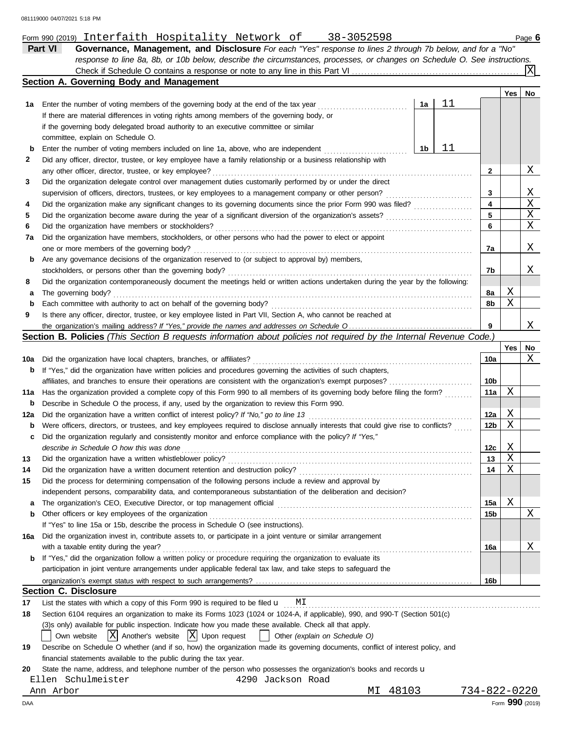|     | Section A. Governing Body and Management                                                                                            |    |    |                         |     |                 |
|-----|-------------------------------------------------------------------------------------------------------------------------------------|----|----|-------------------------|-----|-----------------|
|     |                                                                                                                                     |    |    |                         | Yes | No              |
| 1a  | Enter the number of voting members of the governing body at the end of the tax year                                                 | 1a | 11 |                         |     |                 |
|     | If there are material differences in voting rights among members of the governing body, or                                          |    |    |                         |     |                 |
|     | if the governing body delegated broad authority to an executive committee or similar                                                |    |    |                         |     |                 |
|     | committee, explain on Schedule O.                                                                                                   |    |    |                         |     |                 |
| b   | Enter the number of voting members included on line 1a, above, who are independent                                                  | 1b | 11 |                         |     |                 |
| 2   | Did any officer, director, trustee, or key employee have a family relationship or a business relationship with                      |    |    |                         |     |                 |
|     | any other officer, director, trustee, or key employee?                                                                              |    |    | $\mathbf{2}$            |     | Χ               |
| 3   | Did the organization delegate control over management duties customarily performed by or under the direct                           |    |    |                         |     |                 |
|     | supervision of officers, directors, trustees, or key employees to a management company or other person?                             |    |    | 3                       |     | Χ               |
| 4   |                                                                                                                                     |    |    | $\overline{\mathbf{4}}$ |     | X               |
| 5   |                                                                                                                                     |    |    | 5                       |     | Χ               |
| 6   | Did the organization have members or stockholders?                                                                                  |    |    | 6                       |     | Χ               |
| 7a  | Did the organization have members, stockholders, or other persons who had the power to elect or appoint                             |    |    |                         |     |                 |
|     | one or more members of the governing body?                                                                                          |    |    | 7a                      |     | Χ               |
| b   | Are any governance decisions of the organization reserved to (or subject to approval by) members,                                   |    |    |                         |     |                 |
|     | stockholders, or persons other than the governing body?                                                                             |    |    | 7b                      |     | Χ               |
| 8   | Did the organization contemporaneously document the meetings held or written actions undertaken during the year by the following:   |    |    |                         |     |                 |
| а   | The governing body?                                                                                                                 |    |    | 8a                      | Χ   |                 |
| b   | Each committee with authority to act on behalf of the governing body?                                                               |    |    | 8b                      | X   |                 |
| 9   | Is there any officer, director, trustee, or key employee listed in Part VII, Section A, who cannot be reached at                    |    |    |                         |     |                 |
|     |                                                                                                                                     |    |    | 9                       |     | Χ               |
|     | <b>Section B. Policies</b> (This Section B requests information about policies not required by the Internal Revenue Code.)          |    |    |                         |     |                 |
|     |                                                                                                                                     |    |    |                         | Yes | No              |
| 10a | Did the organization have local chapters, branches, or affiliates?                                                                  |    |    | 10a                     |     | Χ               |
| b   | If "Yes," did the organization have written policies and procedures governing the activities of such chapters,                      |    |    |                         |     |                 |
|     | affiliates, and branches to ensure their operations are consistent with the organization's exempt purposes?                         |    |    | 10b                     |     |                 |
| 11a | Has the organization provided a complete copy of this Form 990 to all members of its governing body before filing the form?         |    |    |                         |     |                 |
| b   | Describe in Schedule O the process, if any, used by the organization to review this Form 990.                                       |    |    |                         |     |                 |
| 12a | Did the organization have a written conflict of interest policy? If "No," go to line 13                                             |    |    |                         |     |                 |
| b   | Were officers, directors, or trustees, and key employees required to disclose annually interests that could give rise to conflicts? |    |    |                         |     |                 |
| c   | Did the organization regularly and consistently monitor and enforce compliance with the policy? If "Yes,"                           |    |    |                         |     |                 |
|     | describe in Schedule O how this was done                                                                                            |    |    | 12c                     | Χ   |                 |
| 13  | Did the organization have a written whistleblower policy?                                                                           |    |    | 13                      | Χ   |                 |
| 14  |                                                                                                                                     |    |    | 14                      | X   |                 |
| 15  | Did the process for determining compensation of the following persons include a review and approval by                              |    |    |                         |     |                 |
|     | independent persons, comparability data, and contemporaneous substantiation of the deliberation and decision?                       |    |    |                         |     |                 |
| а   |                                                                                                                                     |    |    | 15a                     | Χ   |                 |
| b   | Other officers or key employees of the organization                                                                                 |    |    | 15b                     |     | Χ               |
|     | If "Yes" to line 15a or 15b, describe the process in Schedule O (see instructions).                                                 |    |    |                         |     |                 |
| 16a | Did the organization invest in, contribute assets to, or participate in a joint venture or similar arrangement                      |    |    |                         |     |                 |
|     | with a taxable entity during the year?                                                                                              |    |    | 16a                     |     | Χ               |
| b   | If "Yes," did the organization follow a written policy or procedure requiring the organization to evaluate its                      |    |    |                         |     |                 |
|     | participation in joint venture arrangements under applicable federal tax law, and take steps to safeguard the                       |    |    |                         |     |                 |
|     |                                                                                                                                     |    |    | 16b                     |     |                 |
|     | <b>Section C. Disclosure</b>                                                                                                        |    |    |                         |     |                 |
| 17  | List the states with which a copy of this Form 990 is required to be filed $\mathbf u$<br>MI                                        |    |    |                         |     |                 |
| 18  | Section 6104 requires an organization to make its Forms 1023 (1024 or 1024-A, if applicable), 990, and 990-T (Section 501(c)        |    |    |                         |     |                 |
|     | (3)s only) available for public inspection. Indicate how you made these available. Check all that apply.                            |    |    |                         |     |                 |
|     | $ X $ Another's website $ X $ Upon request<br>Other (explain on Schedule O)<br>Own website                                          |    |    |                         |     |                 |
| 19  | Describe on Schedule O whether (and if so, how) the organization made its governing documents, conflict of interest policy, and     |    |    |                         |     |                 |
|     | financial statements available to the public during the tax year.                                                                   |    |    |                         |     |                 |
| 20  | State the name, address, and telephone number of the person who possesses the organization's books and records u                    |    |    |                         |     |                 |
|     | Ellen Schulmeister<br>4290 Jackson Road                                                                                             |    |    |                         |     |                 |
|     | 48103<br>Ann Arbor<br>MΙ                                                                                                            |    |    | 734-822-0220            |     |                 |
| DAA |                                                                                                                                     |    |    |                         |     | Form 990 (2019) |

**Part VI Governance, Management, and Disclosure** *For each "Yes" response to lines 2 through 7b below, and for a "No"*

Check if Schedule O contains a response or note to any line in this Part VI.

*response to line 8a, 8b, or 10b below, describe the circumstances, processes, or changes on Schedule O. See instructions.*

 $\boxed{\text{X}}$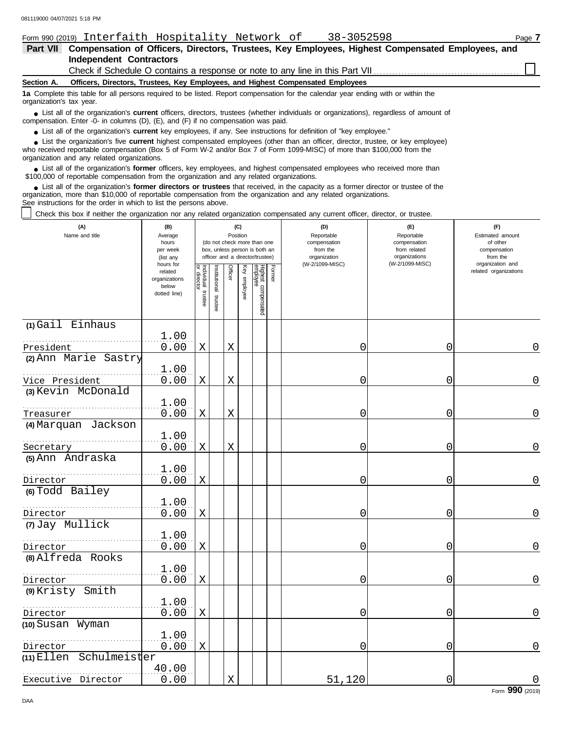**(1)** Gail Einhaus

**(2)** Ann Marie Sastry

**(3)** Kevin McDonald

Vice President

Treasurer

Secretary

Director

Director

Director

Director

Director

Director

**(4)** Marquan Jackson

. . . . . . . . . . . . . . . . . . . . . . . . . . . . . . . . . . . . . . . . . . . . . . . . . . . . . . .

. . . . . . . . . . . . . . . . . . . . . . . . . . . . . . . . . . . . . . . . . . . . . . . . . . . . . . . 1.00

. . . . . . . . . . . . . . . . . . . . . . . . . . . . . . . . . . . . . . . . . . . . . . . . . . . . . . .

. . . . . . . . . . . . . . . . . . . . . . . . . . . . . . . . . . . . . . . . . . . . . . . . . . . . . . .

. . . . . . . . . . . . . . . . . . . . . . . . . . . . . . . . . . . . . . . . . . . . . . . . . . . . . . .

. . . . . . . . . . . . . . . . . . . . . . . . . . . . . . . . . . . . . . . . . . . . . . . . . . . . . . . 1.00

. . . . . . . . . . . . . . . . . . . . . . . . . . . . . . . . . . . . . . . . . . . . . . . . . . . . . . . 40.00

. . . . . . . . . . . . . . . . . . . . . . . . . . . . . . . . . . . . . . . . . . . . . . . . . . . . . . .

. . . . . . . . . . . . . . . . . . . . . . . . . . . . . . . . . . . . . . . . . . . . . . . . . . . . . . .

. . . . . . . . . . . . . . . . . . . . . . . . . . . . . . . . . . . . . . . . . . . . . . . . . . . . . . . President

. . . . . . . . . . . . . . . . . . . . . . . . . . . . . . . . . . . . . . . . . . . . . . . . . . . . . . .

 $\frac{1.00}{0.00}$ 

1.00

1.00

1.00

1.00

1.00

1.00

1.00

**(5)** Ann Andraska

**(6)** Todd Bailey

**(7)** Jay Mullick

**(8)** Alfreda Rooks

**(9)** Kristy Smith

**(10)** Susan Wyman

Executive Director

**(11)** Ellen Schulmeister

| Form 990 (2019) Interfaith Hospitality Network of 38-3052598                                                                                                                                                                                                                                                                  |                                                                                                                    |                                                                                                                                                                                                                                                                |                                                                                  |                                                                                       | Page 7                                                                                                       |  |  |
|-------------------------------------------------------------------------------------------------------------------------------------------------------------------------------------------------------------------------------------------------------------------------------------------------------------------------------|--------------------------------------------------------------------------------------------------------------------|----------------------------------------------------------------------------------------------------------------------------------------------------------------------------------------------------------------------------------------------------------------|----------------------------------------------------------------------------------|---------------------------------------------------------------------------------------|--------------------------------------------------------------------------------------------------------------|--|--|
| <b>Part VII</b>                                                                                                                                                                                                                                                                                                               |                                                                                                                    | Compensation of Officers, Directors, Trustees, Key Employees, Highest Compensated Employees, and                                                                                                                                                               |                                                                                  |                                                                                       |                                                                                                              |  |  |
| <b>Independent Contractors</b>                                                                                                                                                                                                                                                                                                |                                                                                                                    |                                                                                                                                                                                                                                                                |                                                                                  |                                                                                       |                                                                                                              |  |  |
|                                                                                                                                                                                                                                                                                                                               |                                                                                                                    |                                                                                                                                                                                                                                                                |                                                                                  |                                                                                       |                                                                                                              |  |  |
| Section A.                                                                                                                                                                                                                                                                                                                    |                                                                                                                    | Officers, Directors, Trustees, Key Employees, and Highest Compensated Employees                                                                                                                                                                                |                                                                                  |                                                                                       |                                                                                                              |  |  |
| 1a Complete this table for all persons required to be listed. Report compensation for the calendar year ending with or within the<br>organization's tax year.                                                                                                                                                                 |                                                                                                                    |                                                                                                                                                                                                                                                                |                                                                                  |                                                                                       |                                                                                                              |  |  |
| • List all of the organization's <b>current</b> officers, directors, trustees (whether individuals or organizations), regardless of amount of<br>compensation. Enter -0- in columns (D), (E), and (F) if no compensation was paid.                                                                                            |                                                                                                                    |                                                                                                                                                                                                                                                                |                                                                                  |                                                                                       |                                                                                                              |  |  |
| • List all of the organization's current key employees, if any. See instructions for definition of "key employee."                                                                                                                                                                                                            |                                                                                                                    |                                                                                                                                                                                                                                                                |                                                                                  |                                                                                       |                                                                                                              |  |  |
| • List the organization's five current highest compensated employees (other than an officer, director, trustee, or key employee)<br>who received reportable compensation (Box 5 of Form W-2 and/or Box 7 of Form 1099-MISC) of more than \$100,000 from the<br>organization and any related organizations.                    |                                                                                                                    |                                                                                                                                                                                                                                                                |                                                                                  |                                                                                       |                                                                                                              |  |  |
| • List all of the organization's former officers, key employees, and highest compensated employees who received more than<br>\$100,000 of reportable compensation from the organization and any related organizations.                                                                                                        |                                                                                                                    |                                                                                                                                                                                                                                                                |                                                                                  |                                                                                       |                                                                                                              |  |  |
| • List all of the organization's former directors or trustees that received, in the capacity as a former director or trustee of the<br>organization, more than \$10,000 of reportable compensation from the organization and any related organizations.<br>See instructions for the order in which to list the persons above. |                                                                                                                    |                                                                                                                                                                                                                                                                |                                                                                  |                                                                                       |                                                                                                              |  |  |
| Check this box if neither the organization nor any related organization compensated any current officer, director, or trustee.                                                                                                                                                                                                |                                                                                                                    |                                                                                                                                                                                                                                                                |                                                                                  |                                                                                       |                                                                                                              |  |  |
| (A)<br>Name and title                                                                                                                                                                                                                                                                                                         | (B)<br>Average<br>hours<br>per week<br>(list any<br>hours for<br>related<br>organizations<br>below<br>dotted line) | (C)<br>Position<br>(do not check more than one<br>box, unless person is both an<br>officer and a director/trustee)<br>Individual<br>or director<br>Institutional trustee<br>Highest compensated<br>employee<br>Former<br>Officer<br>Ķey<br>employee<br>trustee | (D)<br>Reportable<br>compensation<br>from the<br>organization<br>(W-2/1099-MISC) | (E)<br>Reportable<br>compensation<br>from related<br>organizations<br>(W-2/1099-MISC) | (F)<br>Estimated amount<br>of other<br>compensation<br>from the<br>organization and<br>related organizations |  |  |

0.00 X X 1 0 0 0 0 0 0

0.00 X X 1 0 0 0 0 0 0

0.00 X X 1 0 0 0 0 0 0

0.00 X X 1 0 0 0 0 0 0

0.00 X 0 0 0 0 0 0 0 0 0

0.00 X 0 0 0 0 0 0 0 0 0

0.00 X 0 0 0 0 0 0 0 0 0

0.00 X 0 0 0 0 0 0 0 0 0

0.00 X 0 0 0 0 0 0 0 0 0

0.00 X 0 0 0 0 0 0 0 0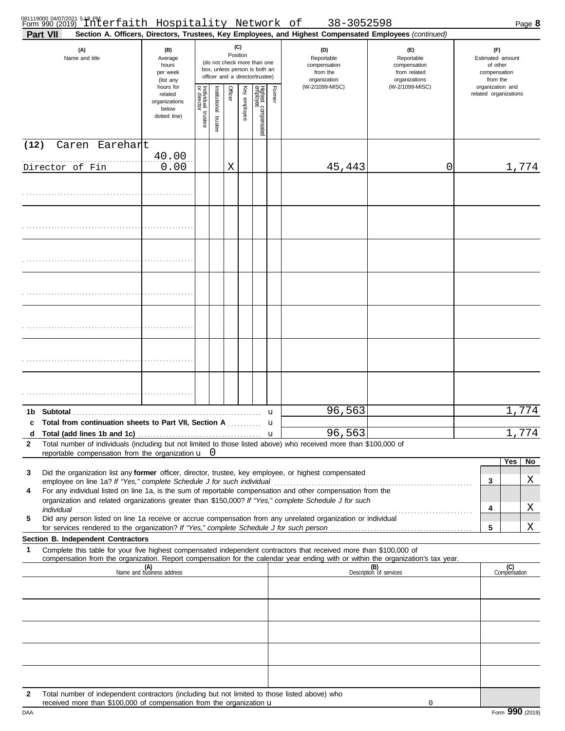|--|--|

| Part VII                                                                                                                                                                                                                                                                                                                                |                                                                    |                                      |                       |         |                 |                                                                                                 |        | Section A. Officers, Directors, Trustees, Key Employees, and Highest Compensated Employees (continued) |                                                                    |                                                                 |                                           |         |
|-----------------------------------------------------------------------------------------------------------------------------------------------------------------------------------------------------------------------------------------------------------------------------------------------------------------------------------------|--------------------------------------------------------------------|--------------------------------------|-----------------------|---------|-----------------|-------------------------------------------------------------------------------------------------|--------|--------------------------------------------------------------------------------------------------------|--------------------------------------------------------------------|-----------------------------------------------------------------|-------------------------------------------|---------|
| (A)<br>Name and title                                                                                                                                                                                                                                                                                                                   | (B)<br>Average<br>hours<br>per week<br>(list any                   |                                      |                       |         | (C)<br>Position | (do not check more than one<br>box, unless person is both an<br>officer and a director/trustee) |        | (D)<br>Reportable<br>compensation<br>from the<br>organization                                          | (E)<br>Reportable<br>compensation<br>from related<br>organizations | (F)<br>Estimated amount<br>of other<br>compensation<br>from the |                                           |         |
|                                                                                                                                                                                                                                                                                                                                         | hours for<br>related<br>organizations<br>below<br>dotted line)     | Individual<br>or director<br>trustee | Institutional trustee | Officer | Key employee    | Highest compensated<br>employee                                                                 | Former | (W-2/1099-MISC)                                                                                        | (W-2/1099-MISC)                                                    |                                                                 | organization and<br>related organizations |         |
| Caren Earehart<br>(12)                                                                                                                                                                                                                                                                                                                  |                                                                    |                                      |                       |         |                 |                                                                                                 |        |                                                                                                        |                                                                    |                                                                 |                                           |         |
| Director of Fin                                                                                                                                                                                                                                                                                                                         | 40.00<br>0.00                                                      |                                      |                       | Χ       |                 |                                                                                                 |        | 45,443                                                                                                 | 0                                                                  |                                                                 |                                           | 1,774   |
|                                                                                                                                                                                                                                                                                                                                         |                                                                    |                                      |                       |         |                 |                                                                                                 |        |                                                                                                        |                                                                    |                                                                 |                                           |         |
|                                                                                                                                                                                                                                                                                                                                         |                                                                    |                                      |                       |         |                 |                                                                                                 |        |                                                                                                        |                                                                    |                                                                 |                                           |         |
|                                                                                                                                                                                                                                                                                                                                         |                                                                    |                                      |                       |         |                 |                                                                                                 |        |                                                                                                        |                                                                    |                                                                 |                                           |         |
|                                                                                                                                                                                                                                                                                                                                         |                                                                    |                                      |                       |         |                 |                                                                                                 |        |                                                                                                        |                                                                    |                                                                 |                                           |         |
|                                                                                                                                                                                                                                                                                                                                         |                                                                    |                                      |                       |         |                 |                                                                                                 |        |                                                                                                        |                                                                    |                                                                 |                                           |         |
|                                                                                                                                                                                                                                                                                                                                         |                                                                    |                                      |                       |         |                 |                                                                                                 |        |                                                                                                        |                                                                    |                                                                 |                                           |         |
|                                                                                                                                                                                                                                                                                                                                         |                                                                    |                                      |                       |         |                 |                                                                                                 |        |                                                                                                        |                                                                    |                                                                 |                                           |         |
| с                                                                                                                                                                                                                                                                                                                                       |                                                                    |                                      |                       |         |                 |                                                                                                 |        | 96,563                                                                                                 |                                                                    |                                                                 |                                           | 1,774   |
| Total number of individuals (including but not limited to those listed above) who received more than \$100,000 of<br>reportable compensation from the organization $\mathbf{u}$ 0                                                                                                                                                       |                                                                    |                                      |                       |         |                 |                                                                                                 | u      | 96,563                                                                                                 |                                                                    |                                                                 |                                           | 1,774   |
| Did the organization list any former officer, director, trustee, key employee, or highest compensated<br>3<br>For any individual listed on line 1a, is the sum of reportable compensation and other compensation from the<br>4<br>organization and related organizations greater than \$150,000? If "Yes," complete Schedule J for such |                                                                    |                                      |                       |         |                 |                                                                                                 |        |                                                                                                        |                                                                    |                                                                 | Yes<br>3                                  | No<br>Χ |
| Did any person listed on line 1a receive or accrue compensation from any unrelated organization or individual<br>5                                                                                                                                                                                                                      |                                                                    |                                      |                       |         |                 |                                                                                                 |        |                                                                                                        |                                                                    |                                                                 | 4<br>5                                    | Χ       |
| Section B. Independent Contractors                                                                                                                                                                                                                                                                                                      |                                                                    |                                      |                       |         |                 |                                                                                                 |        |                                                                                                        |                                                                    |                                                                 |                                           | Χ       |
| Complete this table for your five highest compensated independent contractors that received more than \$100,000 of<br>1<br>compensation from the organization. Report compensation for the calendar year ending with or within the organization's tax year.                                                                             |                                                                    |                                      |                       |         |                 |                                                                                                 |        |                                                                                                        |                                                                    |                                                                 |                                           |         |
|                                                                                                                                                                                                                                                                                                                                         | (B)<br>Description of services<br>(A)<br>Name and business address |                                      |                       |         |                 |                                                                                                 |        | (C)<br>Compensation                                                                                    |                                                                    |                                                                 |                                           |         |
|                                                                                                                                                                                                                                                                                                                                         |                                                                    |                                      |                       |         |                 |                                                                                                 |        |                                                                                                        |                                                                    |                                                                 |                                           |         |
|                                                                                                                                                                                                                                                                                                                                         |                                                                    |                                      |                       |         |                 |                                                                                                 |        |                                                                                                        |                                                                    |                                                                 |                                           |         |
|                                                                                                                                                                                                                                                                                                                                         |                                                                    |                                      |                       |         |                 |                                                                                                 |        |                                                                                                        |                                                                    |                                                                 |                                           |         |
|                                                                                                                                                                                                                                                                                                                                         |                                                                    |                                      |                       |         |                 |                                                                                                 |        |                                                                                                        |                                                                    |                                                                 |                                           |         |
|                                                                                                                                                                                                                                                                                                                                         |                                                                    |                                      |                       |         |                 |                                                                                                 |        |                                                                                                        |                                                                    |                                                                 |                                           |         |
| Total number of independent contractors (including but not limited to those listed above) who<br>2<br>received more than \$100,000 of compensation from the organization u                                                                                                                                                              |                                                                    |                                      |                       |         |                 |                                                                                                 |        |                                                                                                        | $\mathbf 0$                                                        |                                                                 |                                           |         |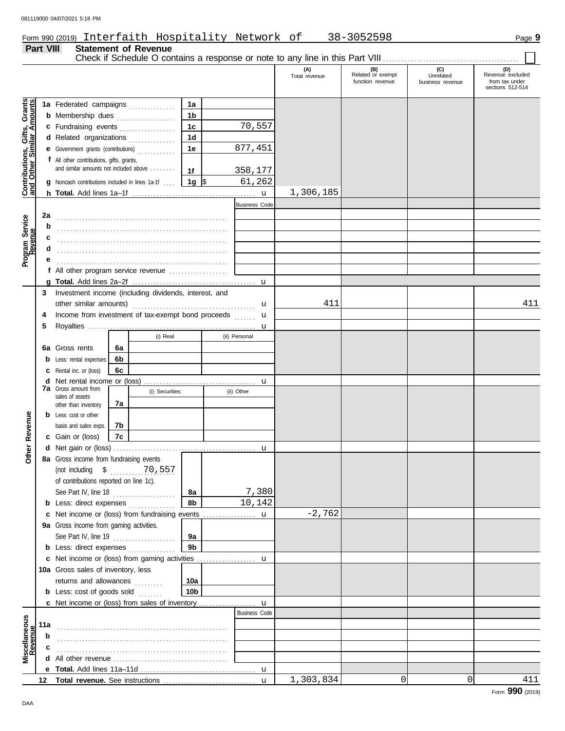**Part VIII Statement of Revenue**

### Check if Schedule O contains a response or note to any line in this Part VIII ................................ **(A) (B) (C) (D)** The Related or exempt Unrelated Revenue excluded<br>
function revenue business revenue from tax under husiness revenue sections 512-514 Contributions, Gifts, Grants<br>and Other Similar Amounts **Contributions, Gifts, Grants and Other Similar Amounts 1a 1a** Federated campaigns **. . . . . . . . . . . . 1b b** Membership dues . . . . . . . . . . . . . . . . 70,557 **1c c** Fundraising events **. . . . . . . . . . . . . .** . . **1d d** Related organizations . . . . . . . . . . . . **1e** 877,451 **e** Government grants (contributions) . . . . . . . . . . . . **f** All other contributions, gifts, grants, and similar amounts not included above ........ 358,177 **1f 1g**  $$ 61,262$ **g** Noncash contributions included in lines 1a-1f . . . . 1,306,185 u **h Total.** Add lines 1a–1f . . . . . . . . . . . . . . . . . . . . . . . . . . . . . . . . . . . . . . . . Business Code **2a** Program Service<br>Revenue **Program Service b** . . . . . . . . . . . . . . . . . . . . . . . . . . . . . . . . . . . . . . . . . . . . . . . . . . . . . . . **c d** . . . . . . . . . . . . . . . . . . . . . . . . . . . . . . . . . . . . . . . . . . . . . . . . . . . . . . . **e** . . . . . . . . . . . . . . . . . . . . . . . . . . . . . . . . . . . . . . . . . . . . . . . . . . . . . . . **f** All other program service revenue . . . . . . . . . . . . . . . . . . . **g Total.** Add lines 2a–2f . . . . . . . . . . . . . . . . . . . . . . . . . . . . . . . . . . . . . . . . u **3** Investment income (including dividends, interest, and 411 411 411 other similar amounts) . . . . . . . . . . . . . . . . . . . . . . . . . . . . . . . . . . . . . . . . u Income from investment of tax-exempt bond proceeds ....... **4** u **5** Royalties ...... u (i) Real (ii) Personal **6a 6a** Gross rents **6b b** Less: rental expenses **6c c** Rental inc. or (loss) **d** Net rental income or (loss) . . . . . . . . . . . . . . . . . . . . . . . . . . . . . . . . . . . . u **7a** Gross amount from (i) Securities (ii) Other sales of assets other than inventory **7a** Other Revenue **Other Revenue b** Less: cost or other basis and sales exps. **7b 7c c** Gain or (loss) **d** u Net gain or (loss) . . . . . . . . . . . . . . . . . . . . . . . . . . . . . . . . . . . . . . . . . . . . . . **8a** Gross income from fundraising events (not including \$ . . . . . . . . . . . . . . . . . . . . . 70,557 of contributions reported on line 1c). See Part IV, line 18 . . . . . . . . . . . . . . . . . . . . 7,380 **8a 8b** 10,142 **b** Less: direct expenses . . . . . . . . . . . . . -2,762 **c** Net income or (loss) from fundraising events ................. u **9a** Gross income from gaming activities. See Part IV, line 19 . . . . . . . . . . . . . . . . . . . . **9a 9b b** Less: direct expenses ............... Net income or (loss) from gaming activities . . . . . . . . . . . . . . . . . . . **c** u 10a Gross sales of inventory, less returns and allowances ......... **10a 10b b** Less: cost of goods sold ........ **c** Net income or (loss) from sales of inventory ................. u Business Code scellaneous<br>Revenue **Miscellaneous 11a b c** . . . . . . . . . . . . . . . . . . . . . . . . . . . . . . . . . . . . . . . . . . . . . . . . . . . . . . . **d** All other revenue . . . . . . . . . . . . . . . . . . . . . . . . . . . . . . . . . . . . . **e Total.** Add lines 11a–11d . . . . . . . . . . . . . . . . . . . . . . . . . . . . . . . . . . . . . u 1,303,834 0 0 411 **12** Total revenue. See instructions ............... u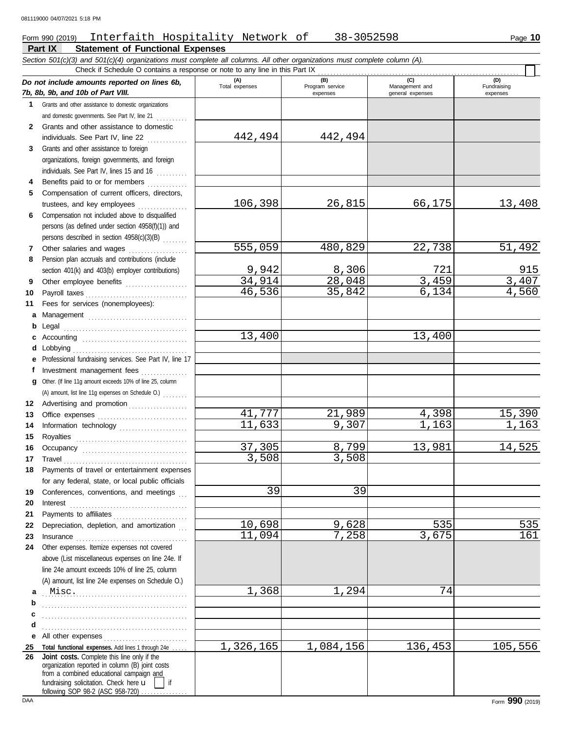### Form 990 (2019) Interfaith Hospitality Network of 38-3052598 Page 10

|              | Part IX<br><b>Statement of Functional Expenses</b>                                                                                                                                                                                                                                                                                                                                                                                                                                                       |                                  |                        |                       |                     |
|--------------|----------------------------------------------------------------------------------------------------------------------------------------------------------------------------------------------------------------------------------------------------------------------------------------------------------------------------------------------------------------------------------------------------------------------------------------------------------------------------------------------------------|----------------------------------|------------------------|-----------------------|---------------------|
|              | Section 501(c)(3) and 501(c)(4) organizations must complete all columns. All other organizations must complete column (A).                                                                                                                                                                                                                                                                                                                                                                               |                                  |                        |                       |                     |
|              | Check if Schedule O contains a response or note to any line in this Part IX                                                                                                                                                                                                                                                                                                                                                                                                                              |                                  |                        |                       |                     |
|              | Do not include amounts reported on lines 6b,                                                                                                                                                                                                                                                                                                                                                                                                                                                             | $(\mathsf{A})$<br>Total expenses | (B)<br>Program service | (C)<br>Management and | (D)<br>Fundraising  |
|              | 7b, 8b, 9b, and 10b of Part VIII.                                                                                                                                                                                                                                                                                                                                                                                                                                                                        |                                  | expenses               | general expenses      | expenses            |
| $\mathbf 1$  | Grants and other assistance to domestic organizations                                                                                                                                                                                                                                                                                                                                                                                                                                                    |                                  |                        |                       |                     |
|              | and domestic governments. See Part IV, line 21<br>Grants and other assistance to domestic                                                                                                                                                                                                                                                                                                                                                                                                                |                                  |                        |                       |                     |
| $\mathbf{2}$ | individuals. See Part IV, line 22                                                                                                                                                                                                                                                                                                                                                                                                                                                                        | 442,494                          | 442,494                |                       |                     |
| 3            | Grants and other assistance to foreign                                                                                                                                                                                                                                                                                                                                                                                                                                                                   |                                  |                        |                       |                     |
|              | organizations, foreign governments, and foreign                                                                                                                                                                                                                                                                                                                                                                                                                                                          |                                  |                        |                       |                     |
|              | individuals. See Part IV, lines 15 and 16                                                                                                                                                                                                                                                                                                                                                                                                                                                                |                                  |                        |                       |                     |
| 4            | Benefits paid to or for members                                                                                                                                                                                                                                                                                                                                                                                                                                                                          |                                  |                        |                       |                     |
| 5            | Compensation of current officers, directors,                                                                                                                                                                                                                                                                                                                                                                                                                                                             |                                  |                        |                       |                     |
|              | trustees, and key employees                                                                                                                                                                                                                                                                                                                                                                                                                                                                              | 106,398                          | 26,815                 | 66,175                | 13,408              |
| 6            | Compensation not included above to disqualified                                                                                                                                                                                                                                                                                                                                                                                                                                                          |                                  |                        |                       |                     |
|              | persons (as defined under section 4958(f)(1)) and                                                                                                                                                                                                                                                                                                                                                                                                                                                        |                                  |                        |                       |                     |
|              | persons described in section 4958(c)(3)(B)                                                                                                                                                                                                                                                                                                                                                                                                                                                               |                                  |                        |                       |                     |
| 7            | Other salaries and wages                                                                                                                                                                                                                                                                                                                                                                                                                                                                                 | 555,059                          | 480,829                | 22,738                | 51,492              |
| 8            | Pension plan accruals and contributions (include                                                                                                                                                                                                                                                                                                                                                                                                                                                         |                                  |                        |                       |                     |
|              | section 401(k) and 403(b) employer contributions)                                                                                                                                                                                                                                                                                                                                                                                                                                                        | $\frac{9,942}{34,914}$           | 8,306                  | 721                   |                     |
| 9            | Other employee benefits                                                                                                                                                                                                                                                                                                                                                                                                                                                                                  |                                  | 28,048                 | 3,459                 | $\frac{915}{3,407}$ |
| 10           | Payroll taxes                                                                                                                                                                                                                                                                                                                                                                                                                                                                                            | 46,536                           | 35,842                 | 6,134                 | $\frac{1}{4,560}$   |
| 11           | Fees for services (nonemployees):                                                                                                                                                                                                                                                                                                                                                                                                                                                                        |                                  |                        |                       |                     |
| a            | Management                                                                                                                                                                                                                                                                                                                                                                                                                                                                                               |                                  |                        |                       |                     |
| b            | Legal                                                                                                                                                                                                                                                                                                                                                                                                                                                                                                    |                                  |                        |                       |                     |
| c            |                                                                                                                                                                                                                                                                                                                                                                                                                                                                                                          | 13,400                           |                        | 13,400                |                     |
| d            | Lobbying                                                                                                                                                                                                                                                                                                                                                                                                                                                                                                 |                                  |                        |                       |                     |
| е            | Professional fundraising services. See Part IV, line 17                                                                                                                                                                                                                                                                                                                                                                                                                                                  |                                  |                        |                       |                     |
| f            | Investment management fees                                                                                                                                                                                                                                                                                                                                                                                                                                                                               |                                  |                        |                       |                     |
| g            | Other. (If line 11g amount exceeds 10% of line 25, column                                                                                                                                                                                                                                                                                                                                                                                                                                                |                                  |                        |                       |                     |
|              | (A) amount, list line 11g expenses on Schedule O.)                                                                                                                                                                                                                                                                                                                                                                                                                                                       |                                  |                        |                       |                     |
| 12<br>13     | Advertising and promotion                                                                                                                                                                                                                                                                                                                                                                                                                                                                                | 41,777                           | 21,989                 | 4,398                 | <u>15,390</u>       |
| 14           | Information technology                                                                                                                                                                                                                                                                                                                                                                                                                                                                                   | 11,633                           | 9,307                  | 1,163                 | 1,163               |
| 15           | Royalties                                                                                                                                                                                                                                                                                                                                                                                                                                                                                                |                                  |                        |                       |                     |
| 16           |                                                                                                                                                                                                                                                                                                                                                                                                                                                                                                          | 37,305                           | 8,799                  | 13,981                | 14,525              |
|              | 17 Travel                                                                                                                                                                                                                                                                                                                                                                                                                                                                                                | 508<br>3                         | 3,508                  |                       |                     |
|              | 18 Payments of travel or entertainment expenses                                                                                                                                                                                                                                                                                                                                                                                                                                                          |                                  |                        |                       |                     |
|              | for any federal, state, or local public officials                                                                                                                                                                                                                                                                                                                                                                                                                                                        |                                  |                        |                       |                     |
| 19           | Conferences, conventions, and meetings                                                                                                                                                                                                                                                                                                                                                                                                                                                                   | 39                               | 39                     |                       |                     |
| 20           | $\blacksquare \textsf{Interest} \begin{picture}(20,5) \put(0,0){\dashbox{0.5}(20,0){\circle*{2}} \put(0,0){\dashbox{0.5}(20,0){\circle*{2}} \put(0,0){\dashbox{0.5}(20,0){\circle*{2}} \put(1,0){\dashbox{0.5}(20,0){\circle*{2}} \put(2,0){\dashbox{0.5}(20,0){\circle*{2}} \put(2,0){\dashbox{0.5}(20,0){\circle*{2}} \put(2,0){\dashbox{0.5}(20,0){\circle*{2}} \put(2,0){\dashbox{0.5}(20,$                                                                                                          |                                  |                        |                       |                     |
| 21           | Payments to affiliates                                                                                                                                                                                                                                                                                                                                                                                                                                                                                   |                                  |                        |                       |                     |
| 22           | Depreciation, depletion, and amortization                                                                                                                                                                                                                                                                                                                                                                                                                                                                | 10,698                           | 9,628                  | 535                   | 535                 |
| 23           | $In \textbf{surance} \begin{tabular}{@{}l@{}} \hline \textbf{unsum} & \textbf{unsum} \\ \hline \textbf{unsum} & \textbf{unsum} \\ \hline \textbf{unsum} & \textbf{unsum} \\ \hline \textbf{unsum} & \textbf{unsum} \\ \hline \textbf{unsum} & \textbf{unsum} \\ \hline \textbf{unsum} & \textbf{unsum} \\ \hline \textbf{unsum} & \textbf{unsum} \\ \hline \textbf{unsum} & \textbf{unsum} \\ \hline \textbf{unsum} & \textbf{unsum} \\ \hline \textbf{unsum} & \textbf{unsum} \\ \hline \textbf{unsum}$ | 11,094                           | 7,258                  | 3,675                 | 161                 |
| 24           | Other expenses. Itemize expenses not covered                                                                                                                                                                                                                                                                                                                                                                                                                                                             |                                  |                        |                       |                     |
|              | above (List miscellaneous expenses on line 24e. If                                                                                                                                                                                                                                                                                                                                                                                                                                                       |                                  |                        |                       |                     |
|              | line 24e amount exceeds 10% of line 25, column                                                                                                                                                                                                                                                                                                                                                                                                                                                           |                                  |                        |                       |                     |
|              | (A) amount, list line 24e expenses on Schedule O.)                                                                                                                                                                                                                                                                                                                                                                                                                                                       |                                  |                        |                       |                     |
| a            | Misc.                                                                                                                                                                                                                                                                                                                                                                                                                                                                                                    | 1,368                            | 1,294                  | 74                    |                     |
| b            |                                                                                                                                                                                                                                                                                                                                                                                                                                                                                                          |                                  |                        |                       |                     |
| c            |                                                                                                                                                                                                                                                                                                                                                                                                                                                                                                          |                                  |                        |                       |                     |
| d            |                                                                                                                                                                                                                                                                                                                                                                                                                                                                                                          |                                  |                        |                       |                     |
| е            | All other expenses                                                                                                                                                                                                                                                                                                                                                                                                                                                                                       | 1,326,165                        | 1,084,156              | 136,453               |                     |
| 25<br>26     | Total functional expenses. Add lines 1 through 24e<br>Joint costs. Complete this line only if the                                                                                                                                                                                                                                                                                                                                                                                                        |                                  |                        |                       | 105,556             |
|              | organization reported in column (B) joint costs                                                                                                                                                                                                                                                                                                                                                                                                                                                          |                                  |                        |                       |                     |
|              | from a combined educational campaign and                                                                                                                                                                                                                                                                                                                                                                                                                                                                 |                                  |                        |                       |                     |
|              | fundraising solicitation. Check here u<br>if<br>following SOP 98-2 (ASC 958-720)                                                                                                                                                                                                                                                                                                                                                                                                                         |                                  |                        |                       |                     |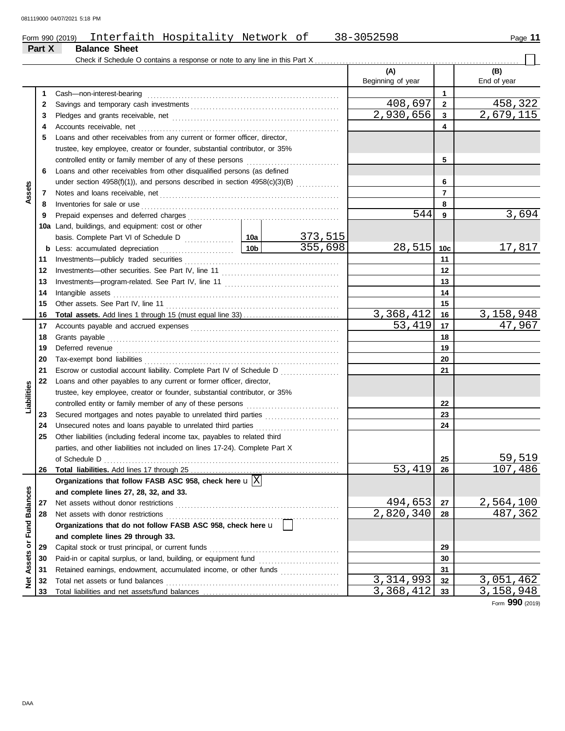### Form 990 (2019) Interfaith Hospitality Network of 38-3052598 Page **11** Interfaith Hospitality Network of 38-3052598

|                         | Part X | <b>Balance Sheet</b><br>Check if Schedule O contains a response or note to any line in this Part X. |                       |           |                          |                 |                           |
|-------------------------|--------|-----------------------------------------------------------------------------------------------------|-----------------------|-----------|--------------------------|-----------------|---------------------------|
|                         |        |                                                                                                     |                       |           | (A)<br>Beginning of year |                 | (B)<br>End of year        |
|                         | 1      | Cash-non-interest-bearing                                                                           |                       |           |                          | 1               |                           |
|                         | 2      |                                                                                                     |                       |           | 408,697                  | $\mathbf{2}$    | 458,322                   |
|                         | 3      |                                                                                                     |                       | 2,930,656 | 3                        | 2,679,115       |                           |
|                         | 4      |                                                                                                     |                       |           | 4                        |                 |                           |
|                         | 5      | Loans and other receivables from any current or former officer, director,                           |                       |           |                          |                 |                           |
|                         |        | trustee, key employee, creator or founder, substantial contributor, or 35%                          |                       |           |                          |                 |                           |
|                         |        |                                                                                                     |                       |           | 5                        |                 |                           |
|                         | 6      | Loans and other receivables from other disqualified persons (as defined                             |                       |           |                          |                 |                           |
|                         |        | under section 4958(f)(1)), and persons described in section $4958(c)(3)(B)$                         |                       |           |                          | 6               |                           |
| Assets                  | 7      |                                                                                                     |                       |           |                          | $\overline{7}$  |                           |
|                         | 8      | Inventories for sale or use                                                                         |                       |           |                          | 8               |                           |
|                         | 9      |                                                                                                     |                       |           | 544                      | 9               | 3,694                     |
|                         |        | 10a Land, buildings, and equipment: cost or other                                                   |                       |           |                          |                 |                           |
|                         |        |                                                                                                     |                       | 373,515   |                          |                 |                           |
|                         | b      | Less: accumulated depreciation                                                                      | 10bl                  | 355,698   | 28,515                   | 10 <sub>c</sub> | 17,817                    |
|                         | 11     |                                                                                                     |                       |           |                          | 11              |                           |
|                         | 12     |                                                                                                     |                       |           |                          | 12              |                           |
|                         | 13     |                                                                                                     |                       |           |                          | 13              |                           |
|                         | 14     | Intangible assets                                                                                   |                       | 14        |                          |                 |                           |
|                         | 15     |                                                                                                     |                       |           |                          | 15              |                           |
|                         | 16     |                                                                                                     |                       |           | 3,368,412                | 16              | 3,158,948                 |
|                         | 17     |                                                                                                     | $\overline{53}$ , 419 | 17        | 47,967                   |                 |                           |
|                         | 18     | Grants payable                                                                                      |                       | 18        |                          |                 |                           |
|                         | 19     |                                                                                                     |                       |           |                          | 19              |                           |
|                         | 20     |                                                                                                     |                       |           |                          | 20              |                           |
|                         | 21     | Escrow or custodial account liability. Complete Part IV of Schedule D                               |                       |           |                          | 21              |                           |
|                         | 22     | Loans and other payables to any current or former officer, director,                                |                       |           |                          |                 |                           |
|                         |        | trustee, key employee, creator or founder, substantial contributor, or 35%                          |                       |           |                          |                 |                           |
| Liabilities             |        |                                                                                                     |                       |           |                          | 22              |                           |
|                         | 23     | Secured mortgages and notes payable to unrelated third parties                                      |                       |           |                          | 23              |                           |
|                         | 24     | Unsecured notes and loans payable to unrelated third parties                                        |                       |           |                          | 24              |                           |
|                         | 25     | Other liabilities (including federal income tax, payables to related third                          |                       |           |                          |                 |                           |
|                         |        | parties, and other liabilities not included on lines 17-24). Complete Part X                        |                       |           |                          |                 |                           |
|                         |        | of Schedule D                                                                                       |                       |           |                          | 25              | 59<br>519<br><b>_____</b> |
|                         | 26     |                                                                                                     |                       |           | 53,419                   | 26              | 107,486                   |
|                         |        | Organizations that follow FASB ASC 958, check here $\mathbf{u} \boxed{\mathrm{X}}$                  |                       |           |                          |                 |                           |
|                         |        | and complete lines 27, 28, 32, and 33.                                                              |                       |           |                          |                 |                           |
|                         | 27     | Net assets without donor restrictions                                                               |                       |           | 494,653                  | 27              |                           |
|                         | 28     | Net assets with donor restrictions                                                                  |                       |           | 2,820,340                | 28              | 2,564,100<br>487,362      |
|                         |        | Organizations that do not follow FASB ASC 958, check here u                                         |                       |           |                          |                 |                           |
|                         |        | and complete lines 29 through 33.                                                                   |                       |           |                          |                 |                           |
| Assets or Fund Balances | 29     | Capital stock or trust principal, or current funds                                                  |                       |           |                          | 29              |                           |
|                         | 30     |                                                                                                     |                       |           |                          | 30              |                           |
|                         | 31     | Retained earnings, endowment, accumulated income, or other funds                                    |                       |           |                          | 31              |                           |
| <b>Net</b>              | 32     | Total net assets or fund balances                                                                   |                       |           | 3,314,993                | 32              | 3,051,462                 |
|                         | 33     |                                                                                                     |                       |           | 3,368,412                | 33              | 3,158,948                 |

Form **990** (2019)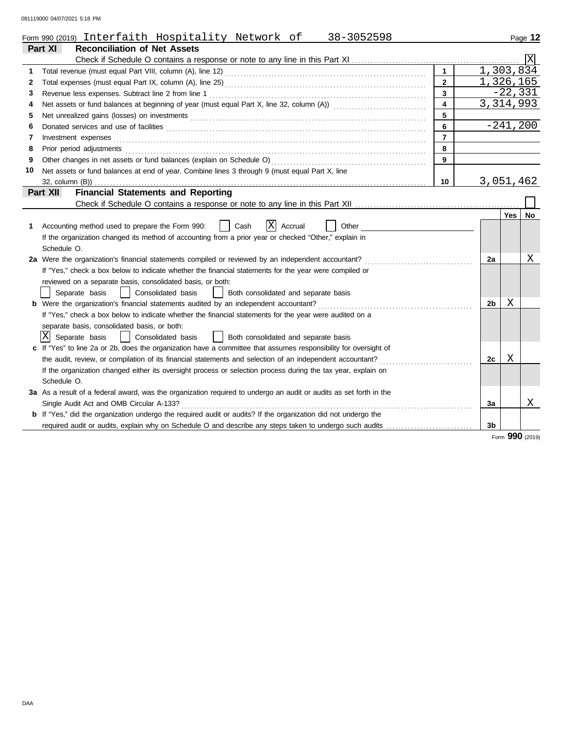|    | Form 990 (2019) Interfaith Hospitality Network of<br>38-3052598                                                       |                         |    |                        | Page 12   |
|----|-----------------------------------------------------------------------------------------------------------------------|-------------------------|----|------------------------|-----------|
|    | <b>Reconciliation of Net Assets</b><br>Part XI                                                                        |                         |    |                        |           |
|    |                                                                                                                       |                         |    |                        |           |
| 1  |                                                                                                                       | $\mathbf 1$             |    | $1,303,8\overline{34}$ |           |
| 2  |                                                                                                                       | $\mathbf{2}$            |    |                        | 1,326,165 |
| 3  |                                                                                                                       | 3                       |    | $-22,331$              |           |
| 4  | Net assets or fund balances at beginning of year (must equal Part X, line 32, column (A)) [[[[[[[[[[[[[[[[[[[         | $\overline{\mathbf{4}}$ |    | 3, 314, 993            |           |
| 5  |                                                                                                                       | 5                       |    |                        |           |
| 6  |                                                                                                                       | 6                       |    | $-241,200$             |           |
| 7  | Investment expenses <b>contract and the expenses</b>                                                                  | $\overline{7}$          |    |                        |           |
| 8  |                                                                                                                       | 8                       |    |                        |           |
| 9  |                                                                                                                       | 9                       |    |                        |           |
| 10 | Net assets or fund balances at end of year. Combine lines 3 through 9 (must equal Part X, line                        |                         |    |                        |           |
|    |                                                                                                                       | 10                      |    | 3,051,462              |           |
|    | <b>Financial Statements and Reporting</b><br>Part XII                                                                 |                         |    |                        |           |
|    |                                                                                                                       |                         |    |                        |           |
|    |                                                                                                                       |                         |    | <b>Yes</b>             | No        |
| 1  | IXI<br>Other<br>Accounting method used to prepare the Form 990:<br>Cash<br>Accrual                                    |                         |    |                        |           |
|    | If the organization changed its method of accounting from a prior year or checked "Other," explain in                 |                         |    |                        |           |
|    | Schedule O.                                                                                                           |                         |    |                        |           |
|    | 2a Were the organization's financial statements compiled or reviewed by an independent accountant?                    |                         | 2a |                        | Χ         |
|    | If "Yes," check a box below to indicate whether the financial statements for the year were compiled or                |                         |    |                        |           |
|    | reviewed on a separate basis, consolidated basis, or both:                                                            |                         |    |                        |           |
|    | Separate basis<br>Consolidated basis<br>  Both consolidated and separate basis                                        |                         |    |                        |           |
|    | <b>b</b> Were the organization's financial statements audited by an independent accountant?                           |                         | 2b | Χ                      |           |
|    | If "Yes," check a box below to indicate whether the financial statements for the year were audited on a               |                         |    |                        |           |
|    | separate basis, consolidated basis, or both:                                                                          |                         |    |                        |           |
|    | ΙXΙ<br>Separate basis<br>Consolidated basis<br>  Both consolidated and separate basis                                 |                         |    |                        |           |
|    | c If "Yes" to line 2a or 2b, does the organization have a committee that assumes responsibility for oversight of      |                         |    |                        |           |
|    | the audit, review, or compilation of its financial statements and selection of an independent accountant?             |                         | 2c | Χ                      |           |
|    | If the organization changed either its oversight process or selection process during the tax year, explain on         |                         |    |                        |           |
|    | Schedule O.                                                                                                           |                         |    |                        |           |
|    | 3a As a result of a federal award, was the organization required to undergo an audit or audits as set forth in the    |                         |    |                        |           |
|    | Single Audit Act and OMB Circular A-133?                                                                              |                         | 3a |                        | Χ         |
|    | <b>b</b> If "Yes," did the organization undergo the required audit or audits? If the organization did not undergo the |                         |    |                        |           |
|    | required audit or audits, explain why on Schedule O and describe any steps taken to undergo such audits               |                         | 3b |                        |           |
|    |                                                                                                                       |                         |    |                        |           |

Form **990** (2019)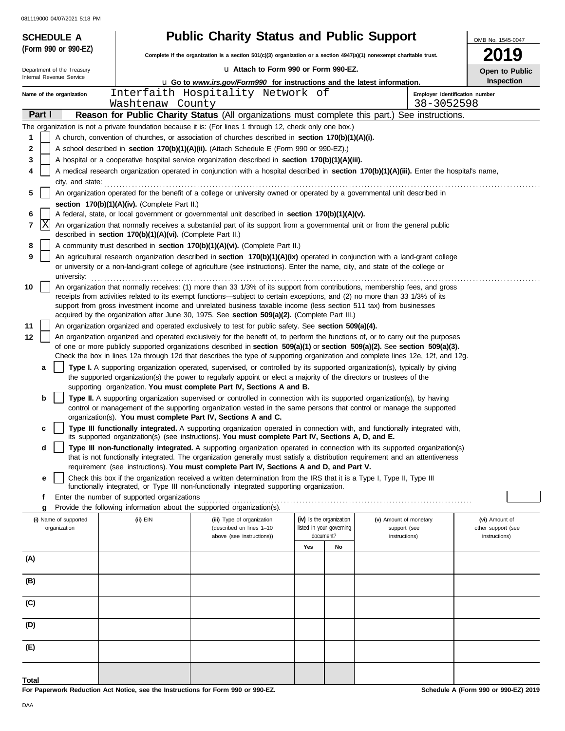| <b>SCHEDULE A</b>                                                                                                                              |                                                                                                                                                                                                                                                 | <b>Public Charity Status and Public Support</b>                                                                                                                                                                                                  |                          |                          |                                                                                                                                                                                                                                                                 | OMB No. 1545-0047                   |
|------------------------------------------------------------------------------------------------------------------------------------------------|-------------------------------------------------------------------------------------------------------------------------------------------------------------------------------------------------------------------------------------------------|--------------------------------------------------------------------------------------------------------------------------------------------------------------------------------------------------------------------------------------------------|--------------------------|--------------------------|-----------------------------------------------------------------------------------------------------------------------------------------------------------------------------------------------------------------------------------------------------------------|-------------------------------------|
| (Form 990 or 990-EZ)                                                                                                                           |                                                                                                                                                                                                                                                 | Complete if the organization is a section 501(c)(3) organization or a section $4947(a)(1)$ nonexempt charitable trust.                                                                                                                           |                          |                          |                                                                                                                                                                                                                                                                 | 2019                                |
| Department of the Treasury                                                                                                                     |                                                                                                                                                                                                                                                 | u Attach to Form 990 or Form 990-EZ.                                                                                                                                                                                                             |                          |                          |                                                                                                                                                                                                                                                                 | Open to Public                      |
| Internal Revenue Service                                                                                                                       |                                                                                                                                                                                                                                                 | <b>u</b> Go to www.irs.gov/Form990 for instructions and the latest information.                                                                                                                                                                  |                          |                          |                                                                                                                                                                                                                                                                 | <b>Inspection</b>                   |
| Name of the organization                                                                                                                       |                                                                                                                                                                                                                                                 | Interfaith Hospitality Network of                                                                                                                                                                                                                |                          |                          | Employer identification number                                                                                                                                                                                                                                  |                                     |
| Washtenaw County<br>38-3052598<br>Part I<br>Reason for Public Charity Status (All organizations must complete this part.)<br>See instructions. |                                                                                                                                                                                                                                                 |                                                                                                                                                                                                                                                  |                          |                          |                                                                                                                                                                                                                                                                 |                                     |
|                                                                                                                                                |                                                                                                                                                                                                                                                 | The organization is not a private foundation because it is: (For lines 1 through 12, check only one box.)                                                                                                                                        |                          |                          |                                                                                                                                                                                                                                                                 |                                     |
| 1                                                                                                                                              |                                                                                                                                                                                                                                                 | A church, convention of churches, or association of churches described in section 170(b)(1)(A)(i).                                                                                                                                               |                          |                          |                                                                                                                                                                                                                                                                 |                                     |
| 2                                                                                                                                              |                                                                                                                                                                                                                                                 | A school described in section 170(b)(1)(A)(ii). (Attach Schedule E (Form 990 or 990-EZ).)                                                                                                                                                        |                          |                          |                                                                                                                                                                                                                                                                 |                                     |
| 3                                                                                                                                              | A hospital or a cooperative hospital service organization described in section 170(b)(1)(A)(iii).<br>A medical research organization operated in conjunction with a hospital described in section 170(b)(1)(A)(iii). Enter the hospital's name, |                                                                                                                                                                                                                                                  |                          |                          |                                                                                                                                                                                                                                                                 |                                     |
| 4<br>city, and state:                                                                                                                          |                                                                                                                                                                                                                                                 |                                                                                                                                                                                                                                                  |                          |                          |                                                                                                                                                                                                                                                                 |                                     |
| 5                                                                                                                                              |                                                                                                                                                                                                                                                 | An organization operated for the benefit of a college or university owned or operated by a governmental unit described in                                                                                                                        |                          |                          |                                                                                                                                                                                                                                                                 |                                     |
|                                                                                                                                                | section 170(b)(1)(A)(iv). (Complete Part II.)                                                                                                                                                                                                   |                                                                                                                                                                                                                                                  |                          |                          |                                                                                                                                                                                                                                                                 |                                     |
| 6                                                                                                                                              |                                                                                                                                                                                                                                                 | A federal, state, or local government or governmental unit described in section 170(b)(1)(A)(v).                                                                                                                                                 |                          |                          |                                                                                                                                                                                                                                                                 |                                     |
| x<br>7                                                                                                                                         | described in section 170(b)(1)(A)(vi). (Complete Part II.)                                                                                                                                                                                      | An organization that normally receives a substantial part of its support from a governmental unit or from the general public                                                                                                                     |                          |                          |                                                                                                                                                                                                                                                                 |                                     |
| 8                                                                                                                                              |                                                                                                                                                                                                                                                 | A community trust described in section 170(b)(1)(A)(vi). (Complete Part II.)                                                                                                                                                                     |                          |                          |                                                                                                                                                                                                                                                                 |                                     |
| 9                                                                                                                                              |                                                                                                                                                                                                                                                 |                                                                                                                                                                                                                                                  |                          |                          | An agricultural research organization described in section 170(b)(1)(A)(ix) operated in conjunction with a land-grant college                                                                                                                                   |                                     |
| university:                                                                                                                                    |                                                                                                                                                                                                                                                 | or university or a non-land-grant college of agriculture (see instructions). Enter the name, city, and state of the college or                                                                                                                   |                          |                          |                                                                                                                                                                                                                                                                 |                                     |
| 10                                                                                                                                             |                                                                                                                                                                                                                                                 |                                                                                                                                                                                                                                                  |                          |                          | An organization that normally receives: (1) more than 33 1/3% of its support from contributions, membership fees, and gross                                                                                                                                     |                                     |
|                                                                                                                                                |                                                                                                                                                                                                                                                 | receipts from activities related to its exempt functions—subject to certain exceptions, and (2) no more than 33 1/3% of its<br>support from gross investment income and unrelated business taxable income (less section 511 tax) from businesses |                          |                          |                                                                                                                                                                                                                                                                 |                                     |
|                                                                                                                                                |                                                                                                                                                                                                                                                 | acquired by the organization after June 30, 1975. See section 509(a)(2). (Complete Part III.)                                                                                                                                                    |                          |                          |                                                                                                                                                                                                                                                                 |                                     |
| 11                                                                                                                                             |                                                                                                                                                                                                                                                 | An organization organized and operated exclusively to test for public safety. See section 509(a)(4).                                                                                                                                             |                          |                          |                                                                                                                                                                                                                                                                 |                                     |
| 12                                                                                                                                             |                                                                                                                                                                                                                                                 |                                                                                                                                                                                                                                                  |                          |                          | An organization organized and operated exclusively for the benefit of, to perform the functions of, or to carry out the purposes<br>of one or more publicly supported organizations described in section 509(a)(1) or section 509(a)(2). See section 509(a)(3). |                                     |
|                                                                                                                                                |                                                                                                                                                                                                                                                 |                                                                                                                                                                                                                                                  |                          |                          | Check the box in lines 12a through 12d that describes the type of supporting organization and complete lines 12e, 12f, and 12g.                                                                                                                                 |                                     |
| a                                                                                                                                              |                                                                                                                                                                                                                                                 |                                                                                                                                                                                                                                                  |                          |                          | Type I. A supporting organization operated, supervised, or controlled by its supported organization(s), typically by giving                                                                                                                                     |                                     |
|                                                                                                                                                |                                                                                                                                                                                                                                                 | the supported organization(s) the power to regularly appoint or elect a majority of the directors or trustees of the<br>supporting organization. You must complete Part IV, Sections A and B.                                                    |                          |                          |                                                                                                                                                                                                                                                                 |                                     |
| b                                                                                                                                              |                                                                                                                                                                                                                                                 | Type II. A supporting organization supervised or controlled in connection with its supported organization(s), by having                                                                                                                          |                          |                          |                                                                                                                                                                                                                                                                 |                                     |
|                                                                                                                                                |                                                                                                                                                                                                                                                 |                                                                                                                                                                                                                                                  |                          |                          | control or management of the supporting organization vested in the same persons that control or manage the supported                                                                                                                                            |                                     |
| c                                                                                                                                              |                                                                                                                                                                                                                                                 | organization(s). You must complete Part IV, Sections A and C.                                                                                                                                                                                    |                          |                          | Type III functionally integrated. A supporting organization operated in connection with, and functionally integrated with,                                                                                                                                      |                                     |
|                                                                                                                                                |                                                                                                                                                                                                                                                 | its supported organization(s) (see instructions). You must complete Part IV, Sections A, D, and E.                                                                                                                                               |                          |                          |                                                                                                                                                                                                                                                                 |                                     |
| d                                                                                                                                              |                                                                                                                                                                                                                                                 |                                                                                                                                                                                                                                                  |                          |                          | Type III non-functionally integrated. A supporting organization operated in connection with its supported organization(s)<br>that is not functionally integrated. The organization generally must satisfy a distribution requirement and an attentiveness       |                                     |
|                                                                                                                                                |                                                                                                                                                                                                                                                 | requirement (see instructions). You must complete Part IV, Sections A and D, and Part V.                                                                                                                                                         |                          |                          |                                                                                                                                                                                                                                                                 |                                     |
| е                                                                                                                                              |                                                                                                                                                                                                                                                 | Check this box if the organization received a written determination from the IRS that it is a Type I, Type II, Type III                                                                                                                          |                          |                          |                                                                                                                                                                                                                                                                 |                                     |
| f                                                                                                                                              | Enter the number of supported organizations                                                                                                                                                                                                     | functionally integrated, or Type III non-functionally integrated supporting organization.                                                                                                                                                        |                          |                          |                                                                                                                                                                                                                                                                 |                                     |
| g                                                                                                                                              |                                                                                                                                                                                                                                                 | Provide the following information about the supported organization(s).                                                                                                                                                                           |                          |                          |                                                                                                                                                                                                                                                                 |                                     |
| (i) Name of supported                                                                                                                          | $(ii)$ $EIN$                                                                                                                                                                                                                                    | (iii) Type of organization                                                                                                                                                                                                                       | (iv) Is the organization |                          | (v) Amount of monetary                                                                                                                                                                                                                                          | (vi) Amount of                      |
| organization                                                                                                                                   |                                                                                                                                                                                                                                                 | (described on lines 1-10<br>above (see instructions))                                                                                                                                                                                            | document?                | listed in your governing | support (see<br>instructions)                                                                                                                                                                                                                                   | other support (see<br>instructions) |
|                                                                                                                                                |                                                                                                                                                                                                                                                 |                                                                                                                                                                                                                                                  | Yes                      | No                       |                                                                                                                                                                                                                                                                 |                                     |
| (A)                                                                                                                                            |                                                                                                                                                                                                                                                 |                                                                                                                                                                                                                                                  |                          |                          |                                                                                                                                                                                                                                                                 |                                     |
|                                                                                                                                                |                                                                                                                                                                                                                                                 |                                                                                                                                                                                                                                                  |                          |                          |                                                                                                                                                                                                                                                                 |                                     |
| (B)                                                                                                                                            |                                                                                                                                                                                                                                                 |                                                                                                                                                                                                                                                  |                          |                          |                                                                                                                                                                                                                                                                 |                                     |
| (C)                                                                                                                                            |                                                                                                                                                                                                                                                 |                                                                                                                                                                                                                                                  |                          |                          |                                                                                                                                                                                                                                                                 |                                     |
| (D)                                                                                                                                            |                                                                                                                                                                                                                                                 |                                                                                                                                                                                                                                                  |                          |                          |                                                                                                                                                                                                                                                                 |                                     |
| (E)                                                                                                                                            |                                                                                                                                                                                                                                                 |                                                                                                                                                                                                                                                  |                          |                          |                                                                                                                                                                                                                                                                 |                                     |
|                                                                                                                                                |                                                                                                                                                                                                                                                 |                                                                                                                                                                                                                                                  |                          |                          |                                                                                                                                                                                                                                                                 |                                     |
| Total                                                                                                                                          |                                                                                                                                                                                                                                                 |                                                                                                                                                                                                                                                  |                          |                          |                                                                                                                                                                                                                                                                 |                                     |

**For Paperwork Reduction Act Notice, see the Instructions for Form 990 or 990-EZ.**

**Schedule A (Form 990 or 990-EZ) 2019**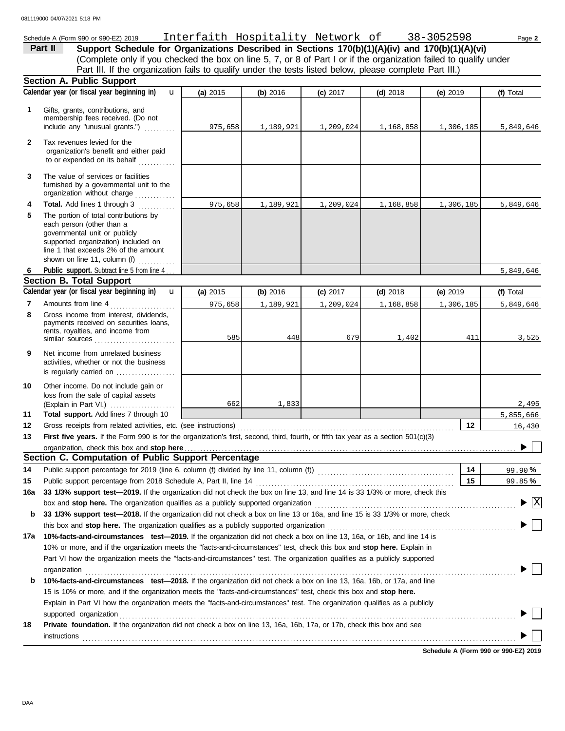### Schedule A(Form 990 or 990-EZ) 2019 Interfaith Hospitality Network of 38-3052598 Page <mark>2</mark>

(Complete only if you checked the box on line 5, 7, or 8 of Part I or if the organization failed to qualify under **Part II** Support Schedule for Organizations Described in Sections 170(b)(1)(A)(iv) and 170(b)(1)(A)(vi) Part III. If the organization fails to qualify under the tests listed below, please complete Part III.)

|              | <b>Section A. Public Support</b>                                                                                                                                                                                   |          |           |            |            |                                      |            |  |  |
|--------------|--------------------------------------------------------------------------------------------------------------------------------------------------------------------------------------------------------------------|----------|-----------|------------|------------|--------------------------------------|------------|--|--|
|              | Calendar year (or fiscal year beginning in)<br>$\mathbf{u}$                                                                                                                                                        | (a) 2015 | (b) 2016  | $(c)$ 2017 | $(d)$ 2018 | $(e)$ 2019                           | (f) Total  |  |  |
| 1            | Gifts, grants, contributions, and<br>membership fees received. (Do not<br>include any "unusual grants.")                                                                                                           | 975,658  | 1,189,921 | 1,209,024  | 1,168,858  | 1,306,185                            | 5,849,646  |  |  |
| $\mathbf{2}$ | Tax revenues levied for the<br>organization's benefit and either paid<br>to or expended on its behalf                                                                                                              |          |           |            |            |                                      |            |  |  |
| 3            | The value of services or facilities<br>furnished by a governmental unit to the<br>organization without charge                                                                                                      |          |           |            |            |                                      |            |  |  |
| 4            | Total. Add lines 1 through 3                                                                                                                                                                                       | 975,658  | 1,189,921 | 1,209,024  | 1,168,858  | 1,306,185                            | 5,849,646  |  |  |
| 5            | The portion of total contributions by<br>each person (other than a<br>governmental unit or publicly<br>supported organization) included on<br>line 1 that exceeds 2% of the amount<br>shown on line 11, column (f) |          |           |            |            |                                      |            |  |  |
| 6            | Public support. Subtract line 5 from line 4.                                                                                                                                                                       |          |           |            |            |                                      | 5,849,646  |  |  |
|              | <b>Section B. Total Support</b>                                                                                                                                                                                    |          |           |            |            |                                      |            |  |  |
|              | Calendar year (or fiscal year beginning in)<br>$\mathbf{u}$                                                                                                                                                        | (a) 2015 | (b) 2016  | $(c)$ 2017 | $(d)$ 2018 | $(e)$ 2019                           | (f) Total  |  |  |
| 7            | Amounts from line 4                                                                                                                                                                                                | 975,658  | 1,189,921 | 1,209,024  | 1,168,858  | 1,306,185                            | 5,849,646  |  |  |
| 8            | Gross income from interest, dividends,<br>payments received on securities loans,<br>rents, royalties, and income from<br>similar sources                                                                           | 585      | 448       | 679        | 1,402      | 411                                  | 3,525      |  |  |
| 9            | Net income from unrelated business<br>activities, whether or not the business<br>is regularly carried on                                                                                                           |          |           |            |            |                                      |            |  |  |
| 10           | Other income. Do not include gain or<br>loss from the sale of capital assets<br>(Explain in Part VI.)                                                                                                              | 662      | 1,833     |            |            |                                      | 2,495      |  |  |
| 11<br>12     | Total support. Add lines 7 through 10<br>Gross receipts from related activities, etc. (see instructions)                                                                                                           |          |           |            |            | 12                                   | 5,855,666  |  |  |
| 13           | First five years. If the Form 990 is for the organization's first, second, third, fourth, or fifth tax year as a section 501(c)(3)                                                                                 |          |           |            |            |                                      | 16,430     |  |  |
|              |                                                                                                                                                                                                                    |          |           |            |            |                                      |            |  |  |
|              | Section C. Computation of Public Support Percentage                                                                                                                                                                |          |           |            |            |                                      |            |  |  |
| 14           | Public support percentage for 2019 (line 6, column (f) divided by line 11, column (f)) [[[[[[[[[[[[[[[[[[[[[[                                                                                                      |          |           |            |            | 14                                   | 99.90%     |  |  |
| 15           | Public support percentage from 2018 Schedule A, Part II, line 14                                                                                                                                                   |          |           |            |            | 15                                   | 99.85%     |  |  |
|              | 16a 33 1/3% support test-2019. If the organization did not check the box on line 13, and line 14 is 33 1/3% or more, check this                                                                                    |          |           |            |            |                                      |            |  |  |
|              | box and stop here. The organization qualifies as a publicly supported organization                                                                                                                                 |          |           |            |            |                                      | $\sqrt{X}$ |  |  |
| b            | 33 1/3% support test-2018. If the organization did not check a box on line 13 or 16a, and line 15 is 33 1/3% or more, check                                                                                        |          |           |            |            |                                      |            |  |  |
|              | this box and stop here. The organization qualifies as a publicly supported organization                                                                                                                            |          |           |            |            |                                      |            |  |  |
| 17а          | 10%-facts-and-circumstances test-2019. If the organization did not check a box on line 13, 16a, or 16b, and line 14 is                                                                                             |          |           |            |            |                                      |            |  |  |
|              | 10% or more, and if the organization meets the "facts-and-circumstances" test, check this box and stop here. Explain in                                                                                            |          |           |            |            |                                      |            |  |  |
|              | Part VI how the organization meets the "facts-and-circumstances" test. The organization qualifies as a publicly supported                                                                                          |          |           |            |            |                                      |            |  |  |
|              | organization                                                                                                                                                                                                       |          |           |            |            |                                      |            |  |  |
| b            | 10%-facts-and-circumstances test-2018. If the organization did not check a box on line 13, 16a, 16b, or 17a, and line                                                                                              |          |           |            |            |                                      |            |  |  |
|              | 15 is 10% or more, and if the organization meets the "facts-and-circumstances" test, check this box and stop here.                                                                                                 |          |           |            |            |                                      |            |  |  |
|              | Explain in Part VI how the organization meets the "facts-and-circumstances" test. The organization qualifies as a publicly                                                                                         |          |           |            |            |                                      |            |  |  |
|              | supported organization                                                                                                                                                                                             |          |           |            |            |                                      |            |  |  |
| 18           | Private foundation. If the organization did not check a box on line 13, 16a, 16b, 17a, or 17b, check this box and see                                                                                              |          |           |            |            |                                      |            |  |  |
|              | instructions                                                                                                                                                                                                       |          |           |            |            |                                      |            |  |  |
|              |                                                                                                                                                                                                                    |          |           |            |            | Schedule A (Form 990 or 990-EZ) 2019 |            |  |  |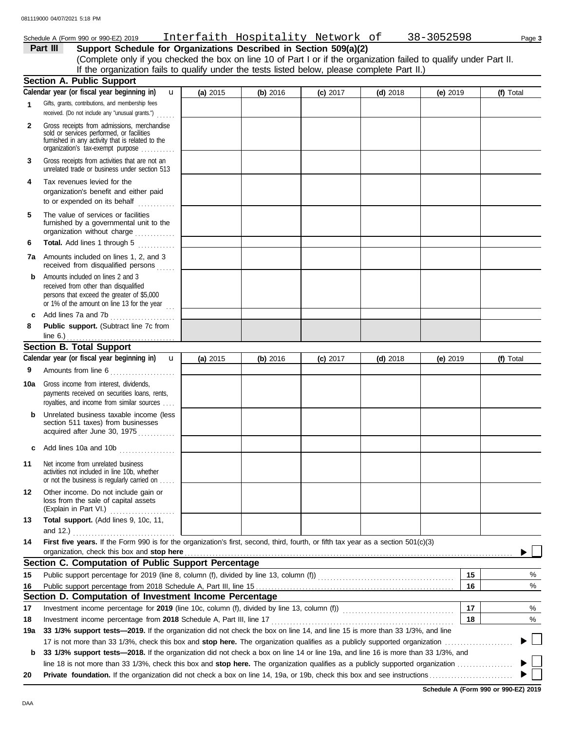# Schedule A (Form 990 or 990-EZ) 2019 Interfaith Hospitality Network of 38-3052598 Page **3**

**Part III** Support Schedule for Organizations Described in Section 509(a)(2) (Complete only if you checked the box on line 10 of Part I or if the organization failed to qualify under Part II. If the organization fails to qualify under the tests listed below, please complete Part II.)

|     | <b>Section A. Public Support</b>                                                                                                                                                  |            |            |            |            |            |              |
|-----|-----------------------------------------------------------------------------------------------------------------------------------------------------------------------------------|------------|------------|------------|------------|------------|--------------|
|     | Calendar year (or fiscal year beginning in)<br>u                                                                                                                                  | (a) $2015$ | (b) $2016$ | $(c)$ 2017 | $(d)$ 2018 | (e) $2019$ | (f) Total    |
| 1   | Gifts, grants, contributions, and membership fees<br>received. (Do not include any "unusual grants.")                                                                             |            |            |            |            |            |              |
| 2   | Gross receipts from admissions, merchandise<br>sold or services performed, or facilities<br>furnished in any activity that is related to the<br>organization's tax-exempt purpose |            |            |            |            |            |              |
| 3   | Gross receipts from activities that are not an<br>unrelated trade or business under section 513                                                                                   |            |            |            |            |            |              |
| 4   | Tax revenues levied for the<br>organization's benefit and either paid<br>to or expended on its behalf                                                                             |            |            |            |            |            |              |
| 5   | The value of services or facilities<br>furnished by a governmental unit to the<br>organization without charge                                                                     |            |            |            |            |            |              |
| 6   | Total. Add lines 1 through 5                                                                                                                                                      |            |            |            |            |            |              |
| 7а  | Amounts included on lines 1, 2, and 3<br>received from disqualified persons                                                                                                       |            |            |            |            |            |              |
| b   | Amounts included on lines 2 and 3<br>received from other than disqualified<br>persons that exceed the greater of \$5,000<br>or 1% of the amount on line 13 for the year           |            |            |            |            |            |              |
| c   | Add lines 7a and 7b<br>.                                                                                                                                                          |            |            |            |            |            |              |
| 8   | Public support. (Subtract line 7c from                                                                                                                                            |            |            |            |            |            |              |
|     | line $6.$ )                                                                                                                                                                       |            |            |            |            |            |              |
|     | Section B. Total Support                                                                                                                                                          |            |            |            |            |            |              |
|     | Calendar year (or fiscal year beginning in)<br>$\mathbf{u}$                                                                                                                       | (a) $2015$ | (b) $2016$ | $(c)$ 2017 | $(d)$ 2018 | (e) $2019$ | (f) Total    |
| 9   | Amounts from line 6                                                                                                                                                               |            |            |            |            |            |              |
| 10a | Gross income from interest, dividends,<br>payments received on securities loans, rents,<br>royalties, and income from similar sources                                             |            |            |            |            |            |              |
| b   | Unrelated business taxable income (less<br>section 511 taxes) from businesses<br>acquired after June 30, 1975                                                                     |            |            |            |            |            |              |
| c   | Add lines 10a and 10b $\ldots$ $\ldots$ $\ldots$                                                                                                                                  |            |            |            |            |            |              |
| 11  | Net income from unrelated business<br>activities not included in line 10b, whether<br>or not the business is regularly carried on                                                 |            |            |            |            |            |              |
| 12  | Other income. Do not include gain or<br>loss from the sale of capital assets<br>(Explain in Part VI.)                                                                             |            |            |            |            |            |              |
| 13  | Total support. (Add lines 9, 10c, 11,                                                                                                                                             |            |            |            |            |            |              |
|     | and 12.)                                                                                                                                                                          |            |            |            |            |            |              |
| 14  | First five years. If the Form 990 is for the organization's first, second, third, fourth, or fifth tax year as a section 501(c)(3)                                                |            |            |            |            |            |              |
|     | organization, check this box and stop here                                                                                                                                        |            |            |            |            |            |              |
|     | Section C. Computation of Public Support Percentage                                                                                                                               |            |            |            |            |            |              |
| 15  | Public support percentage for 2019 (line 8, column (f), divided by line 13, column (f)) [[[[[[[[[[[[[[[[[[[[[                                                                     |            |            |            |            | 15         | %            |
| 16  | Public support percentage from 2018 Schedule A, Part III, line 15                                                                                                                 |            |            |            |            | 16         | %            |
|     | Section D. Computation of Investment Income Percentage                                                                                                                            |            |            |            |            |            |              |
| 17  |                                                                                                                                                                                   |            |            |            |            | 17         | %            |
| 18  | Investment income percentage from 2018 Schedule A, Part III, line 17                                                                                                              |            |            |            |            | 18         | %            |
| 19a | 33 1/3% support tests-2019. If the organization did not check the box on line 14, and line 15 is more than 33 1/3%, and line                                                      |            |            |            |            |            |              |
|     |                                                                                                                                                                                   |            |            |            |            |            | $\mathbf{L}$ |
| b   | 33 1/3% support tests-2018. If the organization did not check a box on line 14 or line 19a, and line 16 is more than 33 1/3%, and                                                 |            |            |            |            |            |              |
|     |                                                                                                                                                                                   |            |            |            |            |            |              |
| 20  |                                                                                                                                                                                   |            |            |            |            |            |              |

**Schedule A (Form 990 or 990-EZ) 2019**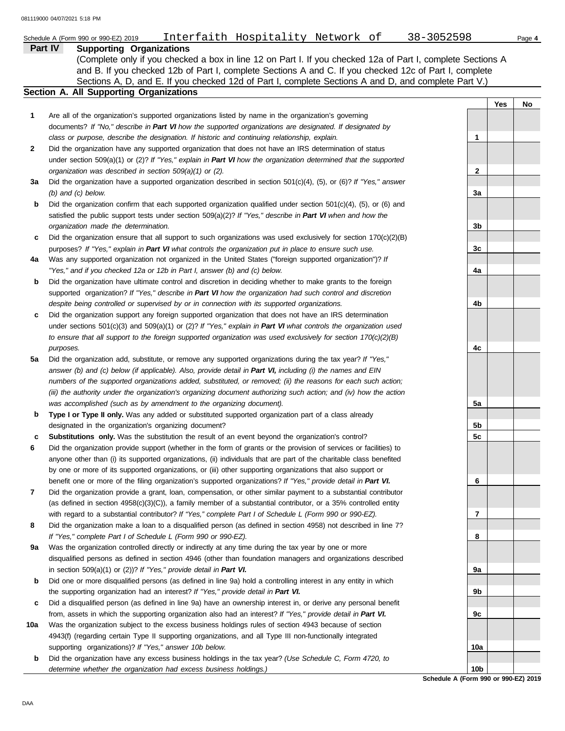### **Part IV Supporting Organizations** Sections A, D, and E. If you checked 12d of Part I, complete Sections A and D, and complete Part V.) Schedule A(Form 990 or 990-EZ) 2019 Interfaith Hospitality Network of 38-3052598 Page <mark>4</mark> **Section A. All Supporting Organizations** (Complete only if you checked a box in line 12 on Part I. If you checked 12a of Part I, complete Sections A and B. If you checked 12b of Part I, complete Sections A and C. If you checked 12c of Part I, complete Are all of the organization's supported organizations listed by name in the organization's governing documents? *If "No," describe in Part VI how the supported organizations are designated. If designated by class or purpose, describe the designation. If historic and continuing relationship, explain.* Did the organization have any supported organization that does not have an IRS determination of status under section 509(a)(1) or (2)? *If "Yes," explain in Part VI how the organization determined that the supported organization was described in section 509(a)(1) or (2).* **1 2 3a b c 4a** Was any supported organization not organized in the United States ("foreign supported organization")? *If* **b c** Did the organization support any foreign supported organization that does not have an IRS determination **5a b c 6 7 8** Did the organization have a supported organization described in section 501(c)(4), (5), or (6)? *If "Yes," answer (b) and (c) below.* Did the organization confirm that each supported organization qualified under section 501(c)(4), (5), or (6) and satisfied the public support tests under section 509(a)(2)? *If "Yes," describe in Part VI when and how the organization made the determination.* Did the organization ensure that all support to such organizations was used exclusively for section 170(c)(2)(B) purposes? *If "Yes," explain in Part VI what controls the organization put in place to ensure such use. "Yes," and if you checked 12a or 12b in Part I, answer (b) and (c) below.* Did the organization have ultimate control and discretion in deciding whether to make grants to the foreign supported organization? *If "Yes," describe in Part VI how the organization had such control and discretion despite being controlled or supervised by or in connection with its supported organizations.* under sections 501(c)(3) and 509(a)(1) or (2)? *If "Yes," explain in Part VI what controls the organization used to ensure that all support to the foreign supported organization was used exclusively for section 170(c)(2)(B) purposes.* Did the organization add, substitute, or remove any supported organizations during the tax year? *If "Yes," answer (b) and (c) below (if applicable). Also, provide detail in Part VI, including (i) the names and EIN numbers of the supported organizations added, substituted, or removed; (ii) the reasons for each such action; (iii) the authority under the organization's organizing document authorizing such action; and (iv) how the action was accomplished (such as by amendment to the organizing document).* **Type I or Type II only.** Was any added or substituted supported organization part of a class already designated in the organization's organizing document? **Substitutions only.** Was the substitution the result of an event beyond the organization's control? Did the organization provide support (whether in the form of grants or the provision of services or facilities) to anyone other than (i) its supported organizations, (ii) individuals that are part of the charitable class benefited by one or more of its supported organizations, or (iii) other supporting organizations that also support or benefit one or more of the filing organization's supported organizations? *If "Yes," provide detail in Part VI.* Did the organization provide a grant, loan, compensation, or other similar payment to a substantial contributor (as defined in section 4958(c)(3)(C)), a family member of a substantial contributor, or a 35% controlled entity with regard to a substantial contributor? *If "Yes," complete Part I of Schedule L (Form 990 or 990-EZ)*. Did the organization make a loan to a disqualified person (as defined in section 4958) not described in line 7? *If "Yes," complete Part I of Schedule L (Form 990 or 990-EZ).* **Yes No 1 2 3a 3b 3c 4a 4b 4c 5a 5b 5c 6 7 8** 081119000 04/07/2021 5:18 PM

- **9a** Was the organization controlled directly or indirectly at any time during the tax year by one or more disqualified persons as defined in section 4946 (other than foundation managers and organizations described in section 509(a)(1) or (2))? *If "Yes," provide detail in Part VI.*
- **b** Did one or more disqualified persons (as defined in line 9a) hold a controlling interest in any entity in which the supporting organization had an interest? *If "Yes," provide detail in Part VI.*
- **c** Did a disqualified person (as defined in line 9a) have an ownership interest in, or derive any personal benefit from, assets in which the supporting organization also had an interest? *If "Yes," provide detail in Part VI.*
- **10a** Was the organization subject to the excess business holdings rules of section 4943 because of section 4943(f) (regarding certain Type II supporting organizations, and all Type III non-functionally integrated supporting organizations)? *If "Yes," answer 10b below.*
- **b** Did the organization have any excess business holdings in the tax year? *(Use Schedule C, Form 4720, to determine whether the organization had excess business holdings.)*

**Schedule A (Form 990 or 990-EZ) 2019 10b**

**9a**

**9b**

**9c**

**10a**

DAA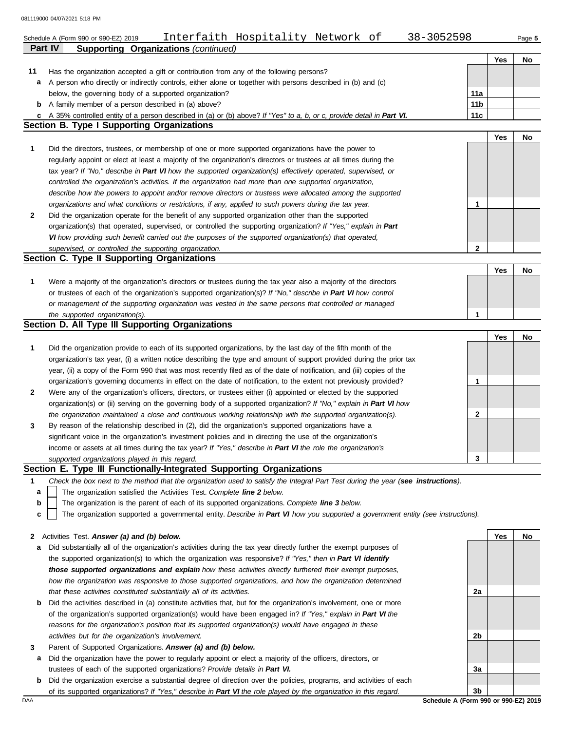|                | Interfaith Hospitality Network of<br>38-3052598<br>Schedule A (Form 990 or 990-EZ) 2019                                                                                                                                             |                 |            | Page 5 |
|----------------|-------------------------------------------------------------------------------------------------------------------------------------------------------------------------------------------------------------------------------------|-----------------|------------|--------|
| <b>Part IV</b> | <b>Supporting Organizations (continued)</b>                                                                                                                                                                                         |                 |            |        |
|                |                                                                                                                                                                                                                                     |                 | <b>Yes</b> | No     |
| 11             | Has the organization accepted a gift or contribution from any of the following persons?                                                                                                                                             |                 |            |        |
| а              | A person who directly or indirectly controls, either alone or together with persons described in (b) and (c)                                                                                                                        |                 |            |        |
|                | below, the governing body of a supported organization?                                                                                                                                                                              | 11a             |            |        |
| b              | A family member of a person described in (a) above?                                                                                                                                                                                 | 11 <sub>b</sub> |            |        |
| c              | A 35% controlled entity of a person described in (a) or (b) above? If "Yes" to a, b, or c, provide detail in Part VI.<br><b>Section B. Type I Supporting Organizations</b>                                                          | 11c             |            |        |
|                |                                                                                                                                                                                                                                     |                 |            |        |
|                |                                                                                                                                                                                                                                     |                 | Yes        | No     |
| 1              | Did the directors, trustees, or membership of one or more supported organizations have the power to                                                                                                                                 |                 |            |        |
|                | regularly appoint or elect at least a majority of the organization's directors or trustees at all times during the<br>tax year? If "No," describe in Part VI how the supported organization(s) effectively operated, supervised, or |                 |            |        |
|                | controlled the organization's activities. If the organization had more than one supported organization,                                                                                                                             |                 |            |        |
|                | describe how the powers to appoint and/or remove directors or trustees were allocated among the supported                                                                                                                           |                 |            |        |
|                | organizations and what conditions or restrictions, if any, applied to such powers during the tax year.                                                                                                                              | 1               |            |        |
| 2              | Did the organization operate for the benefit of any supported organization other than the supported                                                                                                                                 |                 |            |        |
|                | organization(s) that operated, supervised, or controlled the supporting organization? If "Yes," explain in Part                                                                                                                     |                 |            |        |
|                | VI how providing such benefit carried out the purposes of the supported organization(s) that operated,                                                                                                                              |                 |            |        |
|                | supervised, or controlled the supporting organization.                                                                                                                                                                              | $\mathbf{2}$    |            |        |
|                | Section C. Type II Supporting Organizations                                                                                                                                                                                         |                 |            |        |
|                |                                                                                                                                                                                                                                     |                 | Yes        | No     |
| 1              | Were a majority of the organization's directors or trustees during the tax year also a majority of the directors                                                                                                                    |                 |            |        |
|                | or trustees of each of the organization's supported organization(s)? If "No," describe in Part VI how control                                                                                                                       |                 |            |        |
|                | or management of the supporting organization was vested in the same persons that controlled or managed                                                                                                                              |                 |            |        |
|                | the supported organization(s).                                                                                                                                                                                                      | 1               |            |        |
|                | Section D. All Type III Supporting Organizations                                                                                                                                                                                    |                 |            |        |
|                |                                                                                                                                                                                                                                     |                 | Yes        | No     |
| 1              | Did the organization provide to each of its supported organizations, by the last day of the fifth month of the                                                                                                                      |                 |            |        |
|                | organization's tax year, (i) a written notice describing the type and amount of support provided during the prior tax                                                                                                               |                 |            |        |
|                | year, (ii) a copy of the Form 990 that was most recently filed as of the date of notification, and (iii) copies of the                                                                                                              |                 |            |        |
|                | organization's governing documents in effect on the date of notification, to the extent not previously provided?                                                                                                                    | 1               |            |        |
| 2              | Were any of the organization's officers, directors, or trustees either (i) appointed or elected by the supported                                                                                                                    |                 |            |        |
|                | organization(s) or (ii) serving on the governing body of a supported organization? If "No," explain in Part VI how                                                                                                                  |                 |            |        |
|                | the organization maintained a close and continuous working relationship with the supported organization(s).                                                                                                                         | $\mathbf{2}$    |            |        |
| 3              | By reason of the relationship described in (2), did the organization's supported organizations have a                                                                                                                               |                 |            |        |
|                | significant voice in the organization's investment policies and in directing the use of the organization's                                                                                                                          |                 |            |        |
|                | income or assets at all times during the tax year? If "Yes," describe in Part VI the role the organization's                                                                                                                        |                 |            |        |
|                | supported organizations played in this regard.                                                                                                                                                                                      | 3               |            |        |
|                | Section E. Type III Functionally-Integrated Supporting Organizations                                                                                                                                                                |                 |            |        |
| 1              | Check the box next to the method that the organization used to satisfy the Integral Part Test during the year (see instructions).                                                                                                   |                 |            |        |
| a              | The organization satisfied the Activities Test. Complete line 2 below.                                                                                                                                                              |                 |            |        |
| b              | The organization is the parent of each of its supported organizations. Complete line 3 below.                                                                                                                                       |                 |            |        |
| c              | The organization supported a governmental entity. Describe in Part VI how you supported a government entity (see instructions).                                                                                                     |                 |            |        |
|                |                                                                                                                                                                                                                                     |                 |            |        |
| 2              | Activities Test. Answer (a) and (b) below.                                                                                                                                                                                          |                 | Yes        | No     |
| а              | Did substantially all of the organization's activities during the tax year directly further the exempt purposes of                                                                                                                  |                 |            |        |
|                | the supported organization(s) to which the organization was responsive? If "Yes," then in Part VI identify                                                                                                                          |                 |            |        |
|                | those supported organizations and explain how these activities directly furthered their exempt purposes,                                                                                                                            |                 |            |        |
|                | how the organization was responsive to those supported organizations, and how the organization determined                                                                                                                           |                 |            |        |
|                | that these activities constituted substantially all of its activities.                                                                                                                                                              | 2a              |            |        |
| b              | Did the activities described in (a) constitute activities that, but for the organization's involvement, one or more                                                                                                                 |                 |            |        |
|                | of the organization's supported organization(s) would have been engaged in? If "Yes," explain in Part VI the<br>reasons for the organization's position that its supported organization(s) would have engaged in these              |                 |            |        |
|                | activities but for the organization's involvement.                                                                                                                                                                                  | 2b              |            |        |
| 3              | Parent of Supported Organizations. Answer (a) and (b) below.                                                                                                                                                                        |                 |            |        |
| а              | Did the organization have the power to regularly appoint or elect a majority of the officers, directors, or                                                                                                                         |                 |            |        |
|                | trustees of each of the supported organizations? Provide details in Part VI.                                                                                                                                                        | 3a              |            |        |

**b** Did the organization exercise a substantial degree of direction over the policies, programs, and activities of each of its supported organizations? *If "Yes," describe in Part VI the role played by the organization in this regard.*

DAA **Schedule A (Form 990 or 990-EZ) 2019 3b**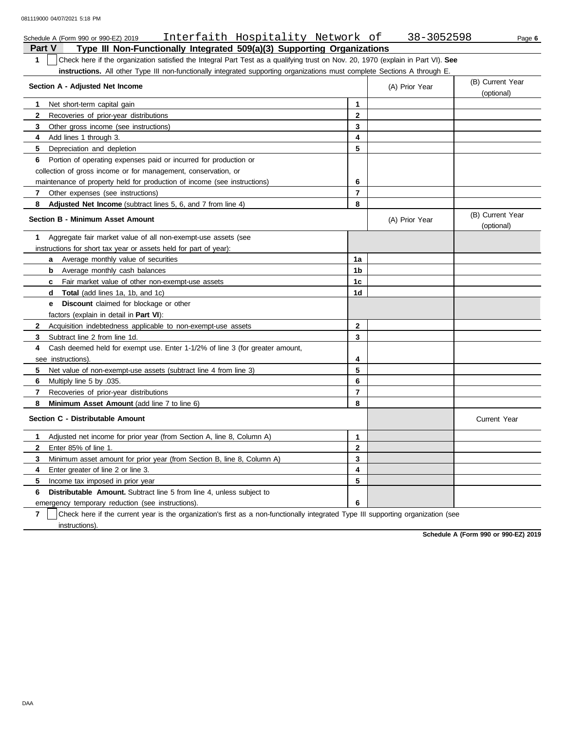| Interfaith Hospitality Network of<br>Schedule A (Form 990 or 990-EZ) 2019                                                             |                | 38-3052598     | Page 6                         |
|---------------------------------------------------------------------------------------------------------------------------------------|----------------|----------------|--------------------------------|
| Type III Non-Functionally Integrated 509(a)(3) Supporting Organizations<br>Part V                                                     |                |                |                                |
| 1<br>Check here if the organization satisfied the Integral Part Test as a qualifying trust on Nov. 20, 1970 (explain in Part VI). See |                |                |                                |
| instructions. All other Type III non-functionally integrated supporting organizations must complete Sections A through E.             |                |                |                                |
| Section A - Adjusted Net Income                                                                                                       |                | (A) Prior Year | (B) Current Year<br>(optional) |
| Net short-term capital gain<br>1                                                                                                      | 1              |                |                                |
| $\mathbf{2}$<br>Recoveries of prior-year distributions                                                                                | $\mathbf{2}$   |                |                                |
| 3<br>Other gross income (see instructions)                                                                                            | 3              |                |                                |
| 4<br>Add lines 1 through 3.                                                                                                           | 4              |                |                                |
| 5<br>Depreciation and depletion                                                                                                       | 5              |                |                                |
| 6<br>Portion of operating expenses paid or incurred for production or                                                                 |                |                |                                |
| collection of gross income or for management, conservation, or                                                                        |                |                |                                |
| maintenance of property held for production of income (see instructions)                                                              | 6              |                |                                |
| 7<br>Other expenses (see instructions)                                                                                                | 7              |                |                                |
| Adjusted Net Income (subtract lines 5, 6, and 7 from line 4)<br>8                                                                     | 8              |                |                                |
| <b>Section B - Minimum Asset Amount</b>                                                                                               |                | (A) Prior Year | (B) Current Year<br>(optional) |
| Aggregate fair market value of all non-exempt-use assets (see<br>1                                                                    |                |                |                                |
| instructions for short tax year or assets held for part of year):                                                                     |                |                |                                |
| <b>a</b> Average monthly value of securities                                                                                          | 1a             |                |                                |
| <b>b</b> Average monthly cash balances                                                                                                | 1b             |                |                                |
| Fair market value of other non-exempt-use assets<br>C                                                                                 | 1 <sub>c</sub> |                |                                |
| <b>Total</b> (add lines 1a, 1b, and 1c)<br>d.                                                                                         | 1 <sub>d</sub> |                |                                |
| <b>Discount</b> claimed for blockage or other<br>е                                                                                    |                |                |                                |
| factors (explain in detail in <b>Part VI)</b> :                                                                                       |                |                |                                |
| $2 \nightharpoonup$<br>Acquisition indebtedness applicable to non-exempt-use assets                                                   | $\mathbf{2}$   |                |                                |
| 3<br>Subtract line 2 from line 1d.                                                                                                    | 3              |                |                                |
| Cash deemed held for exempt use. Enter 1-1/2% of line 3 (for greater amount,<br>4                                                     |                |                |                                |
| see instructions)                                                                                                                     | 4              |                |                                |
| 5<br>Net value of non-exempt-use assets (subtract line 4 from line 3)                                                                 | 5              |                |                                |
| 6<br>Multiply line 5 by .035.                                                                                                         | 6              |                |                                |
| $\overline{7}$<br>Recoveries of prior-year distributions                                                                              | $\overline{7}$ |                |                                |
| 8<br>Minimum Asset Amount (add line 7 to line 6)                                                                                      | 8              |                |                                |
| Section C - Distributable Amount                                                                                                      |                |                | <b>Current Year</b>            |
| $\mathbf 1$<br>Adjusted net income for prior year (from Section A, line 8, Column A)                                                  | $\mathbf{1}$   |                |                                |
| $\mathbf{2}$<br>Enter 85% of line 1.                                                                                                  | $\mathbf{2}$   |                |                                |
| 3<br>Minimum asset amount for prior year (from Section B, line 8, Column A)                                                           | 3              |                |                                |
| 4<br>Enter greater of line 2 or line 3.                                                                                               | 4              |                |                                |
| 5<br>Income tax imposed in prior year                                                                                                 | 5              |                |                                |
| <b>Distributable Amount.</b> Subtract line 5 from line 4, unless subject to<br>6                                                      |                |                |                                |
| emergency temporary reduction (see instructions).                                                                                     | 6              |                |                                |

**7** instructions). Check here if the current year is the organization's first as a non-functionally integrated Type III supporting organization (see

**Schedule A (Form 990 or 990-EZ) 2019**

DAA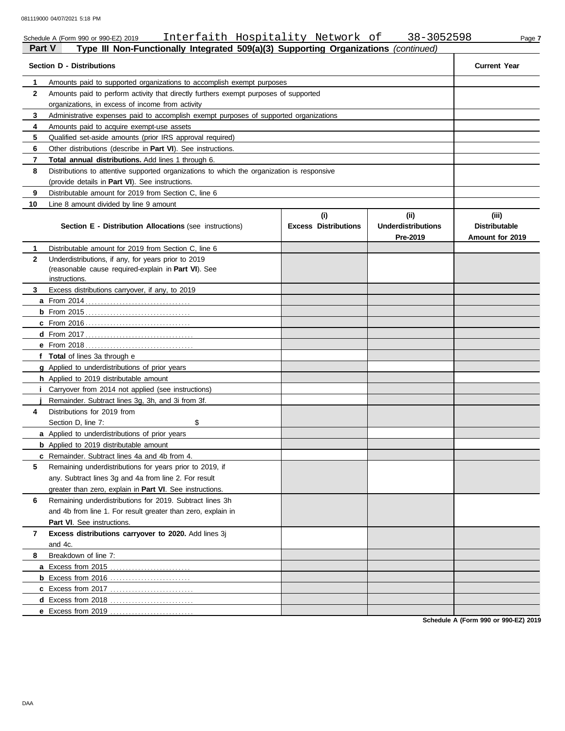| Part V       | Interfaith Hospitality Network of<br>Schedule A (Form 990 or 990-EZ) 2019<br>Type III Non-Functionally Integrated 509(a)(3) Supporting Organizations (continued) |                                    | 38-3052598                                    | Page 7                                           |
|--------------|------------------------------------------------------------------------------------------------------------------------------------------------------------------|------------------------------------|-----------------------------------------------|--------------------------------------------------|
|              | <b>Section D - Distributions</b>                                                                                                                                 |                                    |                                               | <b>Current Year</b>                              |
| 1            | Amounts paid to supported organizations to accomplish exempt purposes                                                                                            |                                    |                                               |                                                  |
| $\mathbf{2}$ | Amounts paid to perform activity that directly furthers exempt purposes of supported                                                                             |                                    |                                               |                                                  |
|              | organizations, in excess of income from activity                                                                                                                 |                                    |                                               |                                                  |
| 3            | Administrative expenses paid to accomplish exempt purposes of supported organizations                                                                            |                                    |                                               |                                                  |
| 4            | Amounts paid to acquire exempt-use assets                                                                                                                        |                                    |                                               |                                                  |
| 5            | Qualified set-aside amounts (prior IRS approval required)                                                                                                        |                                    |                                               |                                                  |
| 6            | Other distributions (describe in <b>Part VI</b> ). See instructions.                                                                                             |                                    |                                               |                                                  |
| 7            | Total annual distributions. Add lines 1 through 6.                                                                                                               |                                    |                                               |                                                  |
| 8            | Distributions to attentive supported organizations to which the organization is responsive                                                                       |                                    |                                               |                                                  |
|              | (provide details in Part VI). See instructions.                                                                                                                  |                                    |                                               |                                                  |
| 9            | Distributable amount for 2019 from Section C, line 6                                                                                                             |                                    |                                               |                                                  |
| 10           | Line 8 amount divided by line 9 amount                                                                                                                           |                                    |                                               |                                                  |
|              | <b>Section E - Distribution Allocations (see instructions)</b>                                                                                                   | (i)<br><b>Excess Distributions</b> | (ii)<br><b>Underdistributions</b><br>Pre-2019 | (iii)<br><b>Distributable</b><br>Amount for 2019 |
| 1            | Distributable amount for 2019 from Section C, line 6                                                                                                             |                                    |                                               |                                                  |
| $\mathbf{2}$ | Underdistributions, if any, for years prior to 2019<br>(reasonable cause required-explain in Part VI). See<br>instructions.                                      |                                    |                                               |                                                  |
| 3            | Excess distributions carryover, if any, to 2019                                                                                                                  |                                    |                                               |                                                  |
|              |                                                                                                                                                                  |                                    |                                               |                                                  |
|              |                                                                                                                                                                  |                                    |                                               |                                                  |
|              |                                                                                                                                                                  |                                    |                                               |                                                  |
|              |                                                                                                                                                                  |                                    |                                               |                                                  |
|              |                                                                                                                                                                  |                                    |                                               |                                                  |
|              | f Total of lines 3a through e                                                                                                                                    |                                    |                                               |                                                  |
|              | g Applied to underdistributions of prior years                                                                                                                   |                                    |                                               |                                                  |
|              | h Applied to 2019 distributable amount                                                                                                                           |                                    |                                               |                                                  |
|              | <i>i</i> Carryover from 2014 not applied (see instructions)                                                                                                      |                                    |                                               |                                                  |
|              | Remainder. Subtract lines 3g, 3h, and 3i from 3f.                                                                                                                |                                    |                                               |                                                  |
| 4            | Distributions for 2019 from                                                                                                                                      |                                    |                                               |                                                  |
|              | \$<br>Section D, line 7:                                                                                                                                         |                                    |                                               |                                                  |
|              | a Applied to underdistributions of prior years                                                                                                                   |                                    |                                               |                                                  |
|              | <b>b</b> Applied to 2019 distributable amount                                                                                                                    |                                    |                                               |                                                  |
|              | c Remainder. Subtract lines 4a and 4b from 4.                                                                                                                    |                                    |                                               |                                                  |
| 5            | Remaining underdistributions for years prior to 2019, if                                                                                                         |                                    |                                               |                                                  |
|              | any. Subtract lines 3g and 4a from line 2. For result                                                                                                            |                                    |                                               |                                                  |
|              | greater than zero, explain in Part VI. See instructions.                                                                                                         |                                    |                                               |                                                  |
| 6            | Remaining underdistributions for 2019. Subtract lines 3h                                                                                                         |                                    |                                               |                                                  |
|              | and 4b from line 1. For result greater than zero, explain in                                                                                                     |                                    |                                               |                                                  |
|              | Part VI. See instructions.                                                                                                                                       |                                    |                                               |                                                  |
| 7            | Excess distributions carryover to 2020. Add lines 3j                                                                                                             |                                    |                                               |                                                  |
|              | and 4c.                                                                                                                                                          |                                    |                                               |                                                  |
| 8            | Breakdown of line 7:                                                                                                                                             |                                    |                                               |                                                  |
|              | a Excess from 2015                                                                                                                                               |                                    |                                               |                                                  |
|              |                                                                                                                                                                  |                                    |                                               |                                                  |
|              |                                                                                                                                                                  |                                    |                                               |                                                  |
|              | d Excess from 2018                                                                                                                                               |                                    |                                               |                                                  |
|              | e Excess from 2019.                                                                                                                                              |                                    |                                               |                                                  |
|              |                                                                                                                                                                  |                                    |                                               | Schedule A (Form 990 or 990-EZ) 2019             |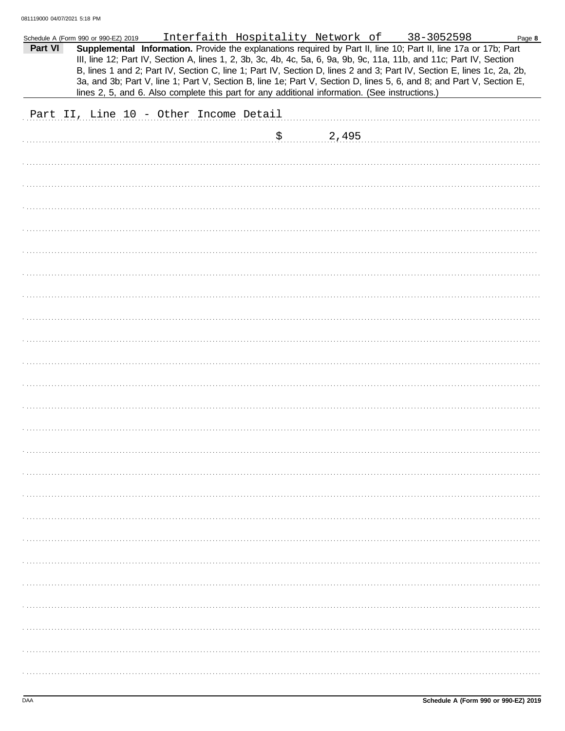|         | Schedule A (Form 990 or 990-EZ) 2019                                                                                                                                                                                                    |  |  |    |                |  | Interfaith Hospitality Network of 38-3052598                                                                           | Page 8 |
|---------|-----------------------------------------------------------------------------------------------------------------------------------------------------------------------------------------------------------------------------------------|--|--|----|----------------|--|------------------------------------------------------------------------------------------------------------------------|--------|
| Part VI | Supplemental Information. Provide the explanations required by Part II, line 10; Part II, line 17a or 17b; Part<br>III, line 12; Part IV, Section A, lines 1, 2, 3b, 3c, 4b, 4c, 5a, 6, 9a, 9b, 9c, 11a, 11b, and 11c; Part IV, Section |  |  |    |                |  | B, lines 1 and 2; Part IV, Section C, line 1; Part IV, Section D, lines 2 and 3; Part IV, Section E, lines 1c, 2a, 2b, |        |
|         | 3a, and 3b; Part V, line 1; Part V, Section B, line 1e; Part V, Section D, lines 5, 6, and 8; and Part V, Section E,<br>lines 2, 5, and 6. Also complete this part for any additional information. (See instructions.)                  |  |  |    |                |  |                                                                                                                        |        |
|         |                                                                                                                                                                                                                                         |  |  |    |                |  |                                                                                                                        |        |
|         | Part II, Line 10 - Other Income Detail                                                                                                                                                                                                  |  |  |    |                |  |                                                                                                                        |        |
|         |                                                                                                                                                                                                                                         |  |  | \$ | $\ldots$ 2,495 |  |                                                                                                                        |        |
|         |                                                                                                                                                                                                                                         |  |  |    |                |  |                                                                                                                        |        |
|         |                                                                                                                                                                                                                                         |  |  |    |                |  |                                                                                                                        |        |
|         |                                                                                                                                                                                                                                         |  |  |    |                |  |                                                                                                                        |        |
|         |                                                                                                                                                                                                                                         |  |  |    |                |  |                                                                                                                        |        |
|         |                                                                                                                                                                                                                                         |  |  |    |                |  |                                                                                                                        |        |
|         |                                                                                                                                                                                                                                         |  |  |    |                |  |                                                                                                                        |        |
|         |                                                                                                                                                                                                                                         |  |  |    |                |  |                                                                                                                        |        |
|         |                                                                                                                                                                                                                                         |  |  |    |                |  |                                                                                                                        |        |
|         |                                                                                                                                                                                                                                         |  |  |    |                |  |                                                                                                                        |        |
|         |                                                                                                                                                                                                                                         |  |  |    |                |  |                                                                                                                        |        |
|         |                                                                                                                                                                                                                                         |  |  |    |                |  |                                                                                                                        |        |
|         |                                                                                                                                                                                                                                         |  |  |    |                |  |                                                                                                                        |        |
|         |                                                                                                                                                                                                                                         |  |  |    |                |  |                                                                                                                        |        |
|         |                                                                                                                                                                                                                                         |  |  |    |                |  |                                                                                                                        |        |
|         |                                                                                                                                                                                                                                         |  |  |    |                |  |                                                                                                                        |        |
|         |                                                                                                                                                                                                                                         |  |  |    |                |  |                                                                                                                        |        |
|         |                                                                                                                                                                                                                                         |  |  |    |                |  |                                                                                                                        |        |
|         |                                                                                                                                                                                                                                         |  |  |    |                |  |                                                                                                                        |        |
|         |                                                                                                                                                                                                                                         |  |  |    |                |  |                                                                                                                        |        |
|         |                                                                                                                                                                                                                                         |  |  |    |                |  |                                                                                                                        |        |
|         |                                                                                                                                                                                                                                         |  |  |    |                |  |                                                                                                                        |        |
|         |                                                                                                                                                                                                                                         |  |  |    |                |  |                                                                                                                        |        |
|         |                                                                                                                                                                                                                                         |  |  |    |                |  |                                                                                                                        |        |
|         |                                                                                                                                                                                                                                         |  |  |    |                |  |                                                                                                                        |        |
|         |                                                                                                                                                                                                                                         |  |  |    |                |  |                                                                                                                        |        |
|         |                                                                                                                                                                                                                                         |  |  |    |                |  |                                                                                                                        |        |
|         |                                                                                                                                                                                                                                         |  |  |    |                |  |                                                                                                                        |        |
|         |                                                                                                                                                                                                                                         |  |  |    |                |  |                                                                                                                        |        |
|         |                                                                                                                                                                                                                                         |  |  |    |                |  |                                                                                                                        |        |
|         |                                                                                                                                                                                                                                         |  |  |    |                |  |                                                                                                                        |        |
|         |                                                                                                                                                                                                                                         |  |  |    |                |  |                                                                                                                        |        |
|         |                                                                                                                                                                                                                                         |  |  |    |                |  |                                                                                                                        |        |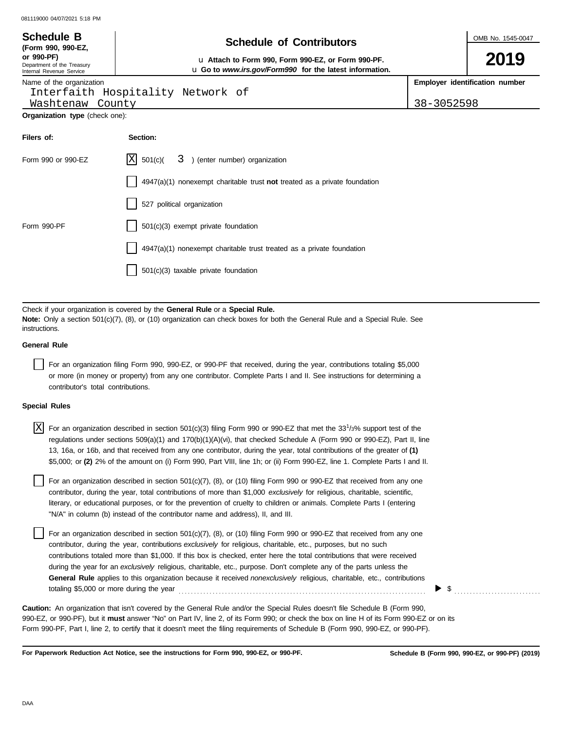| <b>Schedule B</b><br>(Form 990, 990-EZ,<br>or 990-PF)<br>Department of the Treasury<br>Internal Revenue Service | <b>Schedule of Contributors</b><br>u Attach to Form 990, Form 990-EZ, or Form 990-PF.<br>u Go to www.irs.gov/Form990 for the latest information. |            | OMB No. 1545-0047<br>2019      |  |  |  |  |  |  |  |
|-----------------------------------------------------------------------------------------------------------------|--------------------------------------------------------------------------------------------------------------------------------------------------|------------|--------------------------------|--|--|--|--|--|--|--|
| Name of the organization<br>Washtenaw County                                                                    | Interfaith Hospitality Network of                                                                                                                | 38-3052598 | Employer identification number |  |  |  |  |  |  |  |
|                                                                                                                 | Organization type (check one):                                                                                                                   |            |                                |  |  |  |  |  |  |  |
| Filers of:                                                                                                      | Section:                                                                                                                                         |            |                                |  |  |  |  |  |  |  |
| Form 990 or 990-EZ                                                                                              | IXI<br>3 ) (enter number) organization<br>501(c)                                                                                                 |            |                                |  |  |  |  |  |  |  |
|                                                                                                                 | 4947(a)(1) nonexempt charitable trust not treated as a private foundation                                                                        |            |                                |  |  |  |  |  |  |  |
|                                                                                                                 | 527 political organization                                                                                                                       |            |                                |  |  |  |  |  |  |  |
| Form 990-PF                                                                                                     | 501(c)(3) exempt private foundation                                                                                                              |            |                                |  |  |  |  |  |  |  |
|                                                                                                                 | 4947(a)(1) nonexempt charitable trust treated as a private foundation                                                                            |            |                                |  |  |  |  |  |  |  |
|                                                                                                                 | 501(c)(3) taxable private foundation                                                                                                             |            |                                |  |  |  |  |  |  |  |
|                                                                                                                 |                                                                                                                                                  |            |                                |  |  |  |  |  |  |  |

Check if your organization is covered by the **General Rule** or a **Special Rule. Note:** Only a section 501(c)(7), (8), or (10) organization can check boxes for both the General Rule and a Special Rule. See instructions.

### **General Rule**

For an organization filing Form 990, 990-EZ, or 990-PF that received, during the year, contributions totaling \$5,000 or more (in money or property) from any one contributor. Complete Parts I and II. See instructions for determining a contributor's total contributions.

### **Special Rules**

| $X$ For an organization described in section 501(c)(3) filing Form 990 or 990-EZ that met the 33 <sup>1</sup> /3% support test of the |
|---------------------------------------------------------------------------------------------------------------------------------------|
| regulations under sections 509(a)(1) and 170(b)(1)(A)(vi), that checked Schedule A (Form 990 or 990-EZ), Part II, line                |
| 13, 16a, or 16b, and that received from any one contributor, during the year, total contributions of the greater of (1)               |
| \$5,000; or (2) 2% of the amount on (i) Form 990, Part VIII, line 1h; or (ii) Form 990-EZ, line 1. Complete Parts I and II.           |

literary, or educational purposes, or for the prevention of cruelty to children or animals. Complete Parts I (entering For an organization described in section 501(c)(7), (8), or (10) filing Form 990 or 990-EZ that received from any one contributor, during the year, total contributions of more than \$1,000 *exclusively* for religious, charitable, scientific, "N/A" in column (b) instead of the contributor name and address), II, and III.

For an organization described in section 501(c)(7), (8), or (10) filing Form 990 or 990-EZ that received from any one contributor, during the year, contributions *exclusively* for religious, charitable, etc., purposes, but no such contributions totaled more than \$1,000. If this box is checked, enter here the total contributions that were received during the year for an *exclusively* religious, charitable, etc., purpose. Don't complete any of the parts unless the **General Rule** applies to this organization because it received *nonexclusively* religious, charitable, etc., contributions totaling \$5,000 or more during the year . . . . . . . . . . . . . . . . . . . . . . . . . . . . . . . . . . . . . . . . . . . . . . . . . . . . . . . . . . . . . . . . . . . . . . . . . . . . . . . .

990-EZ, or 990-PF), but it **must** answer "No" on Part IV, line 2, of its Form 990; or check the box on line H of its Form 990-EZ or on its Form 990-PF, Part I, line 2, to certify that it doesn't meet the filing requirements of Schedule B (Form 990, 990-EZ, or 990-PF). **Caution:** An organization that isn't covered by the General Rule and/or the Special Rules doesn't file Schedule B (Form 990,

**For Paperwork Reduction Act Notice, see the instructions for Form 990, 990-EZ, or 990-PF.**

 $\triangleright$  \$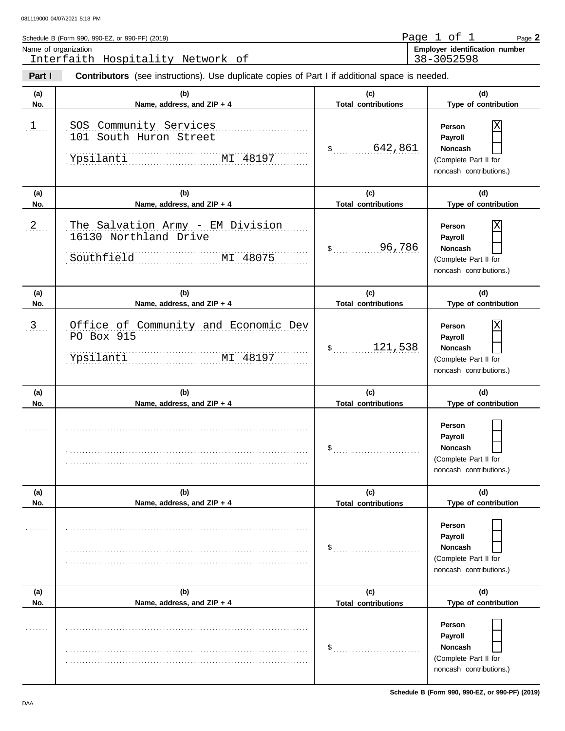| Schedule B (Form 990, 990-EZ, or 990-PF) (2019)                                                                 | Page 1 of 1<br>Page 2                        |
|-----------------------------------------------------------------------------------------------------------------|----------------------------------------------|
| Name of organization<br>Interfaith Hospitality Network of                                                       | Employer identification number<br>38-3052598 |
| Part I<br><b>Contributors</b> (see instructions). Use duplicate copies of Part I if additional space is needed. |                                              |

| (a)            | (b)                                                                                 | (c)                        | (d)                                                                                          |
|----------------|-------------------------------------------------------------------------------------|----------------------------|----------------------------------------------------------------------------------------------|
| No.            | Name, address, and ZIP + 4                                                          | <b>Total contributions</b> | Type of contribution                                                                         |
| $1$            | SOS Community Services<br>101 South Huron Street<br>MI 48197<br>Ypsilanti           | 642,861<br>$\sim$          | Person<br>Χ<br>Payroll<br><b>Noncash</b><br>(Complete Part II for<br>noncash contributions.) |
| (a)            | (b)                                                                                 | (c)                        | (d)                                                                                          |
| No.            | Name, address, and ZIP + 4                                                          | <b>Total contributions</b> | Type of contribution                                                                         |
| $\overline{2}$ | The Salvation Army - EM Division<br>16130 Northland Drive<br>Southfield<br>MI 48075 | 96,786<br>$\sim$           | Χ<br>Person<br>Payroll<br><b>Noncash</b><br>(Complete Part II for<br>noncash contributions.) |
| (a)            | (b)                                                                                 | (c)                        | (d)                                                                                          |
| No.            | Name, address, and ZIP + 4                                                          | <b>Total contributions</b> | Type of contribution                                                                         |
| $\overline{3}$ | Office of Community and Economic Dev<br>PO Box 915<br>MI 48197<br>Ypsilanti         | \$121,538                  | Χ<br>Person<br>Payroll<br><b>Noncash</b><br>(Complete Part II for<br>noncash contributions.) |
| (a)            | (b)                                                                                 | (c)                        | (d)                                                                                          |
| No.            | Name, address, and ZIP + 4                                                          | <b>Total contributions</b> | Type of contribution                                                                         |
|                |                                                                                     |                            | Person                                                                                       |
|                |                                                                                     | $\mathsf{\$}$              | Payroll<br><b>Noncash</b><br>(Complete Part II for<br>noncash contributions.)                |
| (a)            | (b)                                                                                 | (c)                        | (d)                                                                                          |
| No.            | Name, address, and ZIP + 4                                                          | <b>Total contributions</b> | Type of contribution                                                                         |
|                |                                                                                     | $$^{\circ}$                | Person<br>Payroll<br>Noncash<br>(Complete Part II for<br>noncash contributions.)             |
| (a)            | (b)                                                                                 | (c)                        | (d)                                                                                          |
| No.            | Name, address, and ZIP + 4                                                          | <b>Total contributions</b> | Type of contribution                                                                         |

**Schedule B (Form 990, 990-EZ, or 990-PF) (2019)**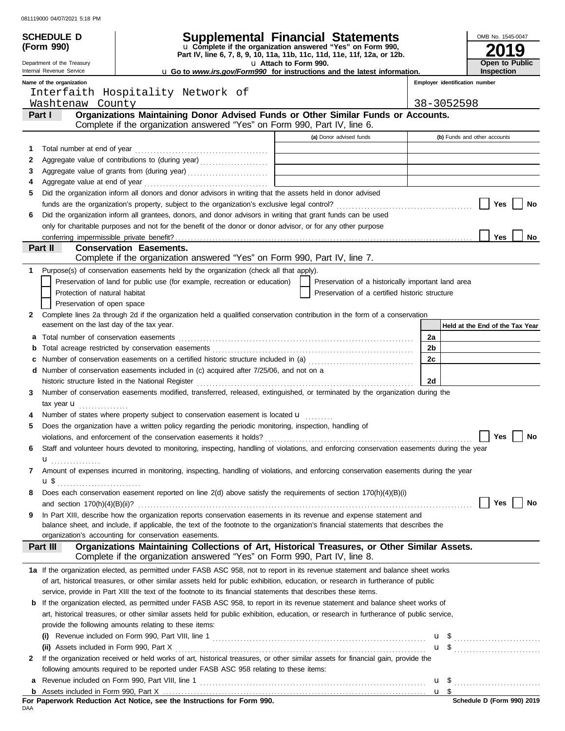| 081119000 04/07/2021 5:18 PM                           |                                                                                                                                                                                                                                |                                                                                                          |                                |                                     |
|--------------------------------------------------------|--------------------------------------------------------------------------------------------------------------------------------------------------------------------------------------------------------------------------------|----------------------------------------------------------------------------------------------------------|--------------------------------|-------------------------------------|
| <b>SCHEDULE D</b><br>(Form 990)                        |                                                                                                                                                                                                                                | Supplemental Financial Statements<br>u Complete if the organization answered "Yes" on Form 990,          |                                | OMB No. 1545-0047                   |
|                                                        |                                                                                                                                                                                                                                | Part IV, line 6, 7, 8, 9, 10, 11a, 11b, 11c, 11d, 11e, 11f, 12a, or 12b.                                 |                                | 9                                   |
| Department of the Treasury<br>Internal Revenue Service |                                                                                                                                                                                                                                | u Attach to Form 990.<br><b>u</b> Go to www.irs.gov/Form990 for instructions and the latest information. |                                | Open to Public<br><b>Inspection</b> |
| Name of the organization                               |                                                                                                                                                                                                                                |                                                                                                          | Employer identification number |                                     |
|                                                        | Interfaith Hospitality Network of                                                                                                                                                                                              |                                                                                                          |                                |                                     |
| Washtenaw County                                       | Organizations Maintaining Donor Advised Funds or Other Similar Funds or Accounts.                                                                                                                                              |                                                                                                          | 38-3052598                     |                                     |
| Part I                                                 | Complete if the organization answered "Yes" on Form 990, Part IV, line 6.                                                                                                                                                      |                                                                                                          |                                |                                     |
|                                                        |                                                                                                                                                                                                                                | (a) Donor advised funds                                                                                  |                                | (b) Funds and other accounts        |
| 1.                                                     |                                                                                                                                                                                                                                | the control of the control of the control of the control of the control of                               |                                |                                     |
| 2                                                      | Aggregate value of contributions to (during year)                                                                                                                                                                              | the control of the control of the control of the control of the control of the control of                |                                |                                     |
| 3                                                      | Aggregate value of grants from (during year) entitled and all products and all products of the set of the set of the set of the set of the set of the set of the set of the set of the set of the set of the set of the set of |                                                                                                          |                                |                                     |
| 4<br>5                                                 | Did the organization inform all donors and donor advisors in writing that the assets held in donor advised                                                                                                                     |                                                                                                          |                                |                                     |
|                                                        |                                                                                                                                                                                                                                |                                                                                                          |                                | Yes<br>No                           |
| 6                                                      | Did the organization inform all grantees, donors, and donor advisors in writing that grant funds can be used                                                                                                                   |                                                                                                          |                                |                                     |
|                                                        | only for charitable purposes and not for the benefit of the donor or donor advisor, or for any other purpose                                                                                                                   |                                                                                                          |                                |                                     |
|                                                        |                                                                                                                                                                                                                                |                                                                                                          |                                | Yes<br>No                           |
| Part II                                                | <b>Conservation Easements.</b><br>Complete if the organization answered "Yes" on Form 990, Part IV, line 7.                                                                                                                    |                                                                                                          |                                |                                     |
| 1                                                      | Purpose(s) of conservation easements held by the organization (check all that apply).                                                                                                                                          |                                                                                                          |                                |                                     |
|                                                        | Preservation of land for public use (for example, recreation or education)                                                                                                                                                     | Preservation of a historically important land area                                                       |                                |                                     |
| Protection of natural habitat                          |                                                                                                                                                                                                                                | Preservation of a certified historic structure                                                           |                                |                                     |
| Preservation of open space                             |                                                                                                                                                                                                                                |                                                                                                          |                                |                                     |
| 2                                                      | Complete lines 2a through 2d if the organization held a qualified conservation contribution in the form of a conservation                                                                                                      |                                                                                                          |                                |                                     |
| easement on the last day of the tax year.              |                                                                                                                                                                                                                                |                                                                                                          | 2a                             | Held at the End of the Tax Year     |
| а<br>b                                                 |                                                                                                                                                                                                                                |                                                                                                          | 2 <sub>b</sub>                 |                                     |
| C                                                      | Number of conservation easements on a certified historic structure included in (a) [11] Number of conservation easements on a certified historic structure included in (a)                                                     |                                                                                                          | 2c                             |                                     |
|                                                        | <b>d</b> Number of conservation easements included in (c) acquired after $7/25/06$ , and not on a                                                                                                                              |                                                                                                          |                                |                                     |
|                                                        | historic structure listed in the National Register                                                                                                                                                                             |                                                                                                          | 2d                             |                                     |
| 3                                                      | Number of conservation easements modified, transferred, released, extinguished, or terminated by the organization during the                                                                                                   |                                                                                                          |                                |                                     |
| tax year $\mathbf u$                                   |                                                                                                                                                                                                                                |                                                                                                          |                                |                                     |
| 5                                                      | Number of states where property subject to conservation easement is located <b>u</b><br>Does the organization have a written policy regarding the periodic monitoring, inspection, handling of                                 |                                                                                                          |                                |                                     |
|                                                        |                                                                                                                                                                                                                                |                                                                                                          |                                | Yes<br>No                           |
| 6                                                      | Staff and volunteer hours devoted to monitoring, inspecting, handling of violations, and enforcing conservation easements during the year                                                                                      |                                                                                                          |                                |                                     |
| $\mathbf{u}$ <sub></sub>                               |                                                                                                                                                                                                                                |                                                                                                          |                                |                                     |
| 7                                                      | Amount of expenses incurred in monitoring, inspecting, handling of violations, and enforcing conservation easements during the year                                                                                            |                                                                                                          |                                |                                     |
|                                                        |                                                                                                                                                                                                                                |                                                                                                          |                                |                                     |
| 8                                                      | Does each conservation easement reported on line 2(d) above satisfy the requirements of section 170(h)(4)(B)(i)                                                                                                                |                                                                                                          |                                | Yes<br>No                           |
| 9                                                      | In Part XIII, describe how the organization reports conservation easements in its revenue and expense statement and                                                                                                            |                                                                                                          |                                |                                     |
|                                                        | balance sheet, and include, if applicable, the text of the footnote to the organization's financial statements that describes the                                                                                              |                                                                                                          |                                |                                     |
|                                                        | organization's accounting for conservation easements.                                                                                                                                                                          |                                                                                                          |                                |                                     |
| Part III                                               | Organizations Maintaining Collections of Art, Historical Treasures, or Other Similar Assets.<br>Complete if the organization answered "Yes" on Form 990, Part IV, line 8.                                                      |                                                                                                          |                                |                                     |
|                                                        | 1a If the organization elected, as permitted under FASB ASC 958, not to report in its revenue statement and balance sheet works                                                                                                |                                                                                                          |                                |                                     |
|                                                        | of art, historical treasures, or other similar assets held for public exhibition, education, or research in furtherance of public                                                                                              |                                                                                                          |                                |                                     |
|                                                        | service, provide in Part XIII the text of the footnote to its financial statements that describes these items.                                                                                                                 |                                                                                                          |                                |                                     |
|                                                        | <b>b</b> If the organization elected, as permitted under FASB ASC 958, to report in its revenue statement and balance sheet works of                                                                                           |                                                                                                          |                                |                                     |
|                                                        | art, historical treasures, or other similar assets held for public exhibition, education, or research in furtherance of public service,                                                                                        |                                                                                                          |                                |                                     |
|                                                        | provide the following amounts relating to these items:                                                                                                                                                                         |                                                                                                          |                                |                                     |
| (ii) Assets included in Form 990, Part X               |                                                                                                                                                                                                                                |                                                                                                          |                                |                                     |
| 2                                                      | If the organization received or held works of art, historical treasures, or other similar assets for financial gain, provide the                                                                                               |                                                                                                          |                                |                                     |
|                                                        | following amounts required to be reported under FASB ASC 958 relating to these items:                                                                                                                                          |                                                                                                          |                                |                                     |
| a                                                      |                                                                                                                                                                                                                                |                                                                                                          |                                |                                     |
|                                                        |                                                                                                                                                                                                                                |                                                                                                          | $\mathbf{u}$ \$                |                                     |

|     |  |  |  | For Paperwork Reduction Act Notice, see the Instructions for Form 990. |  |  |
|-----|--|--|--|------------------------------------------------------------------------|--|--|
| DAA |  |  |  |                                                                        |  |  |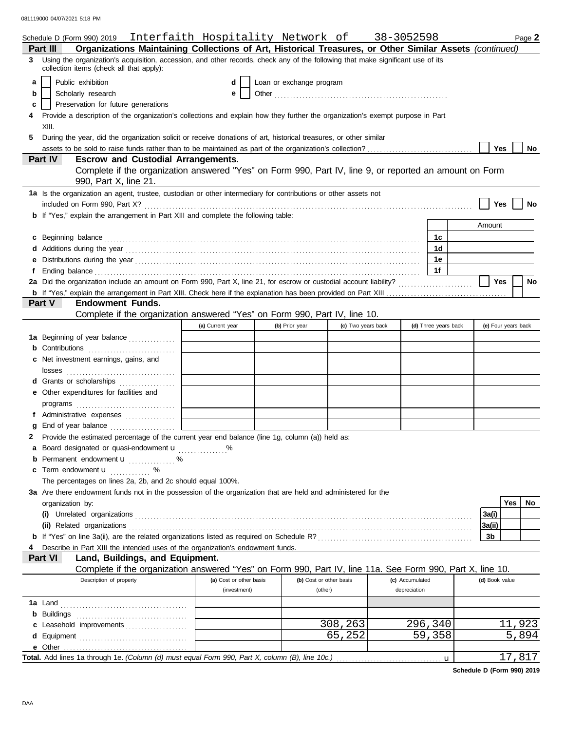|   |                    |                                          | Schedule D (Form 990) 2019 Interfaith Hospitality Network of 38-3052598                                                                                                                                                        |                         |                          |         |                         |                 |                      |                     |     | Page 2 |
|---|--------------------|------------------------------------------|--------------------------------------------------------------------------------------------------------------------------------------------------------------------------------------------------------------------------------|-------------------------|--------------------------|---------|-------------------------|-----------------|----------------------|---------------------|-----|--------|
|   | Part III           |                                          | Organizations Maintaining Collections of Art, Historical Treasures, or Other Similar Assets (continued)                                                                                                                        |                         |                          |         |                         |                 |                      |                     |     |        |
|   |                    | collection items (check all that apply): | 3 Using the organization's acquisition, accession, and other records, check any of the following that make significant use of its                                                                                              |                         |                          |         |                         |                 |                      |                     |     |        |
| a |                    | Public exhibition                        |                                                                                                                                                                                                                                | d                       | Loan or exchange program |         |                         |                 |                      |                     |     |        |
| b |                    | Scholarly research                       |                                                                                                                                                                                                                                | е                       |                          |         |                         |                 |                      |                     |     |        |
| c |                    | Preservation for future generations      |                                                                                                                                                                                                                                |                         |                          |         |                         |                 |                      |                     |     |        |
|   |                    |                                          | Provide a description of the organization's collections and explain how they further the organization's exempt purpose in Part                                                                                                 |                         |                          |         |                         |                 |                      |                     |     |        |
|   | XIII.              |                                          |                                                                                                                                                                                                                                |                         |                          |         |                         |                 |                      |                     |     |        |
| 5 |                    |                                          | During the year, did the organization solicit or receive donations of art, historical treasures, or other similar                                                                                                              |                         |                          |         |                         |                 |                      |                     |     |        |
|   |                    |                                          |                                                                                                                                                                                                                                |                         |                          |         |                         |                 |                      | Yes                 |     | No     |
|   | Part IV            |                                          | <b>Escrow and Custodial Arrangements.</b>                                                                                                                                                                                      |                         |                          |         |                         |                 |                      |                     |     |        |
|   |                    | 990, Part X, line 21.                    | Complete if the organization answered "Yes" on Form 990, Part IV, line 9, or reported an amount on Form                                                                                                                        |                         |                          |         |                         |                 |                      |                     |     |        |
|   |                    |                                          | 1a Is the organization an agent, trustee, custodian or other intermediary for contributions or other assets not                                                                                                                |                         |                          |         |                         |                 |                      |                     |     |        |
|   |                    |                                          |                                                                                                                                                                                                                                |                         |                          |         |                         |                 |                      | Yes                 |     | No     |
|   |                    |                                          | <b>b</b> If "Yes," explain the arrangement in Part XIII and complete the following table:                                                                                                                                      |                         |                          |         |                         |                 |                      |                     |     |        |
|   |                    |                                          |                                                                                                                                                                                                                                |                         |                          |         |                         |                 |                      | Amount              |     |        |
| C |                    | Beginning balance                        |                                                                                                                                                                                                                                |                         |                          |         |                         |                 | 1c                   |                     |     |        |
|   |                    |                                          |                                                                                                                                                                                                                                |                         |                          |         |                         |                 | 1d                   |                     |     |        |
|   |                    |                                          |                                                                                                                                                                                                                                |                         |                          |         |                         |                 | 1e                   |                     |     |        |
|   |                    |                                          | Ending balance contains and account of the contact of the contact of the contact of the contact of the contact of the contact of the contact of the contact of the contact of the contact of the contact of the contact of the |                         |                          |         |                         |                 | 1f                   |                     |     |        |
|   |                    |                                          | 2a Did the organization include an amount on Form 990, Part X, line 21, for escrow or custodial account liability?                                                                                                             |                         |                          |         |                         |                 |                      | Yes                 |     | No     |
|   |                    |                                          |                                                                                                                                                                                                                                |                         |                          |         |                         |                 |                      |                     |     |        |
|   | Part V             | <b>Endowment Funds.</b>                  |                                                                                                                                                                                                                                |                         |                          |         |                         |                 |                      |                     |     |        |
|   |                    |                                          | Complete if the organization answered "Yes" on Form 990, Part IV, line 10.                                                                                                                                                     |                         |                          |         |                         |                 |                      |                     |     |        |
|   |                    |                                          |                                                                                                                                                                                                                                | (a) Current year        | (b) Prior year           |         | (c) Two years back      |                 | (d) Three years back | (e) Four years back |     |        |
|   |                    |                                          | <b>1a</b> Beginning of year balance                                                                                                                                                                                            |                         |                          |         |                         |                 |                      |                     |     |        |
|   |                    |                                          | Contributions <b>Contributions</b>                                                                                                                                                                                             |                         |                          |         |                         |                 |                      |                     |     |        |
|   |                    | c Net investment earnings, gains, and    |                                                                                                                                                                                                                                |                         |                          |         |                         |                 |                      |                     |     |        |
|   | losses             |                                          |                                                                                                                                                                                                                                |                         |                          |         |                         |                 |                      |                     |     |        |
|   |                    | Grants or scholarships                   |                                                                                                                                                                                                                                |                         |                          |         |                         |                 |                      |                     |     |        |
|   |                    | e Other expenditures for facilities and  | .                                                                                                                                                                                                                              |                         |                          |         |                         |                 |                      |                     |     |        |
|   |                    |                                          |                                                                                                                                                                                                                                |                         |                          |         |                         |                 |                      |                     |     |        |
|   |                    |                                          | Administrative expenses                                                                                                                                                                                                        |                         |                          |         |                         |                 |                      |                     |     |        |
|   |                    |                                          | End of year balance                                                                                                                                                                                                            |                         |                          |         |                         |                 |                      |                     |     |        |
|   |                    |                                          | Provide the estimated percentage of the current year end balance (line 1g, column (a)) held as:                                                                                                                                |                         |                          |         |                         |                 |                      |                     |     |        |
|   |                    |                                          | Board designated or quasi-endowment u                                                                                                                                                                                          |                         |                          |         |                         |                 |                      |                     |     |        |
|   |                    |                                          | <b>b</b> Permanent endowment <b>u</b> %                                                                                                                                                                                        |                         |                          |         |                         |                 |                      |                     |     |        |
|   |                    | Term endowment <b>u</b>                  | . %                                                                                                                                                                                                                            |                         |                          |         |                         |                 |                      |                     |     |        |
|   |                    |                                          | The percentages on lines 2a, 2b, and 2c should equal 100%.                                                                                                                                                                     |                         |                          |         |                         |                 |                      |                     |     |        |
|   |                    |                                          | 3a Are there endowment funds not in the possession of the organization that are held and administered for the                                                                                                                  |                         |                          |         |                         |                 |                      |                     |     |        |
|   | organization by:   |                                          |                                                                                                                                                                                                                                |                         |                          |         |                         |                 |                      |                     | Yes | No     |
|   |                    |                                          |                                                                                                                                                                                                                                |                         |                          |         |                         |                 |                      | 3a(i)               |     |        |
|   |                    | (ii) Related organizations               |                                                                                                                                                                                                                                |                         |                          |         |                         |                 |                      | 3a(ii)              |     |        |
|   |                    |                                          |                                                                                                                                                                                                                                |                         |                          |         |                         |                 |                      | 3b                  |     |        |
|   |                    |                                          |                                                                                                                                                                                                                                |                         |                          |         |                         |                 |                      |                     |     |        |
|   | Part VI            |                                          | Describe in Part XIII the intended uses of the organization's endowment funds.<br>Land, Buildings, and Equipment.                                                                                                              |                         |                          |         |                         |                 |                      |                     |     |        |
|   |                    |                                          | Complete if the organization answered "Yes" on Form 990, Part IV, line 11a. See Form 990, Part X, line 10.                                                                                                                     |                         |                          |         |                         |                 |                      |                     |     |        |
|   |                    | Description of property                  |                                                                                                                                                                                                                                | (a) Cost or other basis |                          |         | (b) Cost or other basis | (c) Accumulated |                      | (d) Book value      |     |        |
|   |                    |                                          |                                                                                                                                                                                                                                | (investment)            |                          | (other) |                         | depreciation    |                      |                     |     |        |
|   |                    |                                          |                                                                                                                                                                                                                                |                         |                          |         |                         |                 |                      |                     |     |        |
|   | <b>b</b> Buildings |                                          |                                                                                                                                                                                                                                |                         |                          |         |                         |                 |                      |                     |     |        |
|   |                    |                                          | c Leasehold improvements                                                                                                                                                                                                       |                         |                          |         | 308, 263                |                 | 296,340              |                     |     | 11,923 |
|   |                    |                                          |                                                                                                                                                                                                                                |                         |                          |         | 65,252                  |                 | 59,358               |                     |     | 5,894  |
|   |                    |                                          |                                                                                                                                                                                                                                |                         |                          |         |                         |                 |                      |                     |     |        |
|   |                    |                                          |                                                                                                                                                                                                                                |                         |                          |         |                         |                 |                      |                     |     | 17,817 |
|   |                    |                                          |                                                                                                                                                                                                                                |                         |                          |         |                         |                 | $\mathbf u$          |                     |     |        |

**Schedule D (Form 990) 2019**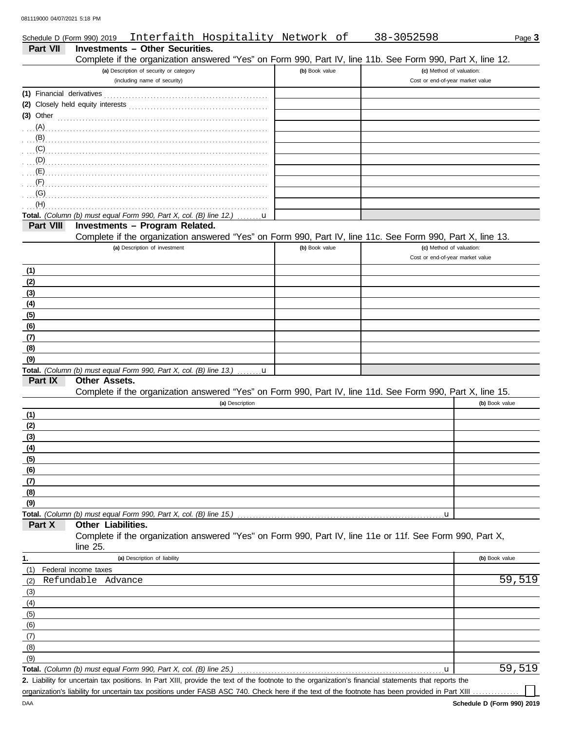|                           | Interfaith Hospitality Network of<br>Schedule D (Form 990) 2019                                                                                      |                 |                |  | 38-3052598                       | Page 3         |
|---------------------------|------------------------------------------------------------------------------------------------------------------------------------------------------|-----------------|----------------|--|----------------------------------|----------------|
| <b>Part VII</b>           | <b>Investments - Other Securities.</b>                                                                                                               |                 |                |  |                                  |                |
|                           | Complete if the organization answered "Yes" on Form 990, Part IV, line 11b. See Form 990, Part X, line 12.                                           |                 |                |  |                                  |                |
|                           | (a) Description of security or category                                                                                                              |                 | (b) Book value |  | (c) Method of valuation:         |                |
|                           | (including name of security)                                                                                                                         |                 |                |  | Cost or end-of-year market value |                |
| (1) Financial derivatives |                                                                                                                                                      |                 |                |  |                                  |                |
|                           |                                                                                                                                                      |                 |                |  |                                  |                |
|                           | $(3)$ Other                                                                                                                                          |                 |                |  |                                  |                |
|                           |                                                                                                                                                      |                 |                |  |                                  |                |
|                           |                                                                                                                                                      |                 |                |  |                                  |                |
| (C)                       |                                                                                                                                                      |                 |                |  |                                  |                |
|                           |                                                                                                                                                      |                 |                |  |                                  |                |
|                           |                                                                                                                                                      |                 |                |  |                                  |                |
| $(F)$ .                   |                                                                                                                                                      |                 |                |  |                                  |                |
| (G)                       |                                                                                                                                                      |                 |                |  |                                  |                |
| (H)                       |                                                                                                                                                      |                 |                |  |                                  |                |
|                           | Total. (Column (b) must equal Form 990, Part X, col. (B) line 12.) $\ldots$                                                                          |                 |                |  |                                  |                |
| Part VIII                 | Investments - Program Related.                                                                                                                       |                 |                |  |                                  |                |
|                           | Complete if the organization answered "Yes" on Form 990, Part IV, line 11c. See Form 990, Part X, line 13.                                           |                 |                |  |                                  |                |
|                           | (a) Description of investment                                                                                                                        |                 | (b) Book value |  | (c) Method of valuation:         |                |
|                           |                                                                                                                                                      |                 |                |  | Cost or end-of-year market value |                |
| (1)                       |                                                                                                                                                      |                 |                |  |                                  |                |
| (2)                       |                                                                                                                                                      |                 |                |  |                                  |                |
| (3)                       |                                                                                                                                                      |                 |                |  |                                  |                |
| (4)                       |                                                                                                                                                      |                 |                |  |                                  |                |
| (5)                       |                                                                                                                                                      |                 |                |  |                                  |                |
| (6)                       |                                                                                                                                                      |                 |                |  |                                  |                |
| (7)                       |                                                                                                                                                      |                 |                |  |                                  |                |
| (8)                       |                                                                                                                                                      |                 |                |  |                                  |                |
| (9)                       |                                                                                                                                                      |                 |                |  |                                  |                |
|                           | Total. (Column (b) must equal Form 990, Part X, col. (B) line 13.) $\dots \dots u$                                                                   |                 |                |  |                                  |                |
| Part IX                   | Other Assets.                                                                                                                                        |                 |                |  |                                  |                |
|                           | Complete if the organization answered "Yes" on Form 990, Part IV, line 11d. See Form 990, Part X, line 15.                                           |                 |                |  |                                  |                |
|                           |                                                                                                                                                      | (a) Description |                |  |                                  | (b) Book value |
| (1)                       |                                                                                                                                                      |                 |                |  |                                  |                |
| (2)                       |                                                                                                                                                      |                 |                |  |                                  |                |
| (3)                       |                                                                                                                                                      |                 |                |  |                                  |                |
| (4)                       |                                                                                                                                                      |                 |                |  |                                  |                |
| (5)                       |                                                                                                                                                      |                 |                |  |                                  |                |
| (6)                       |                                                                                                                                                      |                 |                |  |                                  |                |
| (7)                       |                                                                                                                                                      |                 |                |  |                                  |                |
| (8)                       |                                                                                                                                                      |                 |                |  |                                  |                |
| (9)                       |                                                                                                                                                      |                 |                |  |                                  |                |
|                           |                                                                                                                                                      |                 |                |  |                                  |                |
| Part X                    | Other Liabilities.                                                                                                                                   |                 |                |  | u,                               |                |
|                           | Complete if the organization answered "Yes" on Form 990, Part IV, line 11e or 11f. See Form 990, Part X,                                             |                 |                |  |                                  |                |
|                           | line $25$ .                                                                                                                                          |                 |                |  |                                  |                |
|                           |                                                                                                                                                      |                 |                |  |                                  | (b) Book value |
| 1.                        | (a) Description of liability                                                                                                                         |                 |                |  |                                  |                |
| (1)                       | Federal income taxes<br>Refundable Advance                                                                                                           |                 |                |  |                                  | 59,519         |
| (2)                       |                                                                                                                                                      |                 |                |  |                                  |                |
| (3)                       |                                                                                                                                                      |                 |                |  |                                  |                |
| (4)                       |                                                                                                                                                      |                 |                |  |                                  |                |
| (5)                       |                                                                                                                                                      |                 |                |  |                                  |                |
| (6)                       |                                                                                                                                                      |                 |                |  |                                  |                |
| (7)                       |                                                                                                                                                      |                 |                |  |                                  |                |
| (8)                       |                                                                                                                                                      |                 |                |  |                                  |                |
| (9)                       |                                                                                                                                                      |                 |                |  |                                  |                |
|                           | Total. (Column (b) must equal Form 990, Part X, col. (B) line 25.)                                                                                   |                 |                |  | u                                | 59,519         |
|                           | 2. Lightlity for uncertain tax positions, In Part YIII, provide the text of the footpote to the organization's financial statements that reports the |                 |                |  |                                  |                |

Liability for uncertain tax positions. In Part XIII, provide the text of the footnote to the organization's financial statements that reports the **2.** organization's liability for uncertain tax positions under FASB ASC 740. Check here if the text of the footnote has been provided in Part XIII . . . .

 $\mathbf{I}$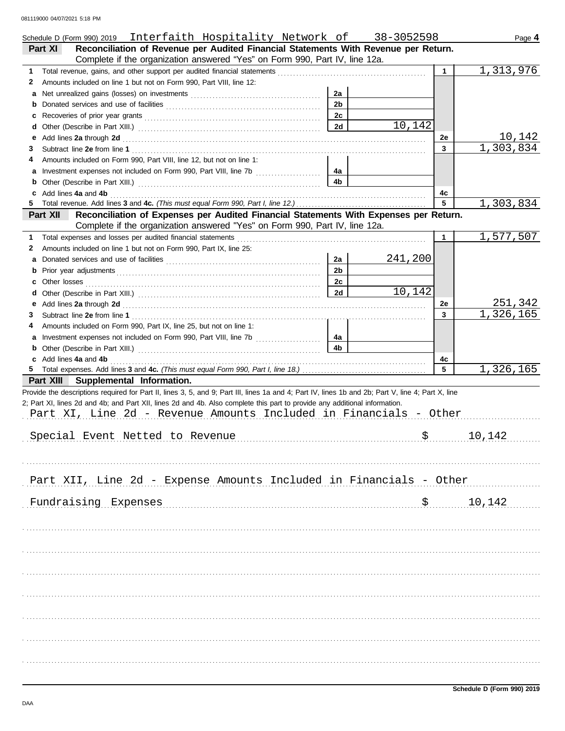| Schedule D (Form 990) 2019 Interfaith Hospitality Network of 38-3052598                                                                                                                                                             |                |         |              | Page 4                    |
|-------------------------------------------------------------------------------------------------------------------------------------------------------------------------------------------------------------------------------------|----------------|---------|--------------|---------------------------|
| Reconciliation of Revenue per Audited Financial Statements With Revenue per Return.<br>Part XI                                                                                                                                      |                |         |              |                           |
| Complete if the organization answered "Yes" on Form 990, Part IV, line 12a.                                                                                                                                                         |                |         |              |                           |
| Total revenue, gains, and other support per audited financial statements                                                                                                                                                            |                |         | $\mathbf{1}$ | 1,313,976                 |
| Amounts included on line 1 but not on Form 990, Part VIII, line 12:<br>2                                                                                                                                                            |                |         |              |                           |
| а                                                                                                                                                                                                                                   | 2a             |         |              |                           |
| b                                                                                                                                                                                                                                   | 2 <sub>b</sub> |         |              |                           |
|                                                                                                                                                                                                                                     | 2c             |         |              |                           |
| d                                                                                                                                                                                                                                   | 2d             | 10,142  |              |                           |
| Add lines 2a through 2d [11] March 2014 [12] March 2014 [12] March 2014 [12] March 2014 [12] March 2014 [12] March 2015 [12] March 2014 [12] March 2014 [12] March 2014 [12] March 2014 [12] March 2014 [12] March 2014 [12] M<br>е |                |         | 2e           | 10,142                    |
| 3                                                                                                                                                                                                                                   |                |         | 3            | 1,303,834                 |
| Amounts included on Form 990, Part VIII, line 12, but not on line 1:                                                                                                                                                                |                |         |              |                           |
| a                                                                                                                                                                                                                                   | 4а             |         |              |                           |
|                                                                                                                                                                                                                                     | 4b             |         |              |                           |
| Add lines 4a and 4b<br>с                                                                                                                                                                                                            |                |         | 4c           |                           |
| 5.                                                                                                                                                                                                                                  |                |         | 5            | 1,303,834                 |
| Reconciliation of Expenses per Audited Financial Statements With Expenses per Return.<br>Part XII                                                                                                                                   |                |         |              |                           |
| Complete if the organization answered "Yes" on Form 990, Part IV, line 12a.                                                                                                                                                         |                |         |              |                           |
| Total expenses and losses per audited financial statements                                                                                                                                                                          |                |         | 1            | 1,577,507                 |
| Amounts included on line 1 but not on Form 990, Part IX, line 25:<br>2                                                                                                                                                              |                |         |              |                           |
|                                                                                                                                                                                                                                     | 2a             | 241,200 |              |                           |
| b                                                                                                                                                                                                                                   | 2 <sub>b</sub> |         |              |                           |
| Other losses<br>с                                                                                                                                                                                                                   | 2c             |         |              |                           |
| d                                                                                                                                                                                                                                   | 2d             | 10,142  |              |                           |
|                                                                                                                                                                                                                                     |                |         | 2e           | 251,342                   |
| 3                                                                                                                                                                                                                                   |                |         | 3            | $\overline{1}$ , 326, 165 |
| Amounts included on Form 990, Part IX, line 25, but not on line 1:                                                                                                                                                                  |                |         |              |                           |
|                                                                                                                                                                                                                                     |                |         |              |                           |
| а                                                                                                                                                                                                                                   | 4а<br>4b       |         |              |                           |
|                                                                                                                                                                                                                                     |                |         |              |                           |
|                                                                                                                                                                                                                                     |                |         |              |                           |
| Add lines 4a and 4b                                                                                                                                                                                                                 |                |         | 4с           |                           |
| 5.                                                                                                                                                                                                                                  |                |         | 5            | 1,326,165                 |
| Part XIII Supplemental Information.                                                                                                                                                                                                 |                |         |              |                           |
| Provide the descriptions required for Part II, lines 3, 5, and 9; Part III, lines 1a and 4; Part IV, lines 1b and 2b; Part V, line 4; Part X, line                                                                                  |                |         |              |                           |
| 2; Part XI, lines 2d and 4b; and Part XII, lines 2d and 4b. Also complete this part to provide any additional information.                                                                                                          |                |         |              |                           |
| Part XI, Line 2d - Revenue Amounts Included in Financials - Other                                                                                                                                                                   |                |         |              |                           |
|                                                                                                                                                                                                                                     |                |         |              |                           |
| Special Event Netted to Revenue                                                                                                                                                                                                     |                |         |              | 10,142                    |
|                                                                                                                                                                                                                                     |                |         |              |                           |
|                                                                                                                                                                                                                                     |                |         |              |                           |
|                                                                                                                                                                                                                                     |                |         |              |                           |
| Part XII, Line 2d - Expense Amounts Included in Financials - Other                                                                                                                                                                  |                |         |              |                           |
|                                                                                                                                                                                                                                     |                |         |              |                           |
| Fundraising Expenses                                                                                                                                                                                                                |                |         |              | 10,142                    |
|                                                                                                                                                                                                                                     |                |         |              |                           |
|                                                                                                                                                                                                                                     |                |         |              |                           |
|                                                                                                                                                                                                                                     |                |         |              |                           |
|                                                                                                                                                                                                                                     |                |         |              |                           |
|                                                                                                                                                                                                                                     |                |         |              |                           |
|                                                                                                                                                                                                                                     |                |         |              |                           |
|                                                                                                                                                                                                                                     |                |         |              |                           |
|                                                                                                                                                                                                                                     |                |         |              |                           |
|                                                                                                                                                                                                                                     |                |         |              |                           |
|                                                                                                                                                                                                                                     |                |         |              |                           |
|                                                                                                                                                                                                                                     |                |         |              |                           |
|                                                                                                                                                                                                                                     |                |         |              |                           |
|                                                                                                                                                                                                                                     |                |         |              |                           |
|                                                                                                                                                                                                                                     |                |         |              |                           |
|                                                                                                                                                                                                                                     |                |         |              |                           |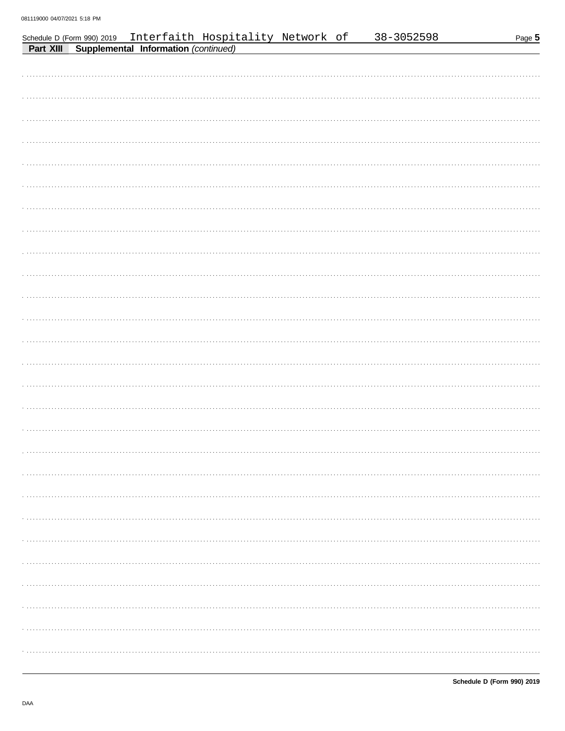Schedule D (Form 990) 2019

| Part XIII Supplemental Information (continued) |
|------------------------------------------------|
|                                                |
|                                                |
|                                                |
|                                                |
|                                                |
|                                                |
|                                                |
|                                                |
|                                                |
|                                                |
|                                                |
|                                                |
|                                                |
|                                                |
|                                                |
|                                                |
|                                                |
|                                                |
|                                                |
|                                                |
|                                                |
|                                                |
|                                                |
|                                                |
|                                                |
|                                                |
|                                                |
|                                                |

Interfaith Hospitality Network of

38-3052598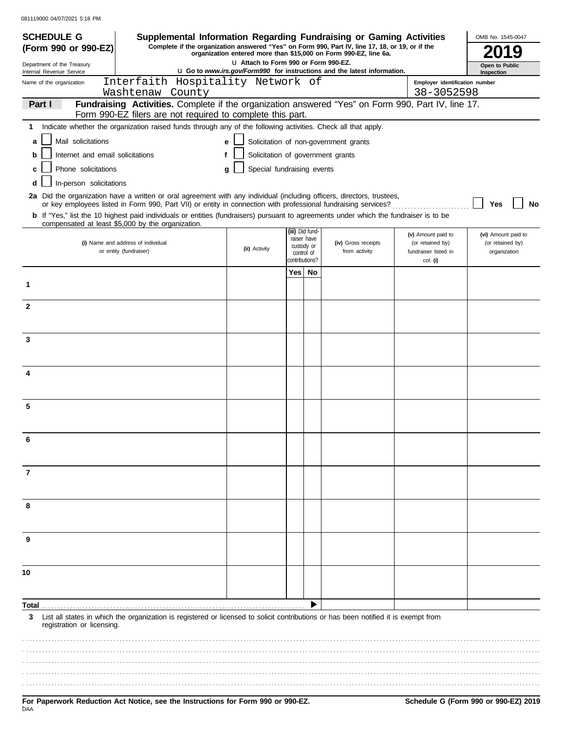| <b>SCHEDULE G</b><br>Supplemental Information Regarding Fundraising or Gaming Activities                                                                                                                                                 |                                |                                       |                              |             |                                                                                                                                                                     |                                          | OMB No. 1545-0047                |  |
|------------------------------------------------------------------------------------------------------------------------------------------------------------------------------------------------------------------------------------------|--------------------------------|---------------------------------------|------------------------------|-------------|---------------------------------------------------------------------------------------------------------------------------------------------------------------------|------------------------------------------|----------------------------------|--|
| (Form 990 or 990-EZ)                                                                                                                                                                                                                     |                                |                                       |                              |             | Complete if the organization answered "Yes" on Form 990, Part IV, line 17, 18, or 19, or if the<br>organization entered more than \$15,000 on Form 990-EZ, line 6a. |                                          |                                  |  |
| Department of the Treasury                                                                                                                                                                                                               |                                | La Attach to Form 990 or Form 990-EZ. |                              |             | <b>u</b> Go to www.irs.gov/Form990 for instructions and the latest information.                                                                                     |                                          | Open to Public                   |  |
| Internal Revenue Service<br>Interfaith Hospitality Network of<br>Name of the organization                                                                                                                                                |                                |                                       |                              |             |                                                                                                                                                                     | Employer identification number           | Inspection                       |  |
|                                                                                                                                                                                                                                          | Washtenaw County<br>38-3052598 |                                       |                              |             |                                                                                                                                                                     |                                          |                                  |  |
| Fundraising Activities. Complete if the organization answered "Yes" on Form 990, Part IV, line 17.<br>Part I                                                                                                                             |                                |                                       |                              |             |                                                                                                                                                                     |                                          |                                  |  |
| Form 990-EZ filers are not required to complete this part.                                                                                                                                                                               |                                |                                       |                              |             |                                                                                                                                                                     |                                          |                                  |  |
| Indicate whether the organization raised funds through any of the following activities. Check all that apply.<br>1                                                                                                                       |                                |                                       |                              |             |                                                                                                                                                                     |                                          |                                  |  |
| Mail solicitations<br>a                                                                                                                                                                                                                  | e                              |                                       |                              |             | Solicitation of non-government grants                                                                                                                               |                                          |                                  |  |
| Internet and email solicitations<br>b                                                                                                                                                                                                    | f                              | Solicitation of government grants     |                              |             |                                                                                                                                                                     |                                          |                                  |  |
| Phone solicitations<br>C                                                                                                                                                                                                                 | q                              | Special fundraising events            |                              |             |                                                                                                                                                                     |                                          |                                  |  |
| In-person solicitations<br>d                                                                                                                                                                                                             |                                |                                       |                              |             |                                                                                                                                                                     |                                          |                                  |  |
| 2a Did the organization have a written or oral agreement with any individual (including officers, directors, trustees,<br>or key employees listed in Form 990, Part VII) or entity in connection with professional fundraising services? |                                |                                       |                              |             |                                                                                                                                                                     |                                          | No<br>Yes                        |  |
| b If "Yes," list the 10 highest paid individuals or entities (fundraisers) pursuant to agreements under which the fundraiser is to be<br>compensated at least \$5,000 by the organization.                                               |                                |                                       |                              |             |                                                                                                                                                                     |                                          |                                  |  |
|                                                                                                                                                                                                                                          |                                |                                       | (iii) Did fund-              | raiser have |                                                                                                                                                                     | (v) Amount paid to                       | (vi) Amount paid to              |  |
| (i) Name and address of individual<br>or entity (fundraiser)                                                                                                                                                                             |                                | (ii) Activity                         | custody or                   |             | (iv) Gross receipts<br>from activity                                                                                                                                | (or retained by)<br>fundraiser listed in | (or retained by)<br>organization |  |
|                                                                                                                                                                                                                                          |                                |                                       | control of<br>contributions? |             |                                                                                                                                                                     | col. (i)                                 |                                  |  |
|                                                                                                                                                                                                                                          |                                |                                       |                              | Yes   No    |                                                                                                                                                                     |                                          |                                  |  |
| 1                                                                                                                                                                                                                                        |                                |                                       |                              |             |                                                                                                                                                                     |                                          |                                  |  |
|                                                                                                                                                                                                                                          |                                |                                       |                              |             |                                                                                                                                                                     |                                          |                                  |  |
| $\mathbf{2}$                                                                                                                                                                                                                             |                                |                                       |                              |             |                                                                                                                                                                     |                                          |                                  |  |
|                                                                                                                                                                                                                                          |                                |                                       |                              |             |                                                                                                                                                                     |                                          |                                  |  |
| 3                                                                                                                                                                                                                                        |                                |                                       |                              |             |                                                                                                                                                                     |                                          |                                  |  |
|                                                                                                                                                                                                                                          |                                |                                       |                              |             |                                                                                                                                                                     |                                          |                                  |  |
|                                                                                                                                                                                                                                          |                                |                                       |                              |             |                                                                                                                                                                     |                                          |                                  |  |
| 4                                                                                                                                                                                                                                        |                                |                                       |                              |             |                                                                                                                                                                     |                                          |                                  |  |
|                                                                                                                                                                                                                                          |                                |                                       |                              |             |                                                                                                                                                                     |                                          |                                  |  |
| 5                                                                                                                                                                                                                                        |                                |                                       |                              |             |                                                                                                                                                                     |                                          |                                  |  |
|                                                                                                                                                                                                                                          |                                |                                       |                              |             |                                                                                                                                                                     |                                          |                                  |  |
|                                                                                                                                                                                                                                          |                                |                                       |                              |             |                                                                                                                                                                     |                                          |                                  |  |
|                                                                                                                                                                                                                                          |                                |                                       |                              |             |                                                                                                                                                                     |                                          |                                  |  |
|                                                                                                                                                                                                                                          |                                |                                       |                              |             |                                                                                                                                                                     |                                          |                                  |  |
|                                                                                                                                                                                                                                          |                                |                                       |                              |             |                                                                                                                                                                     |                                          |                                  |  |
| 7                                                                                                                                                                                                                                        |                                |                                       |                              |             |                                                                                                                                                                     |                                          |                                  |  |
|                                                                                                                                                                                                                                          |                                |                                       |                              |             |                                                                                                                                                                     |                                          |                                  |  |
| 8                                                                                                                                                                                                                                        |                                |                                       |                              |             |                                                                                                                                                                     |                                          |                                  |  |
|                                                                                                                                                                                                                                          |                                |                                       |                              |             |                                                                                                                                                                     |                                          |                                  |  |
|                                                                                                                                                                                                                                          |                                |                                       |                              |             |                                                                                                                                                                     |                                          |                                  |  |
| 9                                                                                                                                                                                                                                        |                                |                                       |                              |             |                                                                                                                                                                     |                                          |                                  |  |
|                                                                                                                                                                                                                                          |                                |                                       |                              |             |                                                                                                                                                                     |                                          |                                  |  |
| 10                                                                                                                                                                                                                                       |                                |                                       |                              |             |                                                                                                                                                                     |                                          |                                  |  |
|                                                                                                                                                                                                                                          |                                |                                       |                              |             |                                                                                                                                                                     |                                          |                                  |  |
|                                                                                                                                                                                                                                          |                                |                                       |                              |             |                                                                                                                                                                     |                                          |                                  |  |
| Total                                                                                                                                                                                                                                    |                                |                                       |                              |             |                                                                                                                                                                     |                                          |                                  |  |
| List all states in which the organization is registered or licensed to solicit contributions or has been notified it is exempt from<br>3<br>registration or licensing.                                                                   |                                |                                       |                              |             |                                                                                                                                                                     |                                          |                                  |  |
|                                                                                                                                                                                                                                          |                                |                                       |                              |             |                                                                                                                                                                     |                                          |                                  |  |
|                                                                                                                                                                                                                                          |                                |                                       |                              |             |                                                                                                                                                                     |                                          |                                  |  |
|                                                                                                                                                                                                                                          |                                |                                       |                              |             |                                                                                                                                                                     |                                          |                                  |  |
|                                                                                                                                                                                                                                          |                                |                                       |                              |             |                                                                                                                                                                     |                                          |                                  |  |
|                                                                                                                                                                                                                                          |                                |                                       |                              |             |                                                                                                                                                                     |                                          |                                  |  |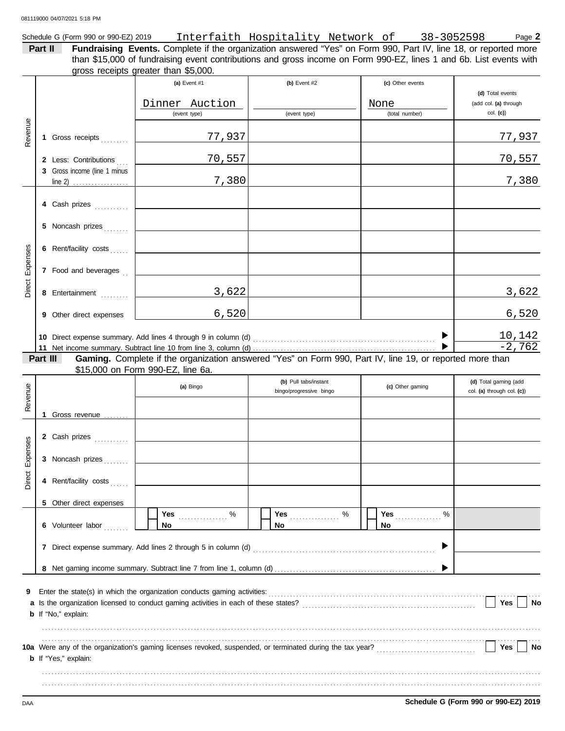|         | Schedule G (Form 990 or 990-EZ) 2019 | Interfaith Hospitality Network of |  | 38-3052598                                                                                                         | Page 2 |
|---------|--------------------------------------|-----------------------------------|--|--------------------------------------------------------------------------------------------------------------------|--------|
| Part II |                                      |                                   |  | Fundraising Events. Complete if the organization answered "Yes" on Form 990, Part IV, line 18, or reported more    |        |
|         |                                      |                                   |  | than \$15,000 of fundraising event contributions and gross income on Form 990-EZ, lines 1 and 6b. List events with |        |
|         | gross receipts greater than \$5,000. |                                   |  |                                                                                                                    |        |

|          |          |                                                                                      | (a) Event #1                   |               | (b) Event #2                                                                                              | (c) Other events       |                                      |
|----------|----------|--------------------------------------------------------------------------------------|--------------------------------|---------------|-----------------------------------------------------------------------------------------------------------|------------------------|--------------------------------------|
|          |          |                                                                                      |                                |               |                                                                                                           |                        | (d) Total events                     |
|          |          |                                                                                      | Dinner Auction<br>(event type) |               | (event type)                                                                                              | None<br>(total number) | (add col. (a) through<br>col. (c)    |
|          |          |                                                                                      |                                |               |                                                                                                           |                        |                                      |
| Revenue  |          | 1 Gross receipts                                                                     |                                | <u>77,937</u> |                                                                                                           |                        | 77,937                               |
|          |          | 2 Less: Contributions                                                                |                                | 70,557        |                                                                                                           |                        | 70,557                               |
|          |          | 3 Gross income (line 1 minus                                                         |                                | 7,380         |                                                                                                           |                        | 7,380                                |
|          |          |                                                                                      |                                |               |                                                                                                           |                        |                                      |
|          |          | 4 Cash prizes                                                                        |                                |               |                                                                                                           |                        |                                      |
|          |          | 5 Noncash prizes                                                                     |                                |               |                                                                                                           |                        |                                      |
|          |          | 6 Rent/facility costs                                                                |                                |               |                                                                                                           |                        |                                      |
| Expenses |          | 7 Food and beverages                                                                 |                                |               |                                                                                                           |                        |                                      |
| Direct   |          | 8 Entertainment                                                                      |                                | 3,622         |                                                                                                           |                        | 3,622                                |
|          |          | 9 Other direct expenses                                                              |                                | 6,520         |                                                                                                           |                        | 6,520                                |
|          |          |                                                                                      |                                |               |                                                                                                           |                        |                                      |
|          |          |                                                                                      |                                |               |                                                                                                           |                        | $\frac{10,142}{-2,762}$              |
|          | Part III |                                                                                      |                                |               | Gaming. Complete if the organization answered "Yes" on Form 990, Part IV, line 19, or reported more than  |                        |                                      |
|          |          | \$15,000 on Form 990-EZ, line 6a.                                                    |                                |               |                                                                                                           |                        |                                      |
|          |          |                                                                                      | (a) Bingo                      |               | (b) Pull tabs/instant                                                                                     | (c) Other gaming       | (d) Total gaming (add                |
| Revenue  |          |                                                                                      |                                |               | bingo/progressive bingo                                                                                   |                        | col. (a) through col. (c))           |
|          |          |                                                                                      |                                |               |                                                                                                           |                        |                                      |
|          |          | 1 Gross revenue                                                                      |                                |               |                                                                                                           |                        |                                      |
|          |          | 2 Cash prizes                                                                        |                                |               |                                                                                                           |                        |                                      |
| Expenses |          | 3 Noncash prizes                                                                     |                                |               |                                                                                                           |                        |                                      |
| Direct   |          | 4 Rent/facility costs                                                                |                                |               |                                                                                                           |                        |                                      |
|          |          |                                                                                      |                                |               |                                                                                                           |                        |                                      |
|          |          | 5 Other direct expenses                                                              | Yes                            |               | Yes                                                                                                       | Yes<br>℅               |                                      |
|          |          | 6 Volunteer labor                                                                    | No                             | %             | %<br>No                                                                                                   | No.                    |                                      |
|          |          |                                                                                      |                                |               |                                                                                                           |                        |                                      |
|          |          | 7 Direct expense summary. Add lines 2 through 5 in column (d)                        |                                |               |                                                                                                           |                        |                                      |
|          |          |                                                                                      |                                |               |                                                                                                           |                        |                                      |
|          |          |                                                                                      |                                |               |                                                                                                           |                        |                                      |
| 9        |          | Enter the state(s) in which the organization conducts gaming activities:             |                                |               |                                                                                                           |                        |                                      |
|          |          | a Is the organization licensed to conduct gaming activities in each of these states? |                                |               |                                                                                                           |                        | Yes<br>No                            |
|          |          | <b>b</b> If "No," explain:                                                           |                                |               |                                                                                                           |                        |                                      |
|          |          |                                                                                      |                                |               |                                                                                                           |                        |                                      |
|          |          |                                                                                      |                                |               | 10a Were any of the organization's gaming licenses revoked, suspended, or terminated during the tax year? |                        | Yes<br>No                            |
|          |          | <b>b</b> If "Yes," explain:                                                          |                                |               |                                                                                                           |                        |                                      |
|          |          |                                                                                      |                                |               |                                                                                                           |                        |                                      |
|          |          |                                                                                      |                                |               |                                                                                                           |                        |                                      |
|          |          |                                                                                      |                                |               |                                                                                                           |                        | Schedule G (Form 990 or 990-EZ) 2019 |
| DAA      |          |                                                                                      |                                |               |                                                                                                           |                        |                                      |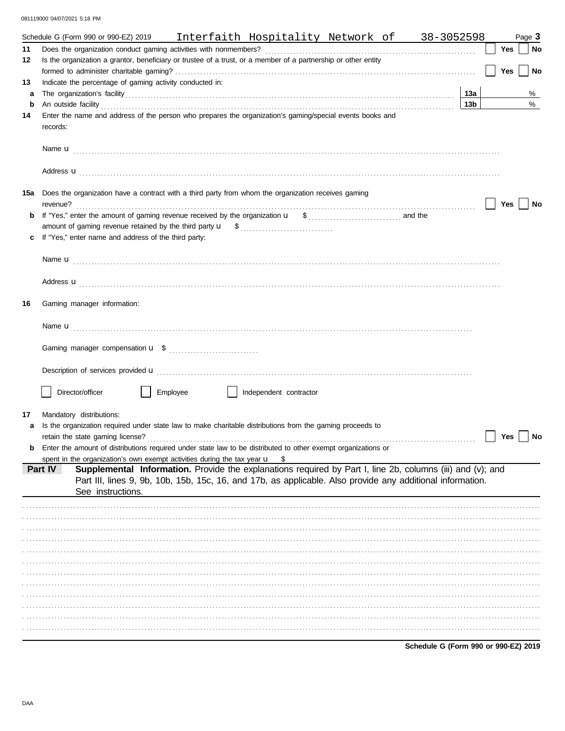|     | Interfaith Hospitality Network of 38-3052598<br>Schedule G (Form 990 or 990-EZ) 2019                                                                                                                                                 |                 |     | Page 3 |
|-----|--------------------------------------------------------------------------------------------------------------------------------------------------------------------------------------------------------------------------------------|-----------------|-----|--------|
| 11  |                                                                                                                                                                                                                                      |                 | Yes | No     |
| 12  | Is the organization a grantor, beneficiary or trustee of a trust, or a member of a partnership or other entity                                                                                                                       |                 |     |        |
|     |                                                                                                                                                                                                                                      |                 | Yes | No     |
| 13  | Indicate the percentage of gaming activity conducted in:                                                                                                                                                                             |                 |     |        |
| a   |                                                                                                                                                                                                                                      | 13a             |     | %      |
| b   | An outside facility <b>contained a set of the contract of the contract of the contract of the contract of the contract of the contract of the contract of the contract of the contract of the contract of the contract of the co</b> | 13 <sub>b</sub> |     | %      |
| 14  | Enter the name and address of the person who prepares the organization's gaming/special events books and<br>records:                                                                                                                 |                 |     |        |
|     |                                                                                                                                                                                                                                      |                 |     |        |
|     |                                                                                                                                                                                                                                      |                 |     |        |
|     | Address <b>u</b>                                                                                                                                                                                                                     |                 |     |        |
|     |                                                                                                                                                                                                                                      |                 |     |        |
| 15a | Does the organization have a contract with a third party from whom the organization receives gaming                                                                                                                                  |                 |     |        |
|     |                                                                                                                                                                                                                                      |                 | Yes | No     |
| b   |                                                                                                                                                                                                                                      |                 |     |        |
|     | If "Yes," enter name and address of the third party:                                                                                                                                                                                 |                 |     |        |
|     |                                                                                                                                                                                                                                      |                 |     |        |
|     |                                                                                                                                                                                                                                      |                 |     |        |
|     |                                                                                                                                                                                                                                      |                 |     |        |
|     | Address <b>u</b>                                                                                                                                                                                                                     |                 |     |        |
| 16  | Gaming manager information:                                                                                                                                                                                                          |                 |     |        |
|     |                                                                                                                                                                                                                                      |                 |     |        |
|     |                                                                                                                                                                                                                                      |                 |     |        |
|     |                                                                                                                                                                                                                                      |                 |     |        |
|     | Description of services provided <b>u</b> electron control and control of the service of the services provided <b>u</b>                                                                                                              |                 |     |        |
|     |                                                                                                                                                                                                                                      |                 |     |        |
|     | Director/officer<br>Employee<br>Independent contractor                                                                                                                                                                               |                 |     |        |
| 17  | Mandatory distributions:                                                                                                                                                                                                             |                 |     |        |
| a   | Is the organization required under state law to make charitable distributions from the gaming proceeds to                                                                                                                            |                 |     |        |
|     |                                                                                                                                                                                                                                      |                 | Yes | No     |
| b   | Enter the amount of distributions required under state law to be distributed to other exempt organizations or                                                                                                                        |                 |     |        |
|     | spent in the organization's own exempt activities during the tax year $\mathbf u$                                                                                                                                                    |                 |     |        |
|     | Supplemental Information. Provide the explanations required by Part I, line 2b, columns (iii) and (v); and<br>Part IV                                                                                                                |                 |     |        |
|     | Part III, lines 9, 9b, 10b, 15b, 15c, 16, and 17b, as applicable. Also provide any additional information.                                                                                                                           |                 |     |        |
|     | See instructions.                                                                                                                                                                                                                    |                 |     |        |
|     |                                                                                                                                                                                                                                      |                 |     |        |
|     |                                                                                                                                                                                                                                      |                 |     |        |
|     |                                                                                                                                                                                                                                      |                 |     |        |
|     |                                                                                                                                                                                                                                      |                 |     |        |
|     |                                                                                                                                                                                                                                      |                 |     |        |
|     |                                                                                                                                                                                                                                      |                 |     |        |
|     |                                                                                                                                                                                                                                      |                 |     |        |
|     |                                                                                                                                                                                                                                      |                 |     |        |
|     |                                                                                                                                                                                                                                      |                 |     |        |
|     |                                                                                                                                                                                                                                      |                 |     |        |
|     |                                                                                                                                                                                                                                      |                 |     |        |
|     | Schedule G (Form 990 or 990-EZ) 2019                                                                                                                                                                                                 |                 |     |        |
|     |                                                                                                                                                                                                                                      |                 |     |        |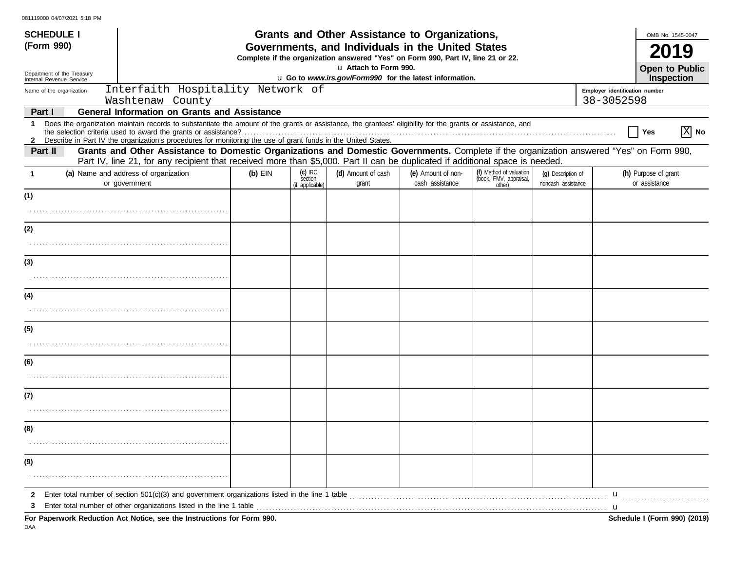| <b>SCHEDULE I</b>                                    |                                                                                                                                                                                                                                                                               |           |                                         | Grants and Other Assistance to Organizations,                                                                                         |                                       |                                                             |                                          |                                | OMB No. 1545-0047                     |
|------------------------------------------------------|-------------------------------------------------------------------------------------------------------------------------------------------------------------------------------------------------------------------------------------------------------------------------------|-----------|-----------------------------------------|---------------------------------------------------------------------------------------------------------------------------------------|---------------------------------------|-------------------------------------------------------------|------------------------------------------|--------------------------------|---------------------------------------|
| (Form 990)                                           |                                                                                                                                                                                                                                                                               |           |                                         | Governments, and Individuals in the United States<br>Complete if the organization answered "Yes" on Form 990, Part IV, line 21 or 22. |                                       |                                                             |                                          |                                |                                       |
| Department of the Treasury                           |                                                                                                                                                                                                                                                                               |           |                                         | u Attach to Form 990.<br>u Go to www.irs.gov/Form990 for the latest information.                                                      |                                       |                                                             |                                          |                                | <b>Open to Public</b>                 |
| Internal Revenue Service<br>Name of the organization | Interfaith Hospitality Network of                                                                                                                                                                                                                                             |           |                                         |                                                                                                                                       |                                       |                                                             |                                          | Employer identification number | <b>Inspection</b>                     |
|                                                      | Washtenaw County                                                                                                                                                                                                                                                              |           |                                         |                                                                                                                                       |                                       |                                                             |                                          | 38-3052598                     |                                       |
| Part I                                               | <b>General Information on Grants and Assistance</b>                                                                                                                                                                                                                           |           |                                         |                                                                                                                                       |                                       |                                                             |                                          |                                |                                       |
| 1                                                    | Does the organization maintain records to substantiate the amount of the grants or assistance, the grantees' eligibility for the grants or assistance, and<br>2 Describe in Part IV the organization's procedures for monitoring the use of grant funds in the United States. |           |                                         |                                                                                                                                       |                                       |                                                             |                                          |                                | $ X $ No<br>Yes                       |
| Part II                                              | Grants and Other Assistance to Domestic Organizations and Domestic Governments. Complete if the organization answered "Yes" on Form 990,<br>Part IV, line 21, for any recipient that received more than \$5,000. Part II can be duplicated if additional space is needed.     |           |                                         |                                                                                                                                       |                                       |                                                             |                                          |                                |                                       |
| -1                                                   | (a) Name and address of organization<br>or government                                                                                                                                                                                                                         | $(b)$ EIN | $(c)$ IRC<br>section<br>(if applicable) | (d) Amount of cash<br>grant                                                                                                           | (e) Amount of non-<br>cash assistance | (f) Method of valuation<br>(book, FMV, appraisal,<br>other) | (q) Description of<br>noncash assistance |                                | (h) Purpose of grant<br>or assistance |
| (1)                                                  |                                                                                                                                                                                                                                                                               |           |                                         |                                                                                                                                       |                                       |                                                             |                                          |                                |                                       |
|                                                      |                                                                                                                                                                                                                                                                               |           |                                         |                                                                                                                                       |                                       |                                                             |                                          |                                |                                       |
| (2)                                                  |                                                                                                                                                                                                                                                                               |           |                                         |                                                                                                                                       |                                       |                                                             |                                          |                                |                                       |
|                                                      |                                                                                                                                                                                                                                                                               |           |                                         |                                                                                                                                       |                                       |                                                             |                                          |                                |                                       |
| (3)                                                  |                                                                                                                                                                                                                                                                               |           |                                         |                                                                                                                                       |                                       |                                                             |                                          |                                |                                       |
|                                                      |                                                                                                                                                                                                                                                                               |           |                                         |                                                                                                                                       |                                       |                                                             |                                          |                                |                                       |
| (4)                                                  |                                                                                                                                                                                                                                                                               |           |                                         |                                                                                                                                       |                                       |                                                             |                                          |                                |                                       |
|                                                      |                                                                                                                                                                                                                                                                               |           |                                         |                                                                                                                                       |                                       |                                                             |                                          |                                |                                       |
| (5)                                                  |                                                                                                                                                                                                                                                                               |           |                                         |                                                                                                                                       |                                       |                                                             |                                          |                                |                                       |
|                                                      |                                                                                                                                                                                                                                                                               |           |                                         |                                                                                                                                       |                                       |                                                             |                                          |                                |                                       |
| (6)                                                  |                                                                                                                                                                                                                                                                               |           |                                         |                                                                                                                                       |                                       |                                                             |                                          |                                |                                       |
|                                                      |                                                                                                                                                                                                                                                                               |           |                                         |                                                                                                                                       |                                       |                                                             |                                          |                                |                                       |
|                                                      |                                                                                                                                                                                                                                                                               |           |                                         |                                                                                                                                       |                                       |                                                             |                                          |                                |                                       |
| (7)                                                  |                                                                                                                                                                                                                                                                               |           |                                         |                                                                                                                                       |                                       |                                                             |                                          |                                |                                       |
|                                                      |                                                                                                                                                                                                                                                                               |           |                                         |                                                                                                                                       |                                       |                                                             |                                          |                                |                                       |
| (8)                                                  |                                                                                                                                                                                                                                                                               |           |                                         |                                                                                                                                       |                                       |                                                             |                                          |                                |                                       |
|                                                      |                                                                                                                                                                                                                                                                               |           |                                         |                                                                                                                                       |                                       |                                                             |                                          |                                |                                       |
| (9)                                                  |                                                                                                                                                                                                                                                                               |           |                                         |                                                                                                                                       |                                       |                                                             |                                          |                                |                                       |
|                                                      |                                                                                                                                                                                                                                                                               |           |                                         |                                                                                                                                       |                                       |                                                             |                                          |                                |                                       |
| $\mathbf{2}$                                         |                                                                                                                                                                                                                                                                               |           |                                         |                                                                                                                                       |                                       |                                                             |                                          | $\mathbf{u}$                   |                                       |
| 3                                                    |                                                                                                                                                                                                                                                                               |           |                                         |                                                                                                                                       |                                       |                                                             |                                          | u                              |                                       |
| DAA                                                  | For Paperwork Reduction Act Notice, see the Instructions for Form 990.                                                                                                                                                                                                        |           |                                         |                                                                                                                                       |                                       |                                                             |                                          |                                | Schedule I (Form 990) (2019)          |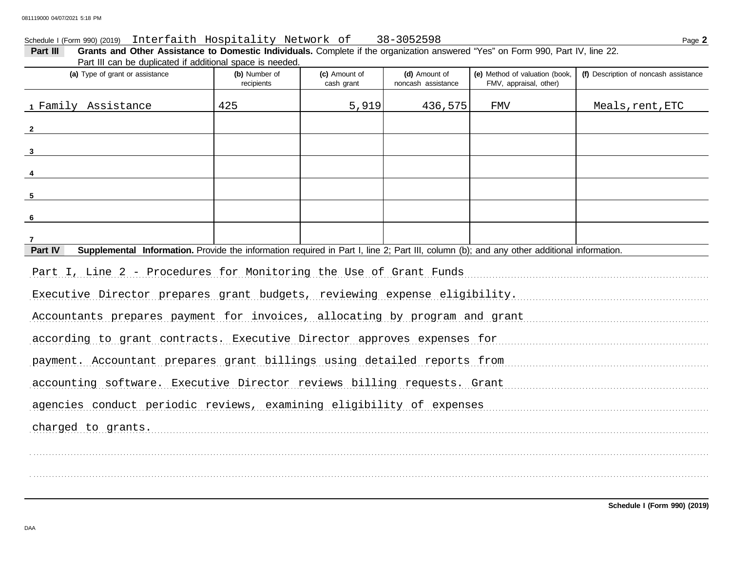### Schedule I (Form 990) (2019) Interfaith Hospitality Network of 38-3052598 **Page 2** Page 2

| Part III<br>Grants and Other Assistance to Domestic Individuals. Complete if the organization answered "Yes" on Form 990, Part IV, line 22.<br>Part III can be duplicated if additional space is needed. |                             |                             |                                     |                                                          |                                       |
|----------------------------------------------------------------------------------------------------------------------------------------------------------------------------------------------------------|-----------------------------|-----------------------------|-------------------------------------|----------------------------------------------------------|---------------------------------------|
| (a) Type of grant or assistance                                                                                                                                                                          | (b) Number of<br>recipients | (c) Amount of<br>cash grant | (d) Amount of<br>noncash assistance | (e) Method of valuation (book,<br>FMV, appraisal, other) | (f) Description of noncash assistance |
| 1 Family Assistance                                                                                                                                                                                      | 425                         | 5,919                       | 436,575                             | FMV                                                      | Meals, rent, ETC                      |
| $\mathbf{2}$                                                                                                                                                                                             |                             |                             |                                     |                                                          |                                       |
| $\overline{\mathbf{3}}$                                                                                                                                                                                  |                             |                             |                                     |                                                          |                                       |
|                                                                                                                                                                                                          |                             |                             |                                     |                                                          |                                       |
| $5\overline{5}$                                                                                                                                                                                          |                             |                             |                                     |                                                          |                                       |
| 6                                                                                                                                                                                                        |                             |                             |                                     |                                                          |                                       |
|                                                                                                                                                                                                          |                             |                             |                                     |                                                          |                                       |
| Supplemental Information. Provide the information required in Part I, line 2; Part III, column (b); and any other additional information.<br>Part IV                                                     |                             |                             |                                     |                                                          |                                       |
| Part I, Line 2 - Procedures for Monitoring the Use of Grant Funds [19] Part I, Line 2 - Procedures for Monitoring                                                                                        |                             |                             |                                     |                                                          |                                       |
| Executive Director prepares grant budgets, reviewing expense eligibility.                                                                                                                                |                             |                             |                                     |                                                          |                                       |
| Accountants prepares payment for invoices, allocating by program and grant                                                                                                                               |                             |                             |                                     |                                                          |                                       |
| according to grant contracts. Executive Director approves expenses for continuum continuum contracts                                                                                                     |                             |                             |                                     |                                                          |                                       |
| payment. Accountant prepares grant billings using detailed reports from                                                                                                                                  |                             |                             |                                     |                                                          |                                       |
| accounting software. Executive Director reviews billing requests. Grant Committee Committee Committee Committe                                                                                           |                             |                             |                                     |                                                          |                                       |
| agencies conduct periodic reviews, examining eligibility of expenses                                                                                                                                     |                             |                             |                                     |                                                          |                                       |
| charged to grants.                                                                                                                                                                                       |                             |                             |                                     |                                                          |                                       |
|                                                                                                                                                                                                          |                             |                             |                                     |                                                          |                                       |
|                                                                                                                                                                                                          |                             |                             |                                     |                                                          |                                       |
|                                                                                                                                                                                                          |                             |                             |                                     |                                                          |                                       |

DAA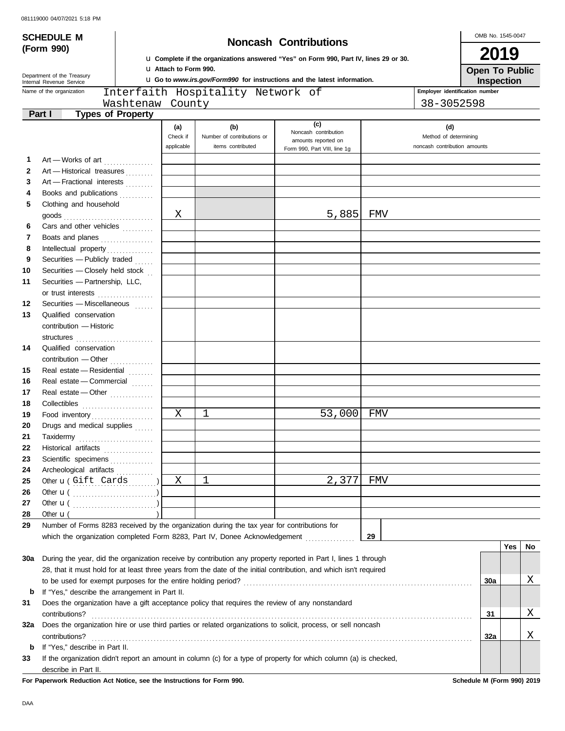| 081119000 04/07/2021 5:18 PM |  |
|------------------------------|--|
|                              |  |

|          | <b>SCHEDULE M</b>                                       |                  |                        |                                                                                                 |                                                                                                                    |     |                                | OMB No. 1545-0047     |     |    |
|----------|---------------------------------------------------------|------------------|------------------------|-------------------------------------------------------------------------------------------------|--------------------------------------------------------------------------------------------------------------------|-----|--------------------------------|-----------------------|-----|----|
|          | (Form 990)                                              |                  |                        |                                                                                                 | <b>Noncash Contributions</b>                                                                                       |     |                                | 2019                  |     |    |
|          |                                                         |                  |                        |                                                                                                 | La Complete if the organizations answered "Yes" on Form 990, Part IV, lines 29 or 30.                              |     |                                |                       |     |    |
|          | Department of the Treasury                              |                  | LI Attach to Form 990. |                                                                                                 | <b>u</b> Go to www.irs.gov/Form990 for instructions and the latest information.                                    |     |                                | <b>Open To Public</b> |     |    |
|          | Internal Revenue Service<br>Name of the organization    |                  |                        | Interfaith Hospitality Network of                                                               |                                                                                                                    |     | Employer identification number | Inspection            |     |    |
|          |                                                         | Washtenaw County |                        |                                                                                                 |                                                                                                                    |     | 38-3052598                     |                       |     |    |
|          | <b>Types of Property</b><br>Part I                      |                  |                        |                                                                                                 |                                                                                                                    |     |                                |                       |     |    |
|          |                                                         |                  | (a)                    | (b)                                                                                             | (c)                                                                                                                |     | (d)                            |                       |     |    |
|          |                                                         |                  | Check if               | Number of contributions or                                                                      | Noncash contribution<br>amounts reported on                                                                        |     | Method of determining          |                       |     |    |
|          |                                                         |                  | applicable             | items contributed                                                                               | Form 990, Part VIII, line 1g                                                                                       |     | noncash contribution amounts   |                       |     |    |
| 1.       | Art - Works of art                                      |                  |                        |                                                                                                 |                                                                                                                    |     |                                |                       |     |    |
| 2        | Art - Historical treasures                              |                  |                        |                                                                                                 |                                                                                                                    |     |                                |                       |     |    |
| 3        | Art - Fractional interests                              |                  |                        |                                                                                                 |                                                                                                                    |     |                                |                       |     |    |
| 4        | Books and publications                                  |                  |                        |                                                                                                 |                                                                                                                    |     |                                |                       |     |    |
| 5        | Clothing and household                                  |                  |                        |                                                                                                 |                                                                                                                    |     |                                |                       |     |    |
|          |                                                         |                  | Χ                      |                                                                                                 | 5,885                                                                                                              | FMV |                                |                       |     |    |
| 6        | Cars and other vehicles                                 |                  |                        |                                                                                                 |                                                                                                                    |     |                                |                       |     |    |
| 7        | Boats and planes                                        |                  |                        |                                                                                                 |                                                                                                                    |     |                                |                       |     |    |
| 8        |                                                         |                  |                        |                                                                                                 |                                                                                                                    |     |                                |                       |     |    |
| 9        | Securities - Publicly traded                            |                  |                        |                                                                                                 |                                                                                                                    |     |                                |                       |     |    |
| 10       | Securities - Closely held stock                         |                  |                        |                                                                                                 |                                                                                                                    |     |                                |                       |     |    |
| 11       | Securities - Partnership, LLC,                          |                  |                        |                                                                                                 |                                                                                                                    |     |                                |                       |     |    |
|          | or trust interests                                      |                  |                        |                                                                                                 |                                                                                                                    |     |                                |                       |     |    |
| 12       | Securities - Miscellaneous                              |                  |                        |                                                                                                 |                                                                                                                    |     |                                |                       |     |    |
| 13       | Qualified conservation                                  |                  |                        |                                                                                                 |                                                                                                                    |     |                                |                       |     |    |
|          | contribution - Historic                                 |                  |                        |                                                                                                 |                                                                                                                    |     |                                |                       |     |    |
|          | structures                                              |                  |                        |                                                                                                 |                                                                                                                    |     |                                |                       |     |    |
| 14       | Qualified conservation                                  |                  |                        |                                                                                                 |                                                                                                                    |     |                                |                       |     |    |
|          | contribution - Other                                    |                  |                        |                                                                                                 |                                                                                                                    |     |                                |                       |     |    |
| 15       | Real estate - Residential                               |                  |                        |                                                                                                 |                                                                                                                    |     |                                |                       |     |    |
| 16       | Real estate - Commercial                                |                  |                        |                                                                                                 |                                                                                                                    |     |                                |                       |     |    |
| 17       | Real estate - Other                                     |                  |                        |                                                                                                 |                                                                                                                    |     |                                |                       |     |    |
| 18       |                                                         |                  |                        |                                                                                                 |                                                                                                                    |     |                                |                       |     |    |
| 19       | Food inventory                                          |                  | Χ                      | 1                                                                                               | 53,000                                                                                                             | FMV |                                |                       |     |    |
| 20       | Drugs and medical supplies                              |                  |                        |                                                                                                 |                                                                                                                    |     |                                |                       |     |    |
| 21       | Taxidermy                                               |                  |                        |                                                                                                 |                                                                                                                    |     |                                |                       |     |    |
| 22       | Historical artifacts                                    |                  |                        |                                                                                                 |                                                                                                                    |     |                                |                       |     |    |
| 23       | Scientific specimens                                    |                  |                        |                                                                                                 |                                                                                                                    |     |                                |                       |     |    |
| 24       | Archeological artifacts<br>Other <b>u</b> (Gift Cards ) |                  | Χ                      | 1                                                                                               | 2,377                                                                                                              | FMV |                                |                       |     |    |
| 25<br>26 |                                                         |                  |                        |                                                                                                 |                                                                                                                    |     |                                |                       |     |    |
| 27       |                                                         |                  |                        |                                                                                                 |                                                                                                                    |     |                                |                       |     |    |
| 28       | Other $\mathbf{u}$ (                                    |                  |                        |                                                                                                 |                                                                                                                    |     |                                |                       |     |    |
| 29       |                                                         |                  |                        | Number of Forms 8283 received by the organization during the tax year for contributions for     |                                                                                                                    |     |                                |                       |     |    |
|          |                                                         |                  |                        | which the organization completed Form 8283, Part IV, Donee Acknowledgement                      |                                                                                                                    | 29  |                                |                       |     |    |
|          |                                                         |                  |                        |                                                                                                 |                                                                                                                    |     |                                |                       | Yes | No |
| 30a      |                                                         |                  |                        |                                                                                                 | During the year, did the organization receive by contribution any property reported in Part I, lines 1 through     |     |                                |                       |     |    |
|          |                                                         |                  |                        |                                                                                                 | 28, that it must hold for at least three years from the date of the initial contribution, and which isn't required |     |                                |                       |     |    |
|          |                                                         |                  |                        |                                                                                                 |                                                                                                                    |     |                                | <b>30a</b>            |     | Χ  |
| b        | If "Yes," describe the arrangement in Part II.          |                  |                        |                                                                                                 |                                                                                                                    |     |                                |                       |     |    |
| 31       |                                                         |                  |                        | Does the organization have a gift acceptance policy that requires the review of any nonstandard |                                                                                                                    |     |                                |                       |     |    |
|          | contributions?                                          |                  |                        |                                                                                                 |                                                                                                                    |     |                                | 31                    |     | Χ  |
| 32a      |                                                         |                  |                        |                                                                                                 | Does the organization hire or use third parties or related organizations to solicit, process, or sell noncash      |     |                                |                       |     |    |
|          | contributions?                                          |                  |                        |                                                                                                 |                                                                                                                    |     |                                | 32a                   |     | Χ  |
| b        | If "Yes," describe in Part II.                          |                  |                        |                                                                                                 |                                                                                                                    |     |                                |                       |     |    |
| 33       |                                                         |                  |                        |                                                                                                 | If the organization didn't report an amount in column (c) for a type of property for which column (a) is checked,  |     |                                |                       |     |    |
|          | describe in Part II.                                    |                  |                        |                                                                                                 |                                                                                                                    |     |                                |                       |     |    |

**For Paperwork Reduction Act Notice, see the Instructions for Form 990. Schedule M (Form 990) 2019**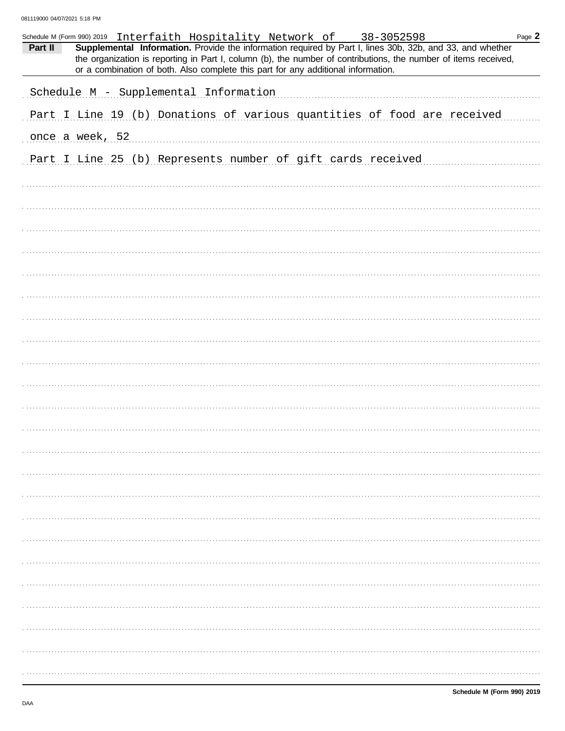| Part II | Schedule M (Form 990) 2019 Interfaith Hospitality Network of 38-3052598<br>Supplemental Information. Provide the information required by Part I, lines 30b, 32b, and 33, and whether<br>the organization is reporting in Part I, column (b), the number of contributions, the number of items received,<br>or a combination of both. Also complete this part for any additional information. | Page 2 |
|---------|----------------------------------------------------------------------------------------------------------------------------------------------------------------------------------------------------------------------------------------------------------------------------------------------------------------------------------------------------------------------------------------------|--------|
|         | Schedule M - Supplemental Information                                                                                                                                                                                                                                                                                                                                                        |        |
|         | Part I Line 19 (b) Donations of various quantities of food are received                                                                                                                                                                                                                                                                                                                      |        |
|         | once a week, 52                                                                                                                                                                                                                                                                                                                                                                              |        |
|         | Part I Line 25 (b) Represents number of gift cards received                                                                                                                                                                                                                                                                                                                                  |        |
|         |                                                                                                                                                                                                                                                                                                                                                                                              |        |
|         |                                                                                                                                                                                                                                                                                                                                                                                              |        |
|         |                                                                                                                                                                                                                                                                                                                                                                                              |        |
|         |                                                                                                                                                                                                                                                                                                                                                                                              |        |
|         |                                                                                                                                                                                                                                                                                                                                                                                              |        |
|         |                                                                                                                                                                                                                                                                                                                                                                                              |        |
|         |                                                                                                                                                                                                                                                                                                                                                                                              |        |
|         |                                                                                                                                                                                                                                                                                                                                                                                              |        |
|         |                                                                                                                                                                                                                                                                                                                                                                                              |        |
|         |                                                                                                                                                                                                                                                                                                                                                                                              |        |
|         |                                                                                                                                                                                                                                                                                                                                                                                              |        |
|         |                                                                                                                                                                                                                                                                                                                                                                                              |        |
|         |                                                                                                                                                                                                                                                                                                                                                                                              |        |
|         |                                                                                                                                                                                                                                                                                                                                                                                              |        |
|         |                                                                                                                                                                                                                                                                                                                                                                                              |        |
|         |                                                                                                                                                                                                                                                                                                                                                                                              |        |
|         |                                                                                                                                                                                                                                                                                                                                                                                              |        |
|         |                                                                                                                                                                                                                                                                                                                                                                                              |        |
|         |                                                                                                                                                                                                                                                                                                                                                                                              |        |
|         |                                                                                                                                                                                                                                                                                                                                                                                              |        |
|         |                                                                                                                                                                                                                                                                                                                                                                                              |        |
|         |                                                                                                                                                                                                                                                                                                                                                                                              |        |
|         |                                                                                                                                                                                                                                                                                                                                                                                              |        |
|         |                                                                                                                                                                                                                                                                                                                                                                                              |        |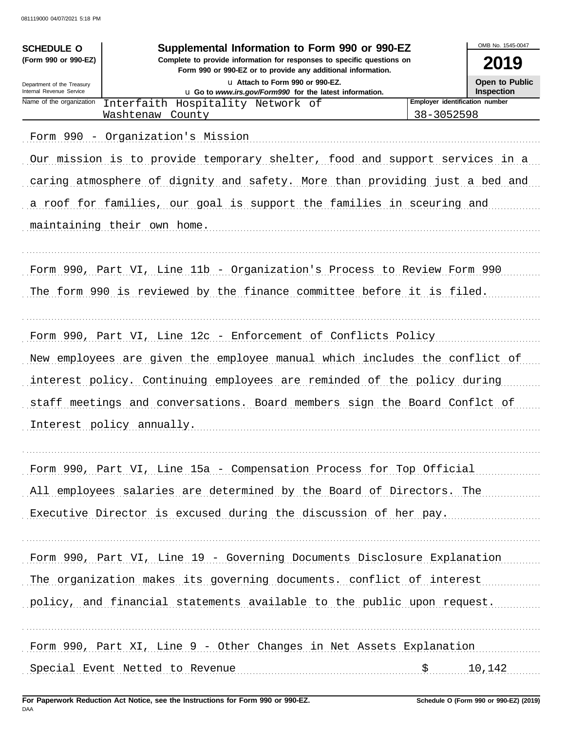| <b>SCHEDULE O</b><br>(Form 990 or 990-EZ)<br>Department of the Treasury<br>Internal Revenue Service | Supplemental Information to Form 990 or 990-EZ<br>Complete to provide information for responses to specific questions on<br>Form 990 or 990-EZ or to provide any additional information.<br>u Attach to Form 990 or 990-EZ. |                                | OMB No. 1545-0047<br>2019<br>Open to Public |
|-----------------------------------------------------------------------------------------------------|-----------------------------------------------------------------------------------------------------------------------------------------------------------------------------------------------------------------------------|--------------------------------|---------------------------------------------|
| Name of the organization                                                                            | <b>u</b> Go to <i>www.irs.gov/Form990</i> for the latest information.<br>Interfaith Hospitality Network of                                                                                                                  | Employer identification number | <b>Inspection</b>                           |
|                                                                                                     | Washtenaw County                                                                                                                                                                                                            | 38-3052598                     |                                             |
|                                                                                                     | Form 990 - Organization's Mission                                                                                                                                                                                           |                                |                                             |
|                                                                                                     | Our mission is to provide temporary shelter, food and support services in a                                                                                                                                                 |                                |                                             |
|                                                                                                     | caring atmosphere of dignity and safety. More than providing just a bed and                                                                                                                                                 |                                |                                             |
|                                                                                                     | a roof for families, our goal is support the families in sceuring and                                                                                                                                                       |                                |                                             |
|                                                                                                     | maintaining their own home.                                                                                                                                                                                                 |                                |                                             |
|                                                                                                     |                                                                                                                                                                                                                             |                                |                                             |
|                                                                                                     | Form 990, Part VI, Line 11b - Organization's Process to Review Form 990                                                                                                                                                     |                                |                                             |
|                                                                                                     | The form 990 is reviewed by the finance committee before it is filed.                                                                                                                                                       |                                |                                             |
|                                                                                                     |                                                                                                                                                                                                                             |                                |                                             |
|                                                                                                     | Form 990, Part VI, Line 12c - Enforcement of Conflicts Policy                                                                                                                                                               |                                |                                             |
|                                                                                                     | New employees are given the employee manual which includes the conflict of                                                                                                                                                  |                                |                                             |
|                                                                                                     | interest policy. Continuing employees are reminded of the policy during                                                                                                                                                     |                                |                                             |
|                                                                                                     | staff meetings and conversations. Board members sign the Board Conflct of                                                                                                                                                   |                                |                                             |
|                                                                                                     | Interest policy annually.                                                                                                                                                                                                   |                                |                                             |
|                                                                                                     |                                                                                                                                                                                                                             |                                |                                             |
|                                                                                                     | Form 990, Part VI, Line 15a - Compensation Process for Top Official                                                                                                                                                         |                                |                                             |
|                                                                                                     | All employees salaries are determined by the Board of Directors. The                                                                                                                                                        |                                |                                             |
|                                                                                                     | Executive Director is excused during the discussion of her pay.                                                                                                                                                             |                                |                                             |
|                                                                                                     |                                                                                                                                                                                                                             |                                |                                             |
|                                                                                                     | Form 990, Part VI, Line 19 - Governing Documents Disclosure Explanation                                                                                                                                                     |                                |                                             |
|                                                                                                     | The organization makes its governing documents, conflict of interest                                                                                                                                                        |                                |                                             |
|                                                                                                     | policy, and financial statements available to the public upon request.                                                                                                                                                      |                                |                                             |
|                                                                                                     |                                                                                                                                                                                                                             |                                |                                             |
|                                                                                                     |                                                                                                                                                                                                                             |                                |                                             |
|                                                                                                     | Form 990, Part XI, Line 9 - Other Changes in Net Assets Explanation                                                                                                                                                         |                                |                                             |
|                                                                                                     | Special Event Netted to Revenue (5, 10,142)                                                                                                                                                                                 |                                |                                             |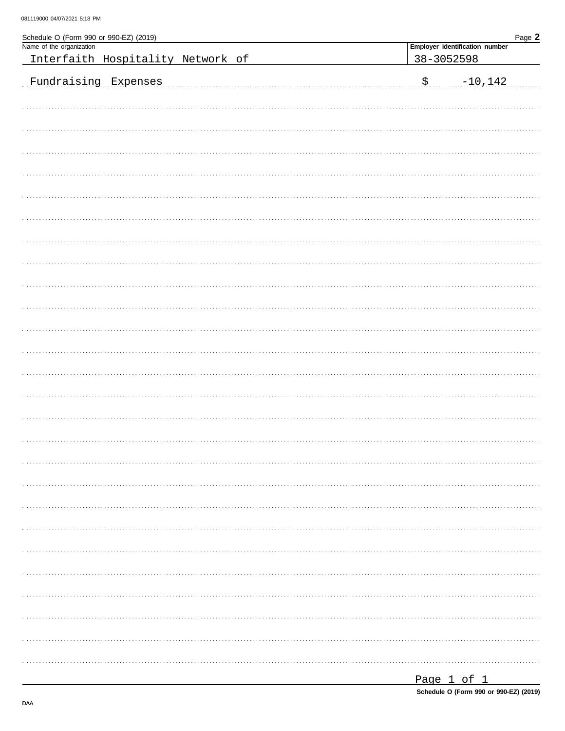| Schedule O (Form 990 or 990-EZ) (2019)<br>Name of the organization | Page 2                                       |  |  |  |  |
|--------------------------------------------------------------------|----------------------------------------------|--|--|--|--|
| Interfaith Hospitality Network of                                  | Employer identification number<br>38-3052598 |  |  |  |  |
| Fundraising Expenses                                               | $-10,142$<br>$\ddot{\mathsf{S}}$             |  |  |  |  |
|                                                                    |                                              |  |  |  |  |
|                                                                    |                                              |  |  |  |  |
|                                                                    |                                              |  |  |  |  |
|                                                                    |                                              |  |  |  |  |
|                                                                    |                                              |  |  |  |  |
|                                                                    |                                              |  |  |  |  |
|                                                                    |                                              |  |  |  |  |
|                                                                    |                                              |  |  |  |  |
|                                                                    |                                              |  |  |  |  |
|                                                                    |                                              |  |  |  |  |
|                                                                    |                                              |  |  |  |  |
|                                                                    |                                              |  |  |  |  |
|                                                                    |                                              |  |  |  |  |
|                                                                    |                                              |  |  |  |  |
|                                                                    |                                              |  |  |  |  |
|                                                                    |                                              |  |  |  |  |
|                                                                    |                                              |  |  |  |  |
|                                                                    |                                              |  |  |  |  |
|                                                                    |                                              |  |  |  |  |
|                                                                    |                                              |  |  |  |  |
|                                                                    |                                              |  |  |  |  |
|                                                                    |                                              |  |  |  |  |
|                                                                    |                                              |  |  |  |  |
|                                                                    |                                              |  |  |  |  |
|                                                                    |                                              |  |  |  |  |
|                                                                    |                                              |  |  |  |  |
|                                                                    | Page 1 of 1                                  |  |  |  |  |

| FAYS I UL I                            |  |  |
|----------------------------------------|--|--|
| Schedule O (Form 990 or 990-EZ) (2019) |  |  |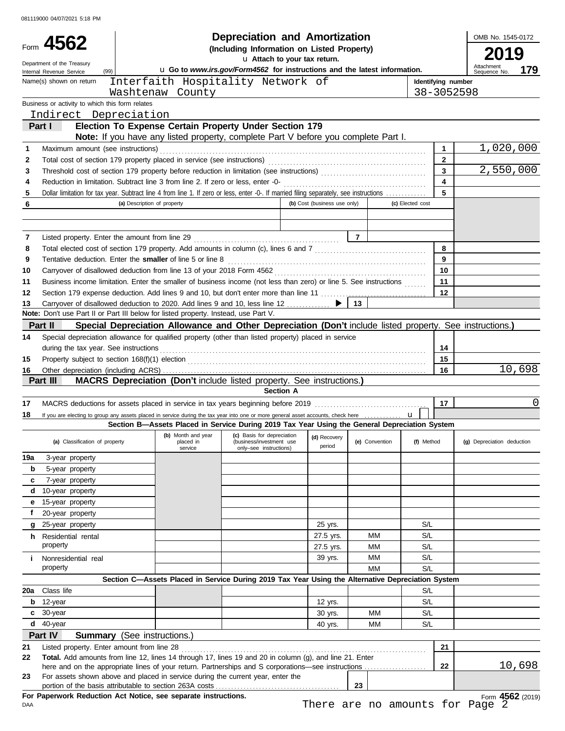|              |                                                                                                                                                                                                                                |                                    |                                            |                                                                                               | Depreciation and Amortization                                                                                                     |                                 |                  |                         | OMB No. 1545-0172          |          |
|--------------|--------------------------------------------------------------------------------------------------------------------------------------------------------------------------------------------------------------------------------|------------------------------------|--------------------------------------------|-----------------------------------------------------------------------------------------------|-----------------------------------------------------------------------------------------------------------------------------------|---------------------------------|------------------|-------------------------|----------------------------|----------|
|              | Form 4562                                                                                                                                                                                                                      |                                    |                                            |                                                                                               | (Including Information on Listed Property)                                                                                        |                                 |                  |                         |                            | 9        |
|              | Department of the Treasury<br>(99)<br>Internal Revenue Service                                                                                                                                                                 |                                    |                                            |                                                                                               | u Attach to your tax return.<br>u Go to www.irs.gov/Form4562 for instructions and the latest information.                         |                                 |                  |                         | Attachmen<br>Sequence No.  | 179      |
|              | Name(s) shown on return                                                                                                                                                                                                        |                                    |                                            | Interfaith Hospitality Network of                                                             |                                                                                                                                   |                                 |                  | Identifying number      |                            |          |
|              |                                                                                                                                                                                                                                |                                    | Washtenaw County                           |                                                                                               |                                                                                                                                   |                                 |                  | 38-3052598              |                            |          |
|              | Business or activity to which this form relates                                                                                                                                                                                |                                    |                                            |                                                                                               |                                                                                                                                   |                                 |                  |                         |                            |          |
|              | Indirect Depreciation                                                                                                                                                                                                          |                                    |                                            |                                                                                               |                                                                                                                                   |                                 |                  |                         |                            |          |
|              | Part I                                                                                                                                                                                                                         |                                    |                                            | Election To Expense Certain Property Under Section 179                                        |                                                                                                                                   |                                 |                  |                         |                            |          |
|              |                                                                                                                                                                                                                                |                                    |                                            |                                                                                               | Note: If you have any listed property, complete Part V before you complete Part I.                                                |                                 |                  |                         |                            |          |
| $\mathbf{1}$ | Maximum amount (see instructions) entitled and contain an amount of the instruction of the state of the state of the state of the state of the state of the state of the state of the state of the state of the state of the s |                                    |                                            |                                                                                               |                                                                                                                                   |                                 |                  | 1                       | 1,020,000                  |          |
| 2            | Total cost of section 179 property placed in service (see instructions) contract contract contract contract contract of the contract of the contract of the contract of the contract of the contract of the contract of the co |                                    |                                            |                                                                                               |                                                                                                                                   |                                 |                  | $\mathbf{2}$<br>3       | 2,550,000                  |          |
| 3<br>4       |                                                                                                                                                                                                                                |                                    |                                            |                                                                                               |                                                                                                                                   |                                 |                  | $\overline{\mathbf{4}}$ |                            |          |
| 5            | Dollar limitation for tax year. Subtract line 4 from line 1. If zero or less, enter -0-. If married filing separately, see instructions                                                                                        |                                    |                                            |                                                                                               |                                                                                                                                   |                                 |                  | 5                       |                            |          |
| 6            |                                                                                                                                                                                                                                | (a) Description of property        |                                            |                                                                                               | (b) Cost (business use only)                                                                                                      |                                 | (c) Elected cost |                         |                            |          |
|              |                                                                                                                                                                                                                                |                                    |                                            |                                                                                               |                                                                                                                                   |                                 |                  |                         |                            |          |
|              |                                                                                                                                                                                                                                |                                    |                                            |                                                                                               |                                                                                                                                   |                                 |                  |                         |                            |          |
| 7            |                                                                                                                                                                                                                                |                                    |                                            |                                                                                               |                                                                                                                                   | $\overline{7}$                  |                  |                         |                            |          |
| 8            |                                                                                                                                                                                                                                |                                    |                                            |                                                                                               |                                                                                                                                   |                                 |                  | 8                       |                            |          |
| 9            |                                                                                                                                                                                                                                |                                    |                                            |                                                                                               |                                                                                                                                   |                                 |                  | 9                       |                            |          |
| 10           |                                                                                                                                                                                                                                |                                    |                                            |                                                                                               |                                                                                                                                   |                                 |                  | 10                      |                            |          |
| 11           | Business income limitation. Enter the smaller of business income (not less than zero) or line 5. See instructions                                                                                                              |                                    |                                            |                                                                                               |                                                                                                                                   |                                 |                  | 11                      |                            |          |
| 12           | Section 179 expense deduction. Add lines 9 and 10, but don't enter more than line 11                                                                                                                                           |                                    |                                            |                                                                                               |                                                                                                                                   |                                 |                  | 12                      |                            |          |
| 13           | Carryover of disallowed deduction to 2020. Add lines 9 and 10, less line 12<br><b>Note:</b> Don't use Part II or Part III below for listed property. Instead, use Part V.                                                      |                                    |                                            |                                                                                               | ▶                                                                                                                                 | 13                              |                  |                         |                            |          |
|              | Part II                                                                                                                                                                                                                        |                                    |                                            |                                                                                               | Special Depreciation Allowance and Other Depreciation (Don't include listed property. See instructions.)                          |                                 |                  |                         |                            |          |
| 14           | Special depreciation allowance for qualified property (other than listed property) placed in service                                                                                                                           |                                    |                                            |                                                                                               |                                                                                                                                   |                                 |                  |                         |                            |          |
|              |                                                                                                                                                                                                                                |                                    |                                            |                                                                                               |                                                                                                                                   |                                 |                  | 14                      |                            |          |
| 15           |                                                                                                                                                                                                                                |                                    |                                            |                                                                                               |                                                                                                                                   |                                 |                  | 15                      |                            |          |
| 16           |                                                                                                                                                                                                                                |                                    |                                            |                                                                                               |                                                                                                                                   |                                 |                  | 16                      |                            | 10,698   |
|              | Part III                                                                                                                                                                                                                       |                                    |                                            |                                                                                               | <b>MACRS Depreciation (Don't include listed property. See instructions.)</b>                                                      |                                 |                  |                         |                            |          |
|              |                                                                                                                                                                                                                                |                                    |                                            | <b>Section A</b>                                                                              |                                                                                                                                   |                                 |                  |                         |                            |          |
| 17           |                                                                                                                                                                                                                                |                                    |                                            |                                                                                               |                                                                                                                                   |                                 |                  | 17                      |                            | $\Omega$ |
| 18           |                                                                                                                                                                                                                                |                                    |                                            |                                                                                               | If you are electing to group any assets placed in service during the tax year into one or more general asset accounts, check here |                                 | $\mathbf{u}$     |                         |                            |          |
|              |                                                                                                                                                                                                                                |                                    |                                            |                                                                                               |                                                                                                                                   |                                 |                  |                         |                            |          |
|              |                                                                                                                                                                                                                                |                                    |                                            | Section B-Assets Placed in Service During 2019 Tax Year Using the General Depreciation System |                                                                                                                                   |                                 |                  |                         |                            |          |
|              | (a) Classification of property                                                                                                                                                                                                 |                                    | (b) Month and year<br>placed in<br>service | (c) Basis for depreciation<br>(business/investment use<br>only-see instructions)              | (d) Recovery<br>period                                                                                                            | (e) Convention                  | (f) Method       |                         | (g) Depreciation deduction |          |
| 19a          | 3-year property                                                                                                                                                                                                                |                                    |                                            |                                                                                               |                                                                                                                                   |                                 |                  |                         |                            |          |
| b            | 5-year property                                                                                                                                                                                                                |                                    |                                            |                                                                                               |                                                                                                                                   |                                 |                  |                         |                            |          |
| с            | 7-year property                                                                                                                                                                                                                |                                    |                                            |                                                                                               |                                                                                                                                   |                                 |                  |                         |                            |          |
| d            | 10-year property                                                                                                                                                                                                               |                                    |                                            |                                                                                               |                                                                                                                                   |                                 |                  |                         |                            |          |
| е            | 15-year property                                                                                                                                                                                                               |                                    |                                            |                                                                                               |                                                                                                                                   |                                 |                  |                         |                            |          |
| f            | 20-year property                                                                                                                                                                                                               |                                    |                                            |                                                                                               |                                                                                                                                   |                                 |                  |                         |                            |          |
| g            | 25-year property                                                                                                                                                                                                               |                                    |                                            |                                                                                               | 25 yrs.                                                                                                                           |                                 | S/L              |                         |                            |          |
|              | <b>h</b> Residential rental                                                                                                                                                                                                    |                                    |                                            |                                                                                               | 27.5 yrs.                                                                                                                         | MМ                              | S/L              |                         |                            |          |
|              | property                                                                                                                                                                                                                       |                                    |                                            |                                                                                               | 27.5 yrs.                                                                                                                         | MМ                              | S/L              |                         |                            |          |
| j.           | Nonresidential real                                                                                                                                                                                                            |                                    |                                            |                                                                                               | 39 yrs.                                                                                                                           | MМ                              | S/L              |                         |                            |          |
|              | property                                                                                                                                                                                                                       |                                    |                                            |                                                                                               |                                                                                                                                   | MМ                              | S/L              |                         |                            |          |
| 20a          | Class life                                                                                                                                                                                                                     |                                    |                                            |                                                                                               | Section C-Assets Placed in Service During 2019 Tax Year Using the Alternative Depreciation System                                 |                                 | S/L              |                         |                            |          |
| b            | 12-year                                                                                                                                                                                                                        |                                    |                                            |                                                                                               | 12 yrs.                                                                                                                           |                                 | S/L              |                         |                            |          |
| c            | 30-year                                                                                                                                                                                                                        |                                    |                                            |                                                                                               | 30 yrs.                                                                                                                           | ΜМ                              | S/L              |                         |                            |          |
|              | $d$ 40-year                                                                                                                                                                                                                    |                                    |                                            |                                                                                               | 40 yrs.                                                                                                                           | ΜМ                              | S/L              |                         |                            |          |
|              | Part IV                                                                                                                                                                                                                        | <b>Summary</b> (See instructions.) |                                            |                                                                                               |                                                                                                                                   |                                 |                  |                         |                            |          |
| 21           |                                                                                                                                                                                                                                |                                    |                                            |                                                                                               |                                                                                                                                   |                                 |                  | 21                      |                            |          |
| 22           | Total. Add amounts from line 12, lines 14 through 17, lines 19 and 20 in column (g), and line 21. Enter                                                                                                                        |                                    |                                            |                                                                                               |                                                                                                                                   |                                 |                  |                         |                            |          |
|              | here and on the appropriate lines of your return. Partnerships and S corporations—see instructions                                                                                                                             |                                    |                                            |                                                                                               |                                                                                                                                   |                                 |                  | 22                      |                            | 10,698   |
| 23           | For assets shown above and placed in service during the current year, enter the                                                                                                                                                |                                    |                                            |                                                                                               |                                                                                                                                   | 23                              |                  |                         |                            |          |
|              | For Paperwork Reduction Act Notice, see separate instructions.                                                                                                                                                                 |                                    |                                            |                                                                                               |                                                                                                                                   | There are no amounts for Page 2 |                  |                         | Form 4562 (2019)           |          |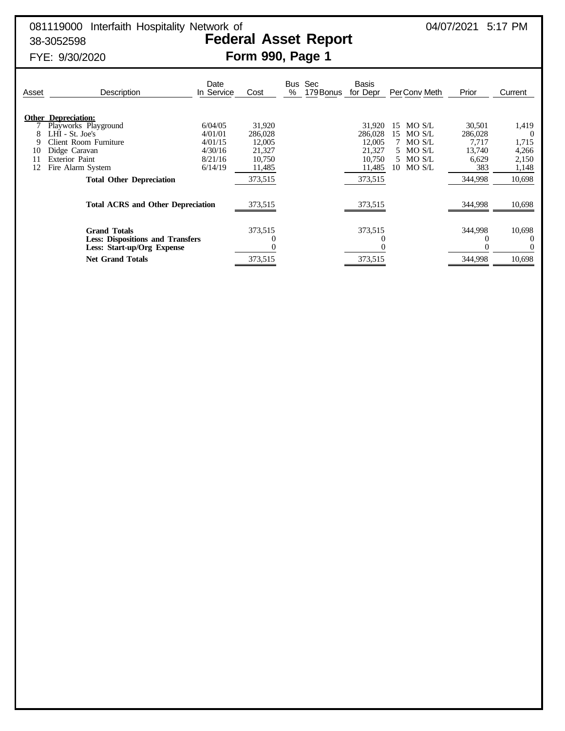# FYE: 9/30/2020 **Form 990, Page 1**

| Asset | Description                                                                                  | Date<br>In Service | Cost    | Sec<br>Bus<br>%<br>179 Bonus | Basis<br>for Depr | PerConv Meth | Prior   | Current                        |
|-------|----------------------------------------------------------------------------------------------|--------------------|---------|------------------------------|-------------------|--------------|---------|--------------------------------|
|       | <b>Other Depreciation:</b>                                                                   |                    |         |                              |                   |              |         |                                |
|       | Playworks Playground                                                                         | 6/04/05            | 31,920  |                              | 31.920            | 15<br>MO S/L | 30,501  | 1,419                          |
|       | LHI - St. Joe's                                                                              | 4/01/01            | 286,028 |                              | 286,028           | 15<br>MO S/L | 286,028 | $\theta$                       |
|       | Client Room Furniture                                                                        | 4/01/15            | 12,005  |                              | 12,005            | MO S/L       | 7,717   | 1,715                          |
| 10    | Didge Caravan                                                                                | 4/30/16            | 21,327  |                              | 21,327            | 5 MO S/L     | 13,740  | 4,266                          |
|       | <b>Exterior Paint</b>                                                                        | 8/21/16            | 10.750  |                              | 10.750            | 5 MO S/L     | 6,629   | 2,150                          |
|       | Fire Alarm System                                                                            | 6/14/19            | 11,485  |                              | 11,485            | 10<br>MO S/L | 383     | 1,148                          |
|       | <b>Total Other Depreciation</b>                                                              |                    | 373,515 |                              | 373,515           |              | 344,998 | 10,698                         |
|       | <b>Total ACRS and Other Depreciation</b>                                                     |                    | 373,515 |                              | 373,515           |              | 344,998 | 10,698                         |
|       | <b>Grand Totals</b><br><b>Less: Dispositions and Transfers</b><br>Less: Start-up/Org Expense |                    | 373,515 |                              | 373,515           |              | 344,998 | 10,698<br>$\left($<br>$\Omega$ |
|       | <b>Net Grand Totals</b>                                                                      |                    | 373,515 |                              | 373,515           |              | 344,998 | 10,698                         |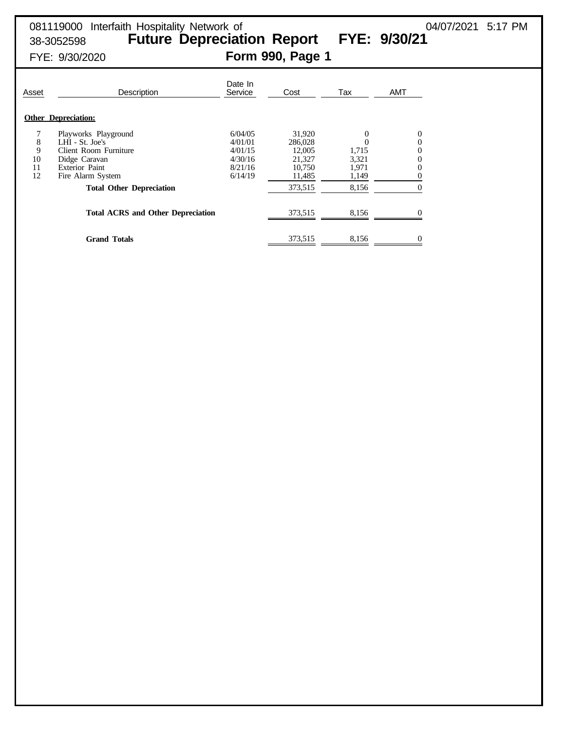| Form 990, Page 1 |  |
|------------------|--|
|------------------|--|

| Asset | Description                              | Date In<br>Service | Cost    | Tax    | <b>AMT</b>       |
|-------|------------------------------------------|--------------------|---------|--------|------------------|
|       | <b>Other Depreciation:</b>               |                    |         |        |                  |
|       | Playworks Playground                     | 6/04/05            | 31,920  | $_{0}$ | 0                |
| 8     | LHI - St. Joe's                          | 4/01/01            | 286,028 |        | $\theta$         |
| 9     | Client Room Furniture                    | 4/01/15            | 12,005  | 1,715  | $\boldsymbol{0}$ |
| 10    | Didge Caravan                            | 4/30/16            | 21,327  | 3,321  | 0                |
| 11    | <b>Exterior Paint</b>                    | 8/21/16            | 10,750  | 1,971  | $\boldsymbol{0}$ |
| 12    | Fire Alarm System                        | 6/14/19            | 11,485  | 1,149  | $\Omega$         |
|       | <b>Total Other Depreciation</b>          |                    | 373,515 | 8,156  | 0                |
|       | <b>Total ACRS and Other Depreciation</b> |                    | 373,515 | 8,156  |                  |
|       | <b>Grand Totals</b>                      |                    | 373,515 | 8.156  | $\boldsymbol{0}$ |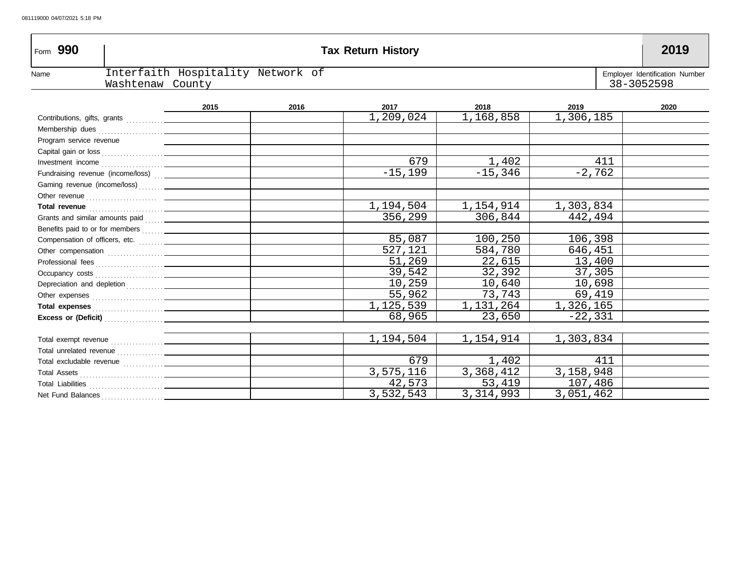| Form 990                                                                                                                                                                                                                             |                                                       |      | <b>Tax Return History</b> |             |           | 2019                                         |
|--------------------------------------------------------------------------------------------------------------------------------------------------------------------------------------------------------------------------------------|-------------------------------------------------------|------|---------------------------|-------------|-----------|----------------------------------------------|
| Name                                                                                                                                                                                                                                 | Interfaith Hospitality Network of<br>Washtenaw County |      |                           |             |           | Employer Identification Number<br>38-3052598 |
|                                                                                                                                                                                                                                      | 2015                                                  | 2016 | 2017                      | 2018        | 2019      | 2020                                         |
|                                                                                                                                                                                                                                      |                                                       |      | 1,209,024                 | 1,168,858   | 1,306,185 |                                              |
|                                                                                                                                                                                                                                      |                                                       |      |                           |             |           |                                              |
| Program service revenue                                                                                                                                                                                                              |                                                       |      |                           |             |           |                                              |
|                                                                                                                                                                                                                                      |                                                       |      |                           |             |           |                                              |
|                                                                                                                                                                                                                                      |                                                       |      | 679                       | 1,402       | 411       |                                              |
|                                                                                                                                                                                                                                      |                                                       |      | $-15, 199$                | $-15,346$   | $-2,762$  |                                              |
|                                                                                                                                                                                                                                      |                                                       |      |                           |             |           |                                              |
|                                                                                                                                                                                                                                      |                                                       |      |                           |             |           |                                              |
| Total revenue <b>contract to the contract of the contract of the contract of the contract of the contract of the contract of the contract of the contract of the contract of the contract of the contract of the contract of the</b> |                                                       |      | 1,194,504                 | 1,154,914   | 1,303,834 |                                              |
|                                                                                                                                                                                                                                      |                                                       |      | 356,299                   | 306,844     | 442,494   |                                              |
|                                                                                                                                                                                                                                      |                                                       |      |                           |             |           |                                              |
|                                                                                                                                                                                                                                      |                                                       |      | 85,087                    | 100,250     | 106,398   |                                              |
|                                                                                                                                                                                                                                      |                                                       |      | 527,121                   | 584,780     | 646,451   |                                              |
|                                                                                                                                                                                                                                      |                                                       |      | 51,269                    | 22,615      | 13,400    |                                              |
|                                                                                                                                                                                                                                      |                                                       |      | 39,542                    | 32,392      | 37,305    |                                              |
|                                                                                                                                                                                                                                      |                                                       |      | 10,259                    | 10,640      | 10,698    |                                              |
|                                                                                                                                                                                                                                      |                                                       |      | 55,962                    | 73,743      | 69,419    |                                              |
| Total expenses Manual Manual Manual Manual Manual Manual Manual Manual Manual Manual Manual Manual Manual Manua                                                                                                                      |                                                       |      | 1,125,539                 | 1,131,264   | 1,326,165 |                                              |
| Excess or (Deficit) <b>Excess</b> or (Deficit)                                                                                                                                                                                       |                                                       |      | 68,965                    | 23,650      | $-22,331$ |                                              |
|                                                                                                                                                                                                                                      |                                                       |      |                           |             |           |                                              |
|                                                                                                                                                                                                                                      |                                                       |      | 1,194,504                 | 1,154,914   | 1,303,834 |                                              |
| Total unrelated revenue <i>communical</i> contracts and the contracts of the contracts of the contracts of the contracts                                                                                                             |                                                       |      |                           |             |           |                                              |
|                                                                                                                                                                                                                                      |                                                       |      | 679                       | 1,402       | 411       |                                              |
|                                                                                                                                                                                                                                      |                                                       |      | 3,575,116                 | 3,368,412   | 3,158,948 |                                              |
|                                                                                                                                                                                                                                      |                                                       |      | 42,573                    | 53,419      | 107,486   |                                              |
|                                                                                                                                                                                                                                      |                                                       |      | 3,532,543                 | 3, 314, 993 | 3,051,462 |                                              |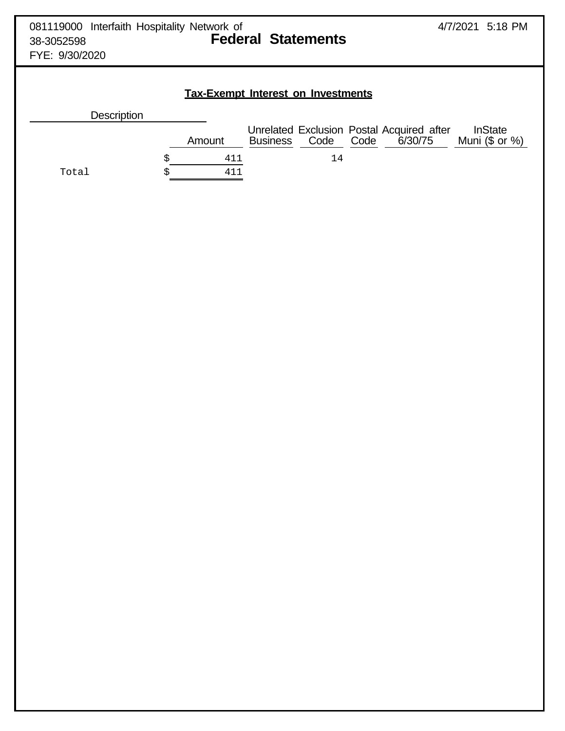| FYE: 9/30/2020                                                                                                        |  |
|-----------------------------------------------------------------------------------------------------------------------|--|
| <b>Tax-Exempt Interest on Investments</b>                                                                             |  |
| Description                                                                                                           |  |
| Unrelated Exclusion Postal Acquired after<br>Business Code Code 6/30/75<br><b>InState</b><br>Muni (\$ or %)<br>Amount |  |
| $14\,$<br>411<br>\$                                                                                                   |  |
| Total<br>\$<br>411                                                                                                    |  |
|                                                                                                                       |  |
|                                                                                                                       |  |
|                                                                                                                       |  |
|                                                                                                                       |  |
|                                                                                                                       |  |
|                                                                                                                       |  |
|                                                                                                                       |  |
|                                                                                                                       |  |
|                                                                                                                       |  |
|                                                                                                                       |  |
|                                                                                                                       |  |
|                                                                                                                       |  |
|                                                                                                                       |  |
|                                                                                                                       |  |
|                                                                                                                       |  |
|                                                                                                                       |  |
|                                                                                                                       |  |
|                                                                                                                       |  |
|                                                                                                                       |  |
|                                                                                                                       |  |
|                                                                                                                       |  |
|                                                                                                                       |  |
|                                                                                                                       |  |
|                                                                                                                       |  |
|                                                                                                                       |  |
|                                                                                                                       |  |
|                                                                                                                       |  |
|                                                                                                                       |  |
|                                                                                                                       |  |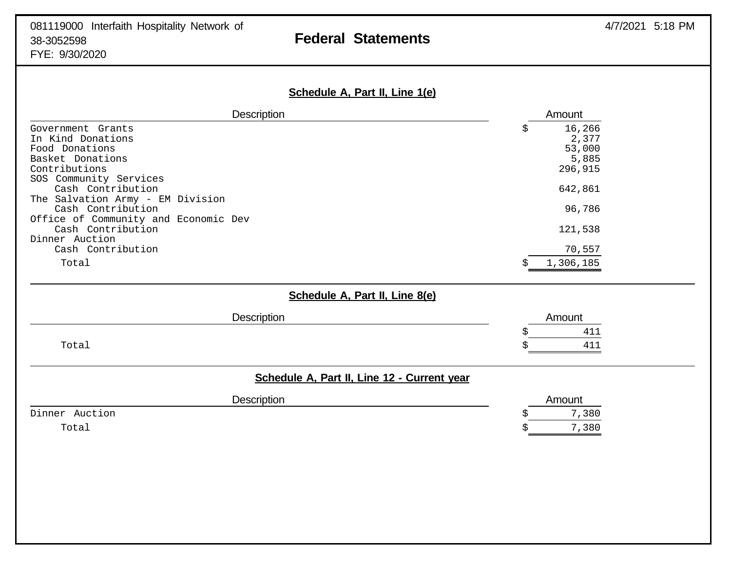## 081119000 Interfaith Hospitality Network of 4/7/2021 5:18 PM 38-3052598 **Federal Statements** FYE: 9/30/2020

## **Schedule A, Part II, Line 1(e)**

| <b>Description</b>                   | Amount       |
|--------------------------------------|--------------|
| Government Grants                    | 16,266<br>\$ |
| In Kind Donations                    | 2,377        |
| Food Donations                       | 53,000       |
| Basket Donations                     | 5,885        |
| Contributions                        | 296,915      |
| SOS Community Services               |              |
| Cash Contribution                    | 642,861      |
| The Salvation Army - EM Division     |              |
| Cash Contribution                    | 96,786       |
| Office of Community and Economic Dev |              |
| Cash Contribution                    | 121,538      |
| Dinner Auction                       |              |
| Cash Contribution                    | 70,557       |
| Total                                | 1,306,185    |

## **Schedule A, Part II, Line 8(e)**

| Amount |     |
|--------|-----|
|        | 41ì |
|        | 411 |
|        |     |

## **Schedule A, Part II, Line 12 - Current year**

| Description       | Amount    |
|-------------------|-----------|
| Dinner<br>Auction | -<br>,380 |
| Total             | ,380      |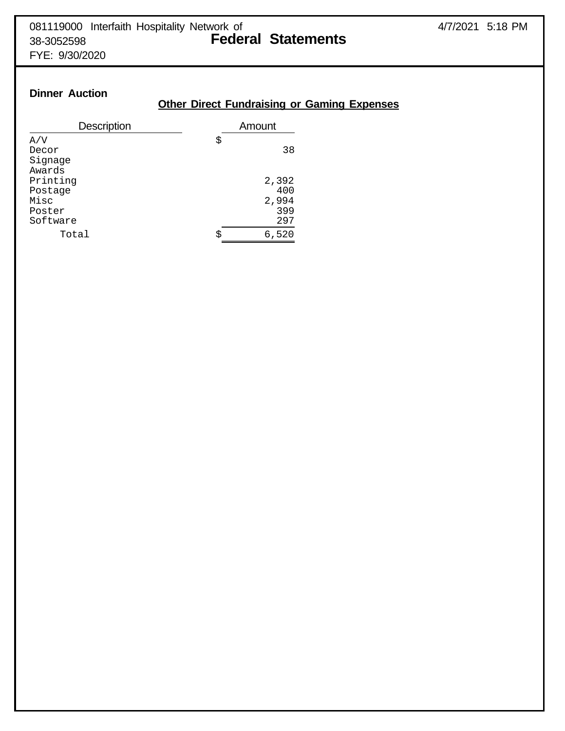# **Dinner Auction**

# **Other Direct Fundraising or Gaming Expenses**

| Description | Amount     |
|-------------|------------|
| A/V         | \$         |
| Decor       | 38         |
| Signage     |            |
| Awards      |            |
| Printing    | 2,392      |
| Postage     | 400        |
| Misc        | 2,994      |
| Poster      | 399        |
| Software    | 297        |
| Total       | 6,520<br>Ś |